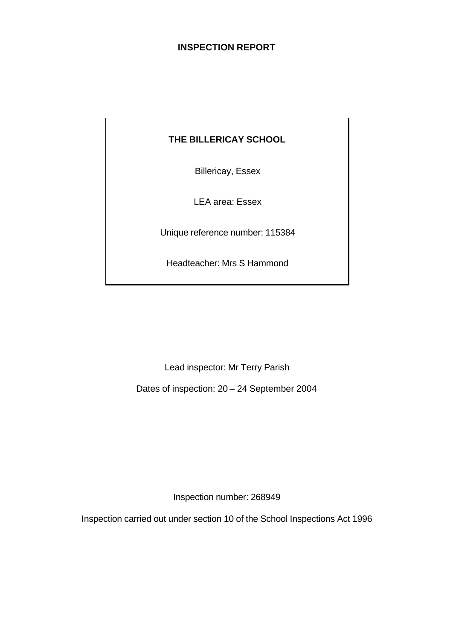# **INSPECTION REPORT**

# **THE BILLERICAY SCHOOL**

Billericay, Essex

LEA area: Essex

Unique reference number: 115384

Headteacher: Mrs S Hammond

Lead inspector: Mr Terry Parish

Dates of inspection: 20 – 24 September 2004

Inspection number: 268949

Inspection carried out under section 10 of the School Inspections Act 1996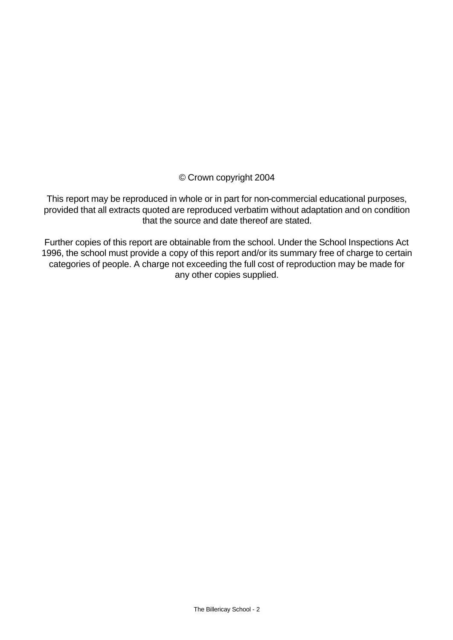© Crown copyright 2004

This report may be reproduced in whole or in part for non-commercial educational purposes, provided that all extracts quoted are reproduced verbatim without adaptation and on condition that the source and date thereof are stated.

Further copies of this report are obtainable from the school. Under the School Inspections Act 1996, the school must provide a copy of this report and/or its summary free of charge to certain categories of people. A charge not exceeding the full cost of reproduction may be made for any other copies supplied.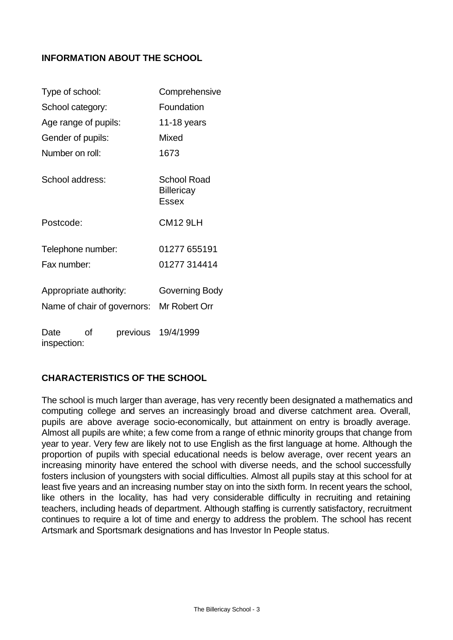# **INFORMATION ABOUT THE SCHOOL**

| Type of school:        |    | Comprehensive               |                                                  |  |  |
|------------------------|----|-----------------------------|--------------------------------------------------|--|--|
| School category:       |    |                             | Foundation                                       |  |  |
| Age range of pupils:   |    | 11-18 years                 |                                                  |  |  |
| Gender of pupils:      |    |                             | Mixed                                            |  |  |
| Number on roll:        |    |                             | 1673                                             |  |  |
| School address:        |    |                             | <b>School Road</b><br><b>Billericay</b><br>Essex |  |  |
| Postcode:              |    |                             | <b>CM12 9LH</b>                                  |  |  |
| Telephone number:      |    |                             | 01277 655191                                     |  |  |
| Fax number:            |    |                             | 01277 314414                                     |  |  |
| Appropriate authority: |    |                             | Governing Body                                   |  |  |
|                        |    | Name of chair of governors: | Mr Robert Orr                                    |  |  |
| Date<br>inspection:    | οf | previous                    | 19/4/1999                                        |  |  |

# **CHARACTERISTICS OF THE SCHOOL**

The school is much larger than average, has very recently been designated a mathematics and computing college and serves an increasingly broad and diverse catchment area. Overall, pupils are above average socio-economically, but attainment on entry is broadly average. Almost all pupils are white; a few come from a range of ethnic minority groups that change from year to year. Very few are likely not to use English as the first language at home. Although the proportion of pupils with special educational needs is below average, over recent years an increasing minority have entered the school with diverse needs, and the school successfully fosters inclusion of youngsters with social difficulties. Almost all pupils stay at this school for at least five years and an increasing number stay on into the sixth form. In recent years the school, like others in the locality, has had very considerable difficulty in recruiting and retaining teachers, including heads of department. Although staffing is currently satisfactory, recruitment continues to require a lot of time and energy to address the problem. The school has recent Artsmark and Sportsmark designations and has Investor In People status.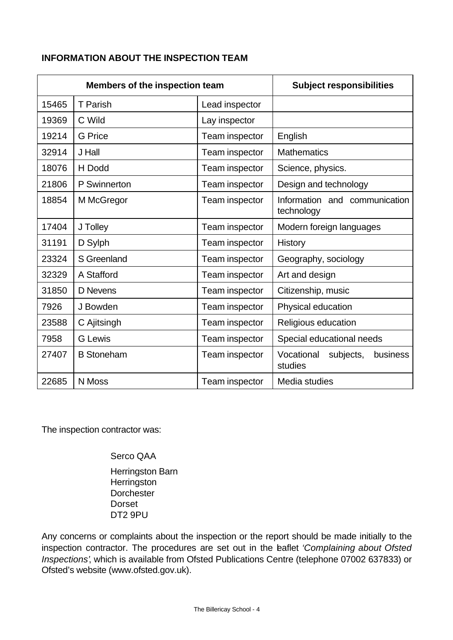# **INFORMATION ABOUT THE INSPECTION TEAM**

| <b>Members of the inspection team</b> |                   | <b>Subject responsibilities</b> |                                                |  |  |
|---------------------------------------|-------------------|---------------------------------|------------------------------------------------|--|--|
| 15465                                 | T Parish          | Lead inspector                  |                                                |  |  |
| 19369                                 | C Wild            | Lay inspector                   |                                                |  |  |
| 19214                                 | <b>G</b> Price    | Team inspector                  | English                                        |  |  |
| 32914                                 | J Hall            | Team inspector                  | <b>Mathematics</b>                             |  |  |
| 18076                                 | H Dodd            | Team inspector                  | Science, physics.                              |  |  |
| 21806                                 | P Swinnerton      | Team inspector                  | Design and technology                          |  |  |
| 18854                                 | M McGregor        | Team inspector                  | Information and communication<br>technology    |  |  |
| 17404                                 | J Tolley          | Team inspector                  | Modern foreign languages                       |  |  |
| 31191                                 | D Sylph           | Team inspector                  | <b>History</b>                                 |  |  |
| 23324                                 | S Greenland       | Team inspector                  | Geography, sociology                           |  |  |
| 32329                                 | A Stafford        | Team inspector                  | Art and design                                 |  |  |
| 31850                                 | D Nevens          | Team inspector                  | Citizenship, music                             |  |  |
| 7926                                  | J Bowden          | Team inspector                  | Physical education                             |  |  |
| 23588                                 | C Ajitsingh       | Team inspector                  | Religious education                            |  |  |
| 7958                                  | <b>G</b> Lewis    | Team inspector                  | Special educational needs                      |  |  |
| 27407                                 | <b>B</b> Stoneham | Team inspector                  | Vocational<br>subjects,<br>business<br>studies |  |  |
| 22685                                 | N Moss            | Team inspector                  | Media studies                                  |  |  |

The inspection contractor was:

Serco QAA

Herringston Barn **Herringston Dorchester** Dorset DT2 9PU

Any concerns or complaints about the inspection or the report should be made initially to the inspection contractor. The procedures are set out in the leaflet *'Complaining about Ofsted Inspections'*, which is available from Ofsted Publications Centre (telephone 07002 637833) or Ofsted's website (www.ofsted.gov.uk).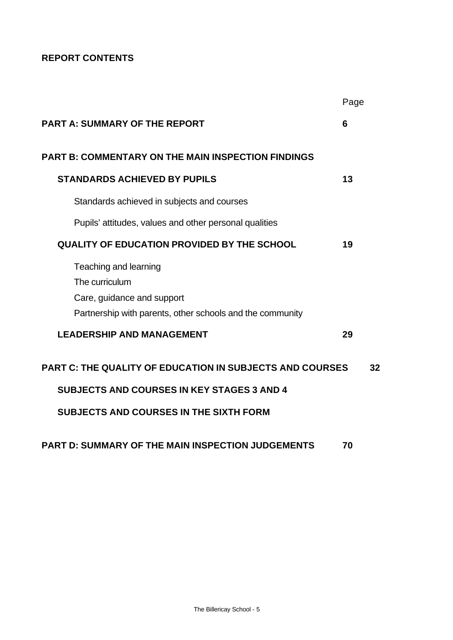# **REPORT CONTENTS**

|                                                                                                                                    | Page |    |
|------------------------------------------------------------------------------------------------------------------------------------|------|----|
| <b>PART A: SUMMARY OF THE REPORT</b>                                                                                               | 6    |    |
| <b>PART B: COMMENTARY ON THE MAIN INSPECTION FINDINGS</b>                                                                          |      |    |
| <b>STANDARDS ACHIEVED BY PUPILS</b>                                                                                                | 13   |    |
| Standards achieved in subjects and courses                                                                                         |      |    |
| Pupils' attitudes, values and other personal qualities                                                                             |      |    |
| <b>QUALITY OF EDUCATION PROVIDED BY THE SCHOOL</b>                                                                                 | 19   |    |
| Teaching and learning<br>The curriculum<br>Care, guidance and support<br>Partnership with parents, other schools and the community |      |    |
| <b>LEADERSHIP AND MANAGEMENT</b>                                                                                                   | 29   |    |
| <b>PART C: THE QUALITY OF EDUCATION IN SUBJECTS AND COURSES</b><br><b>SUBJECTS AND COURSES IN KEY STAGES 3 AND 4</b>               |      | 32 |
| <b>SUBJECTS AND COURSES IN THE SIXTH FORM</b>                                                                                      |      |    |
| <b>PART D: SUMMARY OF THE MAIN INSPECTION JUDGEMENTS</b>                                                                           | 70   |    |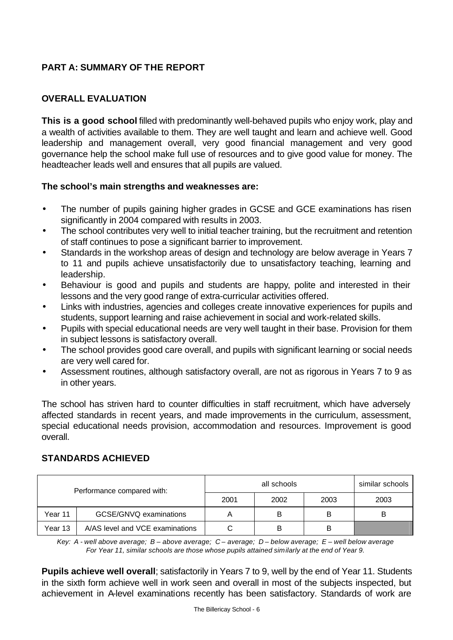# **PART A: SUMMARY OF THE REPORT**

# **OVERALL EVALUATION**

**This is a good school** filled with predominantly well-behaved pupils who enjoy work, play and a wealth of activities available to them. They are well taught and learn and achieve well. Good leadership and management overall, very good financial management and very good governance help the school make full use of resources and to give good value for money. The headteacher leads well and ensures that all pupils are valued.

## **The school's main strengths and weaknesses are:**

- The number of pupils gaining higher grades in GCSE and GCE examinations has risen significantly in 2004 compared with results in 2003.
- The school contributes very well to initial teacher training, but the recruitment and retention of staff continues to pose a significant barrier to improvement.
- Standards in the workshop areas of design and technology are below average in Years 7 to 11 and pupils achieve unsatisfactorily due to unsatisfactory teaching, learning and leadership.
- Behaviour is good and pupils and students are happy, polite and interested in their lessons and the very good range of extra-curricular activities offered.
- Links with industries, agencies and colleges create innovative experiences for pupils and students, support learning and raise achievement in social and work-related skills.
- Pupils with special educational needs are very well taught in their base. Provision for them in subject lessons is satisfactory overall.
- The school provides good care overall, and pupils with significant learning or social needs are very well cared for.
- Assessment routines, although satisfactory overall, are not as rigorous in Years 7 to 9 as in other years.

The school has striven hard to counter difficulties in staff recruitment, which have adversely affected standards in recent years, and made improvements in the curriculum, assessment, special educational needs provision, accommodation and resources. Improvement is good overall.

## **STANDARDS ACHIEVED**

| Performance compared with: |                                 |      | similar schools |      |      |
|----------------------------|---------------------------------|------|-----------------|------|------|
|                            |                                 | 2001 | 2002            | 2003 | 2003 |
| Year 11                    | GCSE/GNVQ examinations          | Α    | B               | в    | B    |
| Year 13                    | A/AS level and VCE examinations |      | B               | в    |      |

*Key: A - well above average; B – above average; C – average; D – below average; E – well below average For Year 11, similar schools are those whose pupils attained similarly at the end of Year 9.*

**Pupils achieve well overall**; satisfactorily in Years 7 to 9, well by the end of Year 11. Students in the sixth form achieve well in work seen and overall in most of the subjects inspected, but achievement in A-level examinations recently has been satisfactory. Standards of work are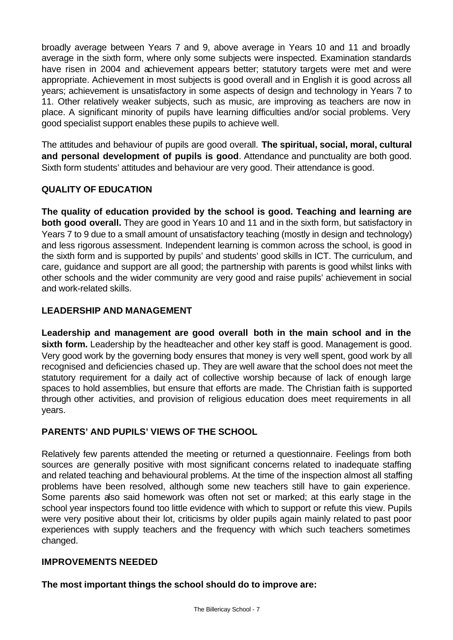broadly average between Years 7 and 9, above average in Years 10 and 11 and broadly average in the sixth form, where only some subjects were inspected. Examination standards have risen in 2004 and achievement appears better; statutory targets were met and were appropriate. Achievement in most subjects is good overall and in English it is good across all years; achievement is unsatisfactory in some aspects of design and technology in Years 7 to 11. Other relatively weaker subjects, such as music, are improving as teachers are now in place. A significant minority of pupils have learning difficulties and/or social problems. Very good specialist support enables these pupils to achieve well.

The attitudes and behaviour of pupils are good overall. **The spiritual, social, moral, cultural and personal development of pupils is good**. Attendance and punctuality are both good. Sixth form students' attitudes and behaviour are very good. Their attendance is good.

## **QUALITY OF EDUCATION**

**The quality of education provided by the school is good. Teaching and learning are both good overall.** They are good in Years 10 and 11 and in the sixth form, but satisfactory in Years 7 to 9 due to a small amount of unsatisfactory teaching (mostly in design and technology) and less rigorous assessment. Independent learning is common across the school, is good in the sixth form and is supported by pupils' and students' good skills in ICT. The curriculum, and care, guidance and support are all good; the partnership with parents is good whilst links with other schools and the wider community are very good and raise pupils' achievement in social and work-related skills.

## **LEADERSHIP AND MANAGEMENT**

**Leadership and management are good overall both in the main school and in the**  sixth form. Leadership by the headteacher and other key staff is good. Management is good. Very good work by the governing body ensures that money is very well spent, good work by all recognised and deficiencies chased up. They are well aware that the school does not meet the statutory requirement for a daily act of collective worship because of lack of enough large spaces to hold assemblies, but ensure that efforts are made. The Christian faith is supported through other activities, and provision of religious education does meet requirements in all years.

# **PARENTS' AND PUPILS' VIEWS OF THE SCHOOL**

Relatively few parents attended the meeting or returned a questionnaire. Feelings from both sources are generally positive with most significant concerns related to inadequate staffing and related teaching and behavioural problems. At the time of the inspection almost all staffing problems have been resolved, although some new teachers still have to gain experience. Some parents also said homework was often not set or marked; at this early stage in the school year inspectors found too little evidence with which to support or refute this view. Pupils were very positive about their lot, criticisms by older pupils again mainly related to past poor experiences with supply teachers and the frequency with which such teachers sometimes changed.

## **IMPROVEMENTS NEEDED**

**The most important things the school should do to improve are:**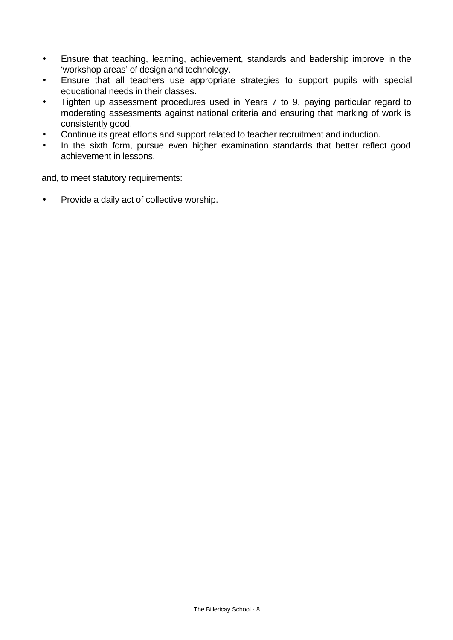- Ensure that teaching, learning, achievement, standards and badership improve in the 'workshop areas' of design and technology.
- Ensure that all teachers use appropriate strategies to support pupils with special educational needs in their classes.
- Tighten up assessment procedures used in Years 7 to 9, paying particular regard to moderating assessments against national criteria and ensuring that marking of work is consistently good.
- Continue its great efforts and support related to teacher recruitment and induction.
- In the sixth form, pursue even higher examination standards that better reflect good achievement in lessons.

and, to meet statutory requirements:

• Provide a daily act of collective worship.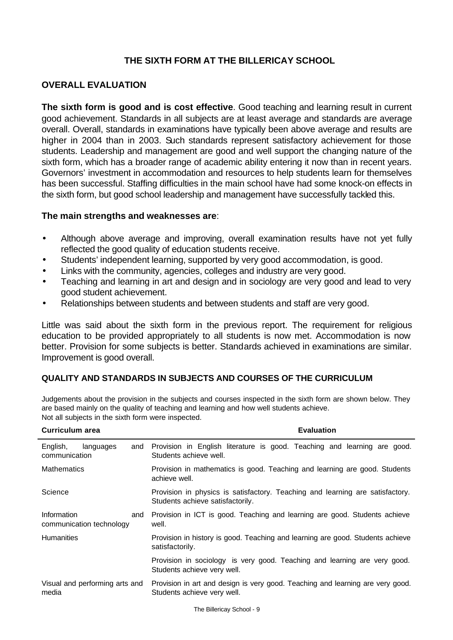# **THE SIXTH FORM AT THE BILLERICAY SCHOOL**

## **OVERALL EVALUATION**

**The sixth form is good and is cost effective**. Good teaching and learning result in current good achievement. Standards in all subjects are at least average and standards are average overall. Overall, standards in examinations have typically been above average and results are higher in 2004 than in 2003. Such standards represent satisfactory achievement for those students. Leadership and management are good and well support the changing nature of the sixth form, which has a broader range of academic ability entering it now than in recent years. Governors' investment in accommodation and resources to help students learn for themselves has been successful. Staffing difficulties in the main school have had some knock-on effects in the sixth form, but good school leadership and management have successfully tackled this.

#### **The main strengths and weaknesses are**:

- Although above average and improving, overall examination results have not yet fully reflected the good quality of education students receive.
- Students' independent learning, supported by very good accommodation, is good.
- Links with the community, agencies, colleges and industry are very good.
- Teaching and learning in art and design and in sociology are very good and lead to very good student achievement.
- Relationships between students and between students and staff are very good.

Little was said about the sixth form in the previous report. The requirement for religious education to be provided appropriately to all students is now met. Accommodation is now better. Provision for some subjects is better. Standards achieved in examinations are similar. Improvement is good overall.

## **QUALITY AND STANDARDS IN SUBJECTS AND COURSES OF THE CURRICULUM**

Judgements about the provision in the subjects and courses inspected in the sixth form are shown below. They are based mainly on the quality of teaching and learning and how well students achieve. Not all subjects in the sixth form were inspected.

| Curriculum area                                | <b>Evaluation</b>                                                                                                 |
|------------------------------------------------|-------------------------------------------------------------------------------------------------------------------|
| English,<br>languages<br>and<br>communication  | Provision in English literature is good. Teaching and learning are good.<br>Students achieve well.                |
| <b>Mathematics</b>                             | Provision in mathematics is good. Teaching and learning are good. Students<br>achieve well.                       |
| Science                                        | Provision in physics is satisfactory. Teaching and learning are satisfactory.<br>Students achieve satisfactorily. |
| Information<br>and<br>communication technology | Provision in ICT is good. Teaching and learning are good. Students achieve<br>well.                               |
| <b>Humanities</b>                              | Provision in history is good. Teaching and learning are good. Students achieve<br>satisfactorily.                 |
|                                                | Provision in sociology is very good. Teaching and learning are very good.<br>Students achieve very well.          |
| Visual and performing arts and<br>media        | Provision in art and design is very good. Teaching and learning are very good.<br>Students achieve very well.     |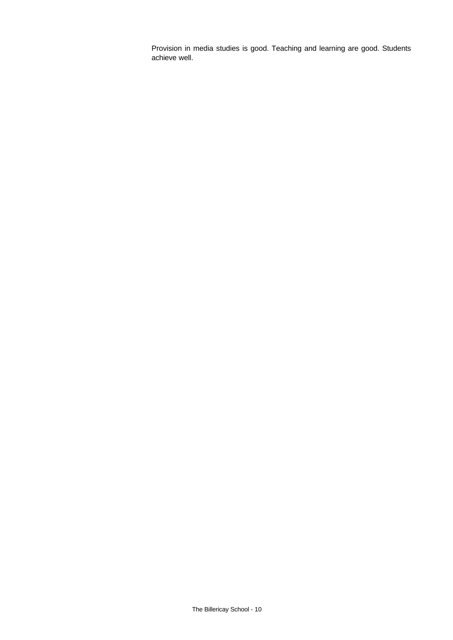Provision in media studies is good. Teaching and learning are good. Students achieve well.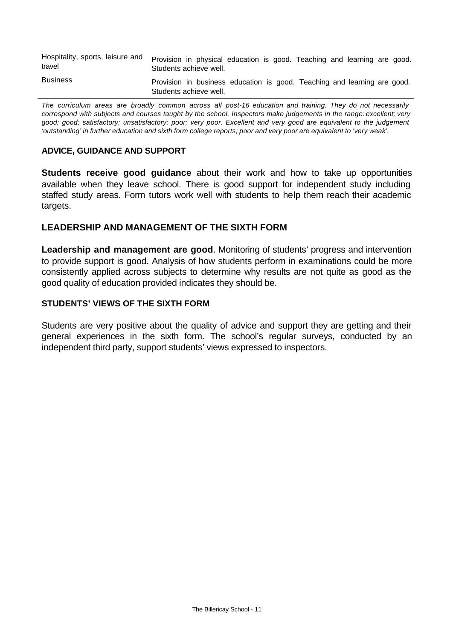| Hospitality, sports, leisure and<br>travel | Provision in physical education is good. Teaching and learning are good.<br>Students achieve well. |  |
|--------------------------------------------|----------------------------------------------------------------------------------------------------|--|
| <b>Business</b>                            | Provision in business education is good. Teaching and learning are good.<br>Students achieve well. |  |

*The curriculum areas are broadly common across all post-16 education and training. They do not necessarily correspond with subjects and courses taught by the school. Inspectors make judgements in the range: excellent; very good; good; satisfactory; unsatisfactory; poor; very poor. Excellent and very good are equivalent to the judgement 'outstanding' in further education and sixth form college reports; poor and very poor are equivalent to 'very weak'.*

#### **ADVICE, GUIDANCE AND SUPPORT**

**Students receive good guidance** about their work and how to take up opportunities available when they leave school. There is good support for independent study including staffed study areas. Form tutors work well with students to help them reach their academic targets.

## **LEADERSHIP AND MANAGEMENT OF THE SIXTH FORM**

**Leadership and management are good**. Monitoring of students' progress and intervention to provide support is good. Analysis of how students perform in examinations could be more consistently applied across subjects to determine why results are not quite as good as the good quality of education provided indicates they should be.

#### **STUDENTS' VIEWS OF THE SIXTH FORM**

Students are very positive about the quality of advice and support they are getting and their general experiences in the sixth form. The school's regular surveys, conducted by an independent third party, support students' views expressed to inspectors.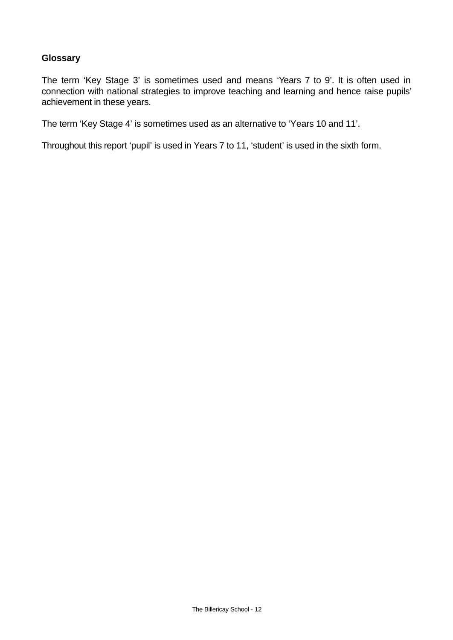## **Glossary**

The term 'Key Stage 3' is sometimes used and means 'Years 7 to 9'. It is often used in connection with national strategies to improve teaching and learning and hence raise pupils' achievement in these years.

The term 'Key Stage 4' is sometimes used as an alternative to 'Years 10 and 11'.

Throughout this report 'pupil' is used in Years 7 to 11, 'student' is used in the sixth form.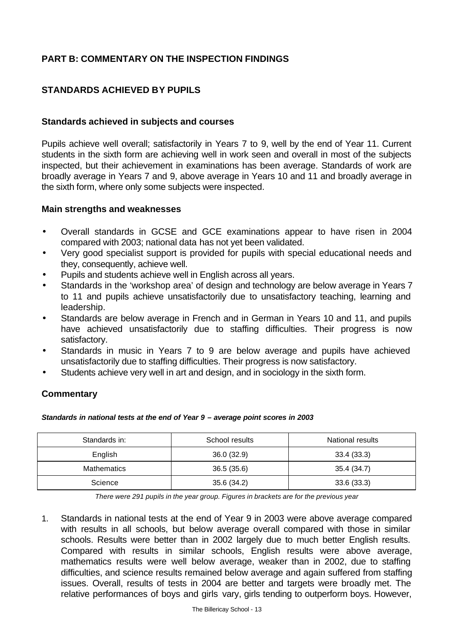# **PART B: COMMENTARY ON THE INSPECTION FINDINGS**

# **STANDARDS ACHIEVED BY PUPILS**

#### **Standards achieved in subjects and courses**

Pupils achieve well overall; satisfactorily in Years 7 to 9, well by the end of Year 11. Current students in the sixth form are achieving well in work seen and overall in most of the subjects inspected, but their achievement in examinations has been average. Standards of work are broadly average in Years 7 and 9, above average in Years 10 and 11 and broadly average in the sixth form, where only some subjects were inspected.

#### **Main strengths and weaknesses**

- Overall standards in GCSE and GCE examinations appear to have risen in 2004 compared with 2003; national data has not yet been validated.
- Very good specialist support is provided for pupils with special educational needs and they, consequently, achieve well.
- Pupils and students achieve well in English across all years.
- Standards in the 'workshop area' of design and technology are below average in Years 7 to 11 and pupils achieve unsatisfactorily due to unsatisfactory teaching, learning and leadership.
- Standards are below average in French and in German in Years 10 and 11, and pupils have achieved unsatisfactorily due to staffing difficulties. Their progress is now satisfactory.
- Standards in music in Years 7 to 9 are below average and pupils have achieved unsatisfactorily due to staffing difficulties. Their progress is now satisfactory.
- Students achieve very well in art and design, and in sociology in the sixth form.

## **Commentary**

#### *Standards in national tests at the end of Year 9 – average point scores in 2003*

| Standards in: | School results | National results |
|---------------|----------------|------------------|
| English       | 36.0(32.9)     | 33.4(33.3)       |
| Mathematics   | 36.5(35.6)     | 35.4 (34.7)      |
| Science       | 35.6 (34.2)    | 33.6(33.3)       |

*There were 291 pupils in the year group. Figures in brackets are for the previous year*

1. Standards in national tests at the end of Year 9 in 2003 were above average compared with results in all schools, but below average overall compared with those in similar schools. Results were better than in 2002 largely due to much better English results. Compared with results in similar schools, English results were above average, mathematics results were well below average, weaker than in 2002, due to staffing difficulties, and science results remained below average and again suffered from staffing issues. Overall, results of tests in 2004 are better and targets were broadly met. The relative performances of boys and girls vary, girls tending to outperform boys. However,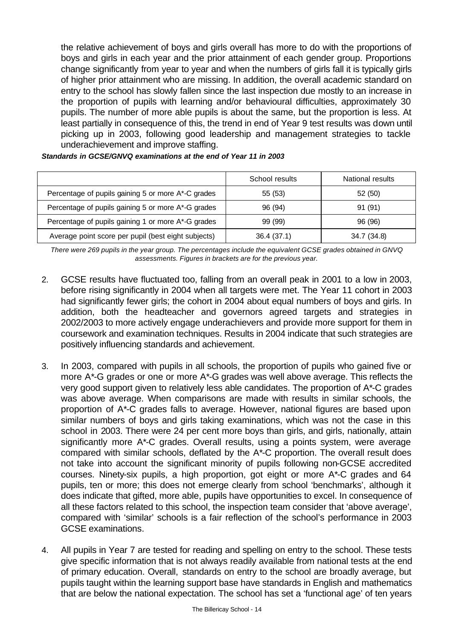the relative achievement of boys and girls overall has more to do with the proportions of boys and girls in each year and the prior attainment of each gender group. Proportions change significantly from year to year and when the numbers of girls fall it is typically girls of higher prior attainment who are missing. In addition, the overall academic standard on entry to the school has slowly fallen since the last inspection due mostly to an increase in the proportion of pupils with learning and/or behavioural difficulties, approximately 30 pupils. The number of more able pupils is about the same, but the proportion is less. At least partially in consequence of this, the trend in end of Year 9 test results was down until picking up in 2003, following good leadership and management strategies to tackle underachievement and improve staffing.

|                                                     | School results | National results |
|-----------------------------------------------------|----------------|------------------|
| Percentage of pupils gaining 5 or more A*-C grades  | 55 (53)        | 52 (50)          |
| Percentage of pupils gaining 5 or more A*-G grades  | 96 (94)        | 91 (91)          |
| Percentage of pupils gaining 1 or more A*-G grades  | 99 (99)        | 96 (96)          |
| Average point score per pupil (best eight subjects) | 36.4 (37.1)    | 34.7 (34.8)      |

#### *Standards in GCSE/GNVQ examinations at the end of Year 11 in 2003*

*There were 269 pupils in the year group. The percentages include the equivalent GCSE grades obtained in GNVQ assessments. Figures in brackets are for the previous year.* 

- 2. GCSE results have fluctuated too, falling from an overall peak in 2001 to a low in 2003, before rising significantly in 2004 when all targets were met. The Year 11 cohort in 2003 had significantly fewer girls; the cohort in 2004 about equal numbers of boys and girls. In addition, both the headteacher and governors agreed targets and strategies in 2002/2003 to more actively engage underachievers and provide more support for them in coursework and examination techniques. Results in 2004 indicate that such strategies are positively influencing standards and achievement.
- 3. In 2003, compared with pupils in all schools, the proportion of pupils who gained five or more A\*-G grades or one or more A\*-G grades was well above average. This reflects the very good support given to relatively less able candidates. The proportion of A\*-C grades was above average. When comparisons are made with results in similar schools, the proportion of A\*-C grades falls to average. However, national figures are based upon similar numbers of boys and girls taking examinations, which was not the case in this school in 2003. There were 24 per cent more boys than girls, and girls, nationally, attain significantly more A\*-C grades. Overall results, using a points system, were average compared with similar schools, deflated by the A\*-C proportion. The overall result does not take into account the significant minority of pupils following non-GCSE accredited courses. Ninety-six pupils, a high proportion, got eight or more A\*-C grades and 64 pupils, ten or more; this does not emerge clearly from school 'benchmarks', although it does indicate that gifted, more able, pupils have opportunities to excel. In consequence of all these factors related to this school, the inspection team consider that 'above average', compared with 'similar' schools is a fair reflection of the school's performance in 2003 GCSE examinations.
- 4. All pupils in Year 7 are tested for reading and spelling on entry to the school. These tests give specific information that is not always readily available from national tests at the end of primary education. Overall, standards on entry to the school are broadly average, but pupils taught within the learning support base have standards in English and mathematics that are below the national expectation. The school has set a 'functional age' of ten years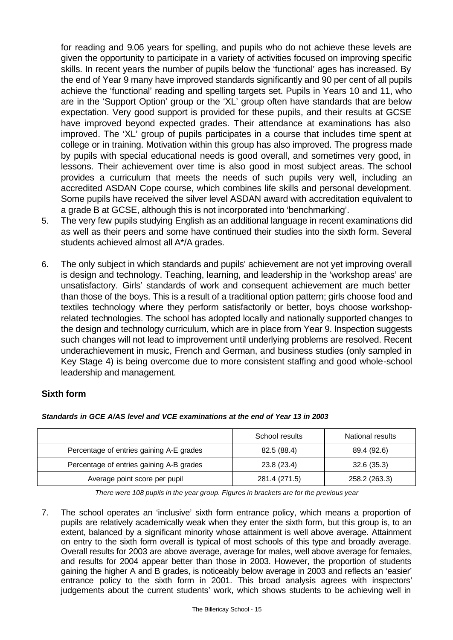for reading and 9.06 years for spelling, and pupils who do not achieve these levels are given the opportunity to participate in a variety of activities focused on improving specific skills. In recent years the number of pupils below the 'functional' ages has increased. By the end of Year 9 many have improved standards significantly and 90 per cent of all pupils achieve the 'functional' reading and spelling targets set. Pupils in Years 10 and 11, who are in the 'Support Option' group or the 'XL' group often have standards that are below expectation. Very good support is provided for these pupils, and their results at GCSE have improved beyond expected grades. Their attendance at examinations has also improved. The 'XL' group of pupils participates in a course that includes time spent at college or in training. Motivation within this group has also improved. The progress made by pupils with special educational needs is good overall, and sometimes very good, in lessons. Their achievement over time is also good in most subject areas. The school provides a curriculum that meets the needs of such pupils very well, including an accredited ASDAN Cope course, which combines life skills and personal development. Some pupils have received the silver level ASDAN award with accreditation equivalent to a grade B at GCSE, although this is not incorporated into 'benchmarking'.

- 5. The very few pupils studying English as an additional language in recent examinations did as well as their peers and some have continued their studies into the sixth form. Several students achieved almost all A\*/A grades.
- 6. The only subject in which standards and pupils' achievement are not yet improving overall is design and technology. Teaching, learning, and leadership in the 'workshop areas' are unsatisfactory. Girls' standards of work and consequent achievement are much better than those of the boys. This is a result of a traditional option pattern; girls choose food and textiles technology where they perform satisfactorily or better, boys choose workshoprelated technologies. The school has adopted locally and nationally supported changes to the design and technology curriculum, which are in place from Year 9. Inspection suggests such changes will not lead to improvement until underlying problems are resolved. Recent underachievement in music, French and German, and business studies (only sampled in Key Stage 4) is being overcome due to more consistent staffing and good whole-school leadership and management.

# **Sixth form**

|                                          | School results | National results |
|------------------------------------------|----------------|------------------|
| Percentage of entries gaining A-E grades | 82.5 (88.4)    | 89.4 (92.6)      |
| Percentage of entries gaining A-B grades | 23.8 (23.4)    | 32.6(35.3)       |
| Average point score per pupil            | 281.4 (271.5)  | 258.2 (263.3)    |

*Standards in GCE A/AS level and VCE examinations at the end of Year 13 in 2003*

*There were 108 pupils in the year group. Figures in brackets are for the previous year*

7. The school operates an 'inclusive' sixth form entrance policy, which means a proportion of pupils are relatively academically weak when they enter the sixth form, but this group is, to an extent, balanced by a significant minority whose attainment is well above average. Attainment on entry to the sixth form overall is typical of most schools of this type and broadly average. Overall results for 2003 are above average, average for males, well above average for females, and results for 2004 appear better than those in 2003. However, the proportion of students gaining the higher A and B grades, is noticeably below average in 2003 and reflects an 'easier' entrance policy to the sixth form in 2001. This broad analysis agrees with inspectors' judgements about the current students' work, which shows students to be achieving well in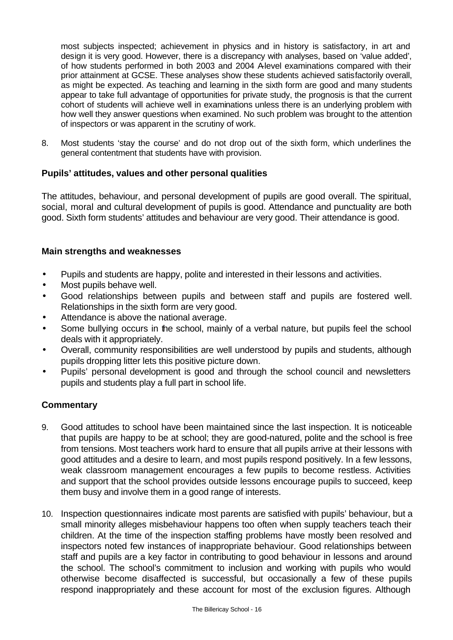most subjects inspected; achievement in physics and in history is satisfactory, in art and design it is very good. However, there is a discrepancy with analyses, based on 'value added', of how students performed in both 2003 and 2004 Alevel examinations compared with their prior attainment at GCSE. These analyses show these students achieved satisfactorily overall, as might be expected. As teaching and learning in the sixth form are good and many students appear to take full advantage of opportunities for private study, the prognosis is that the current cohort of students will achieve well in examinations unless there is an underlying problem with how well they answer questions when examined. No such problem was brought to the attention of inspectors or was apparent in the scrutiny of work.

8. Most students 'stay the course' and do not drop out of the sixth form, which underlines the general contentment that students have with provision.

## **Pupils' attitudes, values and other personal qualities**

The attitudes, behaviour, and personal development of pupils are good overall. The spiritual, social, moral and cultural development of pupils is good. Attendance and punctuality are both good. Sixth form students' attitudes and behaviour are very good. Their attendance is good.

#### **Main strengths and weaknesses**

- Pupils and students are happy, polite and interested in their lessons and activities.
- Most pupils behave well.
- Good relationships between pupils and between staff and pupils are fostered well. Relationships in the sixth form are very good.
- Attendance is above the national average.
- Some bullying occurs in the school, mainly of a verbal nature, but pupils feel the school deals with it appropriately.
- Overall, community responsibilities are well understood by pupils and students, although pupils dropping litter lets this positive picture down.
- Pupils' personal development is good and through the school council and newsletters pupils and students play a full part in school life.

- 9. Good attitudes to school have been maintained since the last inspection. It is noticeable that pupils are happy to be at school; they are good-natured, polite and the school is free from tensions. Most teachers work hard to ensure that all pupils arrive at their lessons with good attitudes and a desire to learn, and most pupils respond positively. In a few lessons, weak classroom management encourages a few pupils to become restless. Activities and support that the school provides outside lessons encourage pupils to succeed, keep them busy and involve them in a good range of interests.
- 10. Inspection questionnaires indicate most parents are satisfied with pupils' behaviour, but a small minority alleges misbehaviour happens too often when supply teachers teach their children. At the time of the inspection staffing problems have mostly been resolved and inspectors noted few instances of inappropriate behaviour. Good relationships between staff and pupils are a key factor in contributing to good behaviour in lessons and around the school. The school's commitment to inclusion and working with pupils who would otherwise become disaffected is successful, but occasionally a few of these pupils respond inappropriately and these account for most of the exclusion figures. Although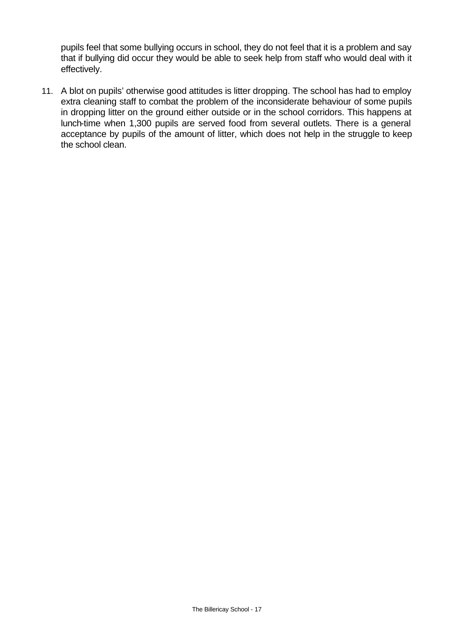pupils feel that some bullying occurs in school, they do not feel that it is a problem and say that if bullying did occur they would be able to seek help from staff who would deal with it effectively.

11. A blot on pupils' otherwise good attitudes is litter dropping. The school has had to employ extra cleaning staff to combat the problem of the inconsiderate behaviour of some pupils in dropping litter on the ground either outside or in the school corridors. This happens at lunch-time when 1,300 pupils are served food from several outlets. There is a general acceptance by pupils of the amount of litter, which does not help in the struggle to keep the school clean.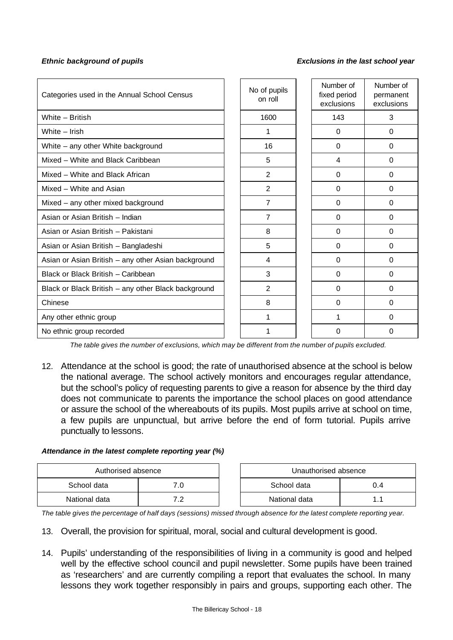#### *Ethnic background of pupils Exclusions in the last school year*

| Categories used in the Annual School Census         | No of pupils<br>on roll | Number of<br>fixed period<br>exclusions | Number of<br>permanent<br>exclusions |
|-----------------------------------------------------|-------------------------|-----------------------------------------|--------------------------------------|
| White - British                                     | 1600                    | 143                                     | 3                                    |
| White - Irish                                       | 1                       | $\Omega$                                | $\Omega$                             |
| White - any other White background                  | 16                      | $\Omega$                                | $\Omega$                             |
| Mixed - White and Black Caribbean                   | 5                       | 4                                       | $\Omega$                             |
| Mixed - White and Black African                     | $\overline{2}$          | $\Omega$                                | $\Omega$                             |
| Mixed - White and Asian                             | $\overline{2}$          | $\Omega$                                | $\Omega$                             |
| Mixed - any other mixed background                  | 7                       | $\Omega$                                | $\Omega$                             |
| Asian or Asian British - Indian                     | $\overline{7}$          | $\Omega$                                | $\Omega$                             |
| Asian or Asian British - Pakistani                  | 8                       | $\Omega$                                | $\Omega$                             |
| Asian or Asian British - Bangladeshi                | 5                       | $\Omega$                                | $\Omega$                             |
| Asian or Asian British - any other Asian background | 4                       | $\Omega$                                | 0                                    |
| Black or Black British - Caribbean                  | 3                       | $\Omega$                                | $\Omega$                             |
| Black or Black British - any other Black background | 2                       | $\Omega$                                | $\Omega$                             |
| Chinese                                             | 8                       | 0                                       | 0                                    |
| Any other ethnic group                              | 1                       |                                         | 0                                    |
| No ethnic group recorded                            |                         | 0                                       | 0                                    |

*The table gives the number of exclusions, which may be different from the number of pupils excluded.*

12. Attendance at the school is good; the rate of unauthorised absence at the school is below the national average. The school actively monitors and encourages regular attendance, but the school's policy of requesting parents to give a reason for absence by the third day does not communicate to parents the importance the school places on good attendance or assure the school of the whereabouts of its pupils. Most pupils arrive at school on time, a few pupils are unpunctual, but arrive before the end of form tutorial. Pupils arrive punctually to lessons.

#### *Attendance in the latest complete reporting year (%)*

|               | Authorised absence |  | Unauthorised absence |  |
|---------------|--------------------|--|----------------------|--|
| School data   |                    |  | School data<br>J.4   |  |
| National data | . <u>.</u>         |  | National data        |  |

*The table gives the percentage of half days (sessions) missed through absence for the latest complete reporting year.*

- 13. Overall, the provision for spiritual, moral, social and cultural development is good.
- 14. Pupils' understanding of the responsibilities of living in a community is good and helped well by the effective school council and pupil newsletter. Some pupils have been trained as 'researchers' and are currently compiling a report that evaluates the school. In many lessons they work together responsibly in pairs and groups, supporting each other. The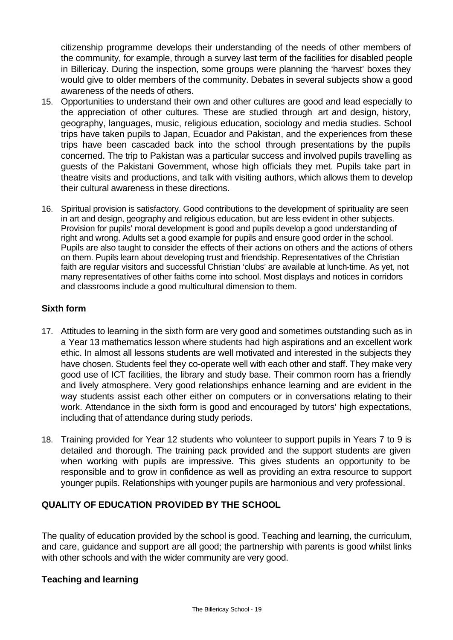citizenship programme develops their understanding of the needs of other members of the community, for example, through a survey last term of the facilities for disabled people in Billericay. During the inspection, some groups were planning the 'harvest' boxes they would give to older members of the community. Debates in several subjects show a good awareness of the needs of others.

- 15. Opportunities to understand their own and other cultures are good and lead especially to the appreciation of other cultures. These are studied through art and design, history, geography, languages, music, religious education, sociology and media studies. School trips have taken pupils to Japan, Ecuador and Pakistan, and the experiences from these trips have been cascaded back into the school through presentations by the pupils concerned. The trip to Pakistan was a particular success and involved pupils travelling as guests of the Pakistani Government, whose high officials they met. Pupils take part in theatre visits and productions, and talk with visiting authors, which allows them to develop their cultural awareness in these directions.
- 16. Spiritual provision is satisfactory. Good contributions to the development of spirituality are seen in art and design, geography and religious education, but are less evident in other subjects. Provision for pupils' moral development is good and pupils develop a good understanding of right and wrong. Adults set a good example for pupils and ensure good order in the school. Pupils are also taught to consider the effects of their actions on others and the actions of others on them. Pupils learn about developing trust and friendship. Representatives of the Christian faith are regular visitors and successful Christian 'clubs' are available at lunch-time. As yet, not many representatives of other faiths come into school. Most displays and notices in corridors and classrooms include a good multicultural dimension to them.

# **Sixth form**

- 17. Attitudes to learning in the sixth form are very good and sometimes outstanding such as in a Year 13 mathematics lesson where students had high aspirations and an excellent work ethic. In almost all lessons students are well motivated and interested in the subjects they have chosen. Students feel they co-operate well with each other and staff. They make very good use of ICT facilities, the library and study base. Their common room has a friendly and lively atmosphere. Very good relationships enhance learning and are evident in the way students assist each other either on computers or in conversations relating to their work. Attendance in the sixth form is good and encouraged by tutors' high expectations, including that of attendance during study periods.
- 18. Training provided for Year 12 students who volunteer to support pupils in Years 7 to 9 is detailed and thorough. The training pack provided and the support students are given when working with pupils are impressive. This gives students an opportunity to be responsible and to grow in confidence as well as providing an extra resource to support younger pupils. Relationships with younger pupils are harmonious and very professional.

# **QUALITY OF EDUCATION PROVIDED BY THE SCHOOL**

The quality of education provided by the school is good. Teaching and learning, the curriculum, and care, guidance and support are all good; the partnership with parents is good whilst links with other schools and with the wider community are very good.

## **Teaching and learning**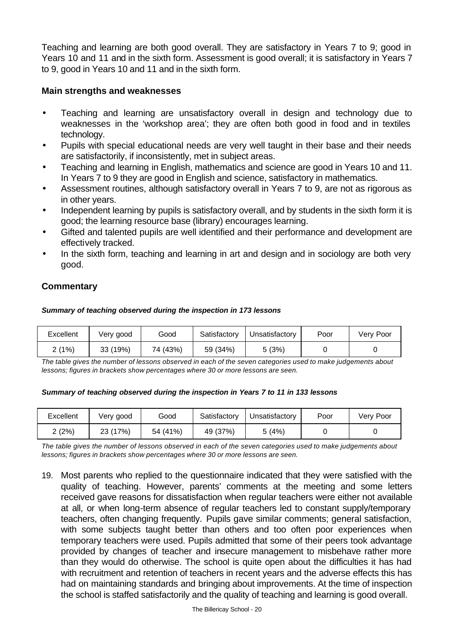Teaching and learning are both good overall. They are satisfactory in Years 7 to 9; good in Years 10 and 11 and in the sixth form. Assessment is good overall; it is satisfactory in Years 7 to 9, good in Years 10 and 11 and in the sixth form.

## **Main strengths and weaknesses**

- Teaching and learning are unsatisfactory overall in design and technology due to weaknesses in the 'workshop area'; they are often both good in food and in textiles technology.
- Pupils with special educational needs are very well taught in their base and their needs are satisfactorily, if inconsistently, met in subject areas.
- Teaching and learning in English, mathematics and science are good in Years 10 and 11. In Years 7 to 9 they are good in English and science, satisfactory in mathematics.
- Assessment routines, although satisfactory overall in Years 7 to 9, are not as rigorous as in other years.
- Independent learning by pupils is satisfactory overall, and by students in the sixth form it is good; the learning resource base (library) encourages learning.
- Gifted and talented pupils are well identified and their performance and development are effectively tracked.
- In the sixth form, teaching and learning in art and design and in sociology are both very good.

# **Commentary**

#### *Summary of teaching observed during the inspection in 173 lessons*

| Excellent | Very good | Good     | Satisfactory | Unsatisfactory | Poor | Very Poor |
|-----------|-----------|----------|--------------|----------------|------|-----------|
| 2(1%)     | 33 (19%)  | 74 (43%) | 59 (34%)     | 5(3%)          |      |           |

*The table gives the number of lessons observed in each of the seven categories used to make judgements about lessons; figures in brackets show percentages where 30 or more lessons are seen.*

#### *Summary of teaching observed during the inspection in Years 7 to 11 in 133 lessons*

| Excellent | Very good | Good     | Satisfactory | Unsatisfactory | Poor | Very Poor |
|-----------|-----------|----------|--------------|----------------|------|-----------|
| 2(2%)     | 23 (17%)  | 54 (41%) | 49 (37%)     | 5 (4%)         |      |           |

*The table gives the number of lessons observed in each of the seven categories used to make judgements about lessons; figures in brackets show percentages where 30 or more lessons are seen.*

19. Most parents who replied to the questionnaire indicated that they were satisfied with the quality of teaching. However, parents' comments at the meeting and some letters received gave reasons for dissatisfaction when regular teachers were either not available at all, or when long-term absence of regular teachers led to constant supply/temporary teachers, often changing frequently. Pupils gave similar comments; general satisfaction, with some subjects taught better than others and too often poor experiences when temporary teachers were used. Pupils admitted that some of their peers took advantage provided by changes of teacher and insecure management to misbehave rather more than they would do otherwise. The school is quite open about the difficulties it has had with recruitment and retention of teachers in recent years and the adverse effects this has had on maintaining standards and bringing about improvements. At the time of inspection the school is staffed satisfactorily and the quality of teaching and learning is good overall.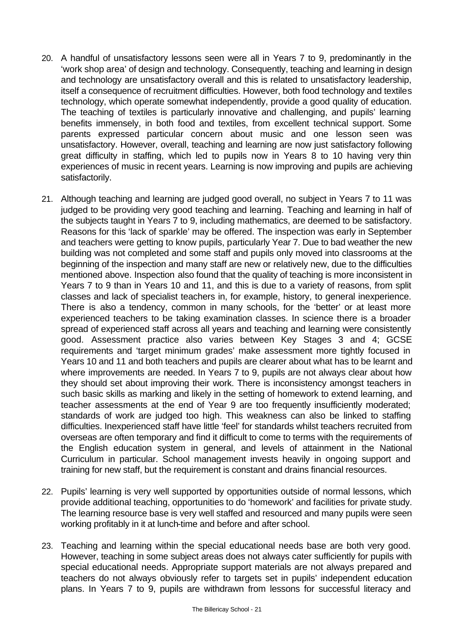- 20. A handful of unsatisfactory lessons seen were all in Years 7 to 9, predominantly in the 'work shop area' of design and technology. Consequently, teaching and learning in design and technology are unsatisfactory overall and this is related to unsatisfactory leadership, itself a consequence of recruitment difficulties. However, both food technology and textiles technology, which operate somewhat independently, provide a good quality of education. The teaching of textiles is particularly innovative and challenging, and pupils' learning benefits immensely, in both food and textiles, from excellent technical support. Some parents expressed particular concern about music and one lesson seen was unsatisfactory. However, overall, teaching and learning are now just satisfactory following great difficulty in staffing, which led to pupils now in Years 8 to 10 having very thin experiences of music in recent years. Learning is now improving and pupils are achieving satisfactorily.
- 21. Although teaching and learning are judged good overall, no subject in Years 7 to 11 was judged to be providing very good teaching and learning. Teaching and learning in half of the subjects taught in Years 7 to 9, including mathematics, are deemed to be satisfactory. Reasons for this 'lack of sparkle' may be offered. The inspection was early in September and teachers were getting to know pupils, particularly Year 7. Due to bad weather the new building was not completed and some staff and pupils only moved into classrooms at the beginning of the inspection and many staff are new or relatively new, due to the difficulties mentioned above. Inspection also found that the quality of teaching is more inconsistent in Years 7 to 9 than in Years 10 and 11, and this is due to a variety of reasons, from split classes and lack of specialist teachers in, for example, history, to general inexperience. There is also a tendency, common in many schools, for the 'better' or at least more experienced teachers to be taking examination classes. In science there is a broader spread of experienced staff across all years and teaching and learning were consistently good. Assessment practice also varies between Key Stages 3 and 4; GCSE requirements and 'target minimum grades' make assessment more tightly focused in Years 10 and 11 and both teachers and pupils are clearer about what has to be learnt and where improvements are needed. In Years 7 to 9, pupils are not always clear about how they should set about improving their work. There is inconsistency amongst teachers in such basic skills as marking and likely in the setting of homework to extend learning, and teacher assessments at the end of Year 9 are too frequently insufficiently moderated; standards of work are judged too high. This weakness can also be linked to staffing difficulties. Inexperienced staff have little 'feel' for standards whilst teachers recruited from overseas are often temporary and find it difficult to come to terms with the requirements of the English education system in general, and levels of attainment in the National Curriculum in particular. School management invests heavily in ongoing support and training for new staff, but the requirement is constant and drains financial resources.
- 22. Pupils' learning is very well supported by opportunities outside of normal lessons, which provide additional teaching, opportunities to do 'homework' and facilities for private study. The learning resource base is very well staffed and resourced and many pupils were seen working profitably in it at lunch-time and before and after school.
- 23. Teaching and learning within the special educational needs base are both very good. However, teaching in some subject areas does not always cater sufficiently for pupils with special educational needs. Appropriate support materials are not always prepared and teachers do not always obviously refer to targets set in pupils' independent education plans. In Years 7 to 9, pupils are withdrawn from lessons for successful literacy and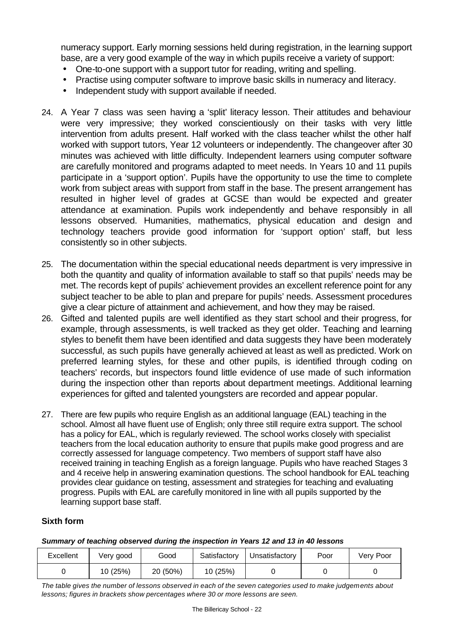numeracy support. Early morning sessions held during registration, in the learning support base, are a very good example of the way in which pupils receive a variety of support:

- One-to-one support with a support tutor for reading, writing and spelling.
- Practise using computer software to improve basic skills in numeracy and literacy.
- Independent study with support available if needed.
- 24. A Year 7 class was seen having a 'split' literacy lesson. Their attitudes and behaviour were very impressive; they worked conscientiously on their tasks with very little intervention from adults present. Half worked with the class teacher whilst the other half worked with support tutors, Year 12 volunteers or independently. The changeover after 30 minutes was achieved with little difficulty. Independent learners using computer software are carefully monitored and programs adapted to meet needs. In Years 10 and 11 pupils participate in a 'support option'. Pupils have the opportunity to use the time to complete work from subject areas with support from staff in the base. The present arrangement has resulted in higher level of grades at GCSE than would be expected and greater attendance at examination. Pupils work independently and behave responsibly in all lessons observed. Humanities, mathematics, physical education and design and technology teachers provide good information for 'support option' staff, but less consistently so in other subjects.
- 25. The documentation within the special educational needs department is very impressive in both the quantity and quality of information available to staff so that pupils' needs may be met. The records kept of pupils' achievement provides an excellent reference point for any subject teacher to be able to plan and prepare for pupils' needs. Assessment procedures give a clear picture of attainment and achievement, and how they may be raised.
- 26. Gifted and talented pupils are well identified as they start school and their progress, for example, through assessments, is well tracked as they get older. Teaching and learning styles to benefit them have been identified and data suggests they have been moderately successful, as such pupils have generally achieved at least as well as predicted. Work on preferred learning styles, for these and other pupils, is identified through coding on teachers' records, but inspectors found little evidence of use made of such information during the inspection other than reports about department meetings. Additional learning experiences for gifted and talented youngsters are recorded and appear popular.
- 27. There are few pupils who require English as an additional language (EAL) teaching in the school. Almost all have fluent use of English; only three still require extra support. The school has a policy for EAL, which is regularly reviewed. The school works closely with specialist teachers from the local education authority to ensure that pupils make good progress and are correctly assessed for language competency. Two members of support staff have also received training in teaching English as a foreign language. Pupils who have reached Stages 3 and 4 receive help in answering examination questions. The school handbook for EAL teaching provides clear guidance on testing, assessment and strategies for teaching and evaluating progress. Pupils with EAL are carefully monitored in line with all pupils supported by the learning support base staff.

#### **Sixth form**

#### *Summary of teaching observed during the inspection in Years 12 and 13 in 40 lessons*

| Excellent | Very good | Good     | Satisfactory | Unsatisfactory | Poor | Very Poor |
|-----------|-----------|----------|--------------|----------------|------|-----------|
|           | 10 (25%)  | 20 (50%) | 10 (25%)     |                |      |           |

*The table gives the number of lessons observed in each of the seven categories used to make judgements about lessons; figures in brackets show percentages where 30 or more lessons are seen.*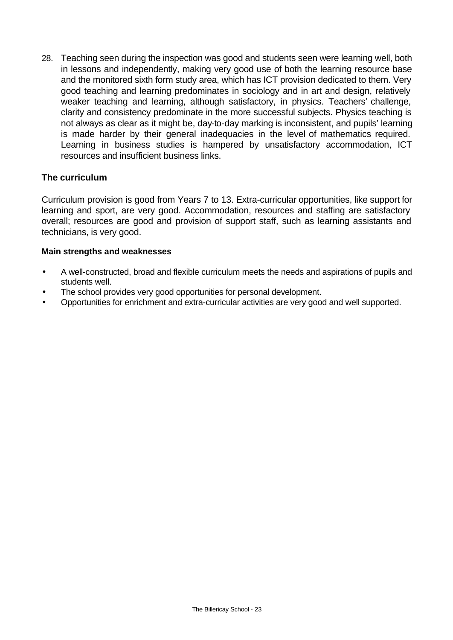28. Teaching seen during the inspection was good and students seen were learning well, both in lessons and independently, making very good use of both the learning resource base and the monitored sixth form study area, which has ICT provision dedicated to them. Very good teaching and learning predominates in sociology and in art and design, relatively weaker teaching and learning, although satisfactory, in physics. Teachers' challenge, clarity and consistency predominate in the more successful subjects. Physics teaching is not always as clear as it might be, day-to-day marking is inconsistent, and pupils' learning is made harder by their general inadequacies in the level of mathematics required. Learning in business studies is hampered by unsatisfactory accommodation, ICT resources and insufficient business links.

## **The curriculum**

Curriculum provision is good from Years 7 to 13. Extra-curricular opportunities, like support for learning and sport, are very good. Accommodation, resources and staffing are satisfactory overall; resources are good and provision of support staff, such as learning assistants and technicians, is very good.

#### **Main strengths and weaknesses**

- A well-constructed, broad and flexible curriculum meets the needs and aspirations of pupils and students well.
- The school provides very good opportunities for personal development.
- Opportunities for enrichment and extra-curricular activities are very good and well supported.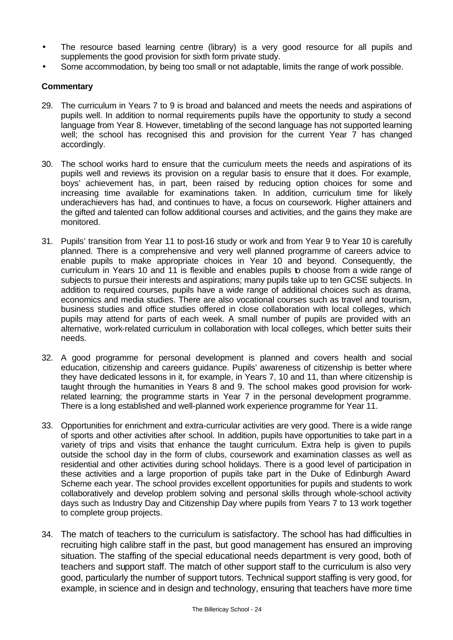- The resource based learning centre (library) is a very good resource for all pupils and supplements the good provision for sixth form private study.
- Some accommodation, by being too small or not adaptable, limits the range of work possible.

- 29. The curriculum in Years 7 to 9 is broad and balanced and meets the needs and aspirations of pupils well. In addition to normal requirements pupils have the opportunity to study a second language from Year 8. However, timetabling of the second language has not supported learning well; the school has recognised this and provision for the current Year 7 has changed accordingly.
- 30. The school works hard to ensure that the curriculum meets the needs and aspirations of its pupils well and reviews its provision on a regular basis to ensure that it does. For example, boys' achievement has, in part, been raised by reducing option choices for some and increasing time available for examinations taken. In addition, curriculum time for likely underachievers has had, and continues to have, a focus on coursework. Higher attainers and the gifted and talented can follow additional courses and activities, and the gains they make are monitored.
- 31. Pupils' transition from Year 11 to post-16 study or work and from Year 9 to Year 10 is carefully planned. There is a comprehensive and very well planned programme of careers advice to enable pupils to make appropriate choices in Year 10 and beyond. Consequently, the curriculum in Years 10 and 11 is flexible and enables pupils to choose from a wide range of subjects to pursue their interests and aspirations; many pupils take up to ten GCSE subjects. In addition to required courses, pupils have a wide range of additional choices such as drama, economics and media studies. There are also vocational courses such as travel and tourism, business studies and office studies offered in close collaboration with local colleges, which pupils may attend for parts of each week. A small number of pupils are provided with an alternative, work-related curriculum in collaboration with local colleges, which better suits their needs.
- 32. A good programme for personal development is planned and covers health and social education, citizenship and careers guidance. Pupils' awareness of citizenship is better where they have dedicated lessons in it, for example, in Years 7, 10 and 11, than where citizenship is taught through the humanities in Years 8 and 9. The school makes good provision for workrelated learning; the programme starts in Year 7 in the personal development programme. There is a long established and well-planned work experience programme for Year 11.
- 33. Opportunities for enrichment and extra-curricular activities are very good. There is a wide range of sports and other activities after school. In addition, pupils have opportunities to take part in a variety of trips and visits that enhance the taught curriculum. Extra help is given to pupils outside the school day in the form of clubs, coursework and examination classes as well as residential and other activities during school holidays. There is a good level of participation in these activities and a large proportion of pupils take part in the Duke of Edinburgh Award Scheme each year. The school provides excellent opportunities for pupils and students to work collaboratively and develop problem solving and personal skills through whole-school activity days such as Industry Day and Citizenship Day where pupils from Years 7 to 13 work together to complete group projects.
- 34. The match of teachers to the curriculum is satisfactory. The school has had difficulties in recruiting high calibre staff in the past, but good management has ensured an improving situation. The staffing of the special educational needs department is very good, both of teachers and support staff. The match of other support staff to the curriculum is also very good, particularly the number of support tutors. Technical support staffing is very good, for example, in science and in design and technology, ensuring that teachers have more time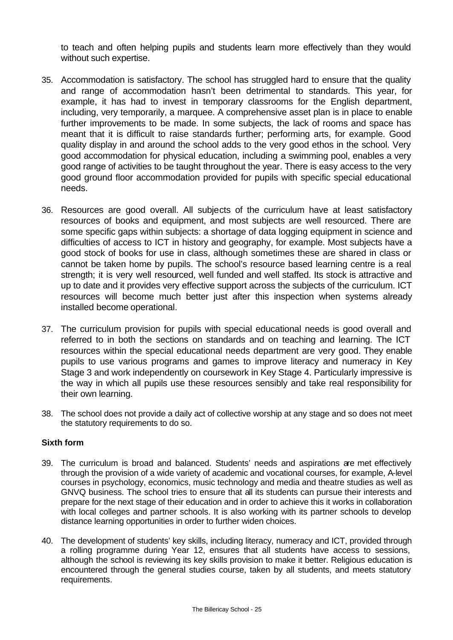to teach and often helping pupils and students learn more effectively than they would without such expertise.

- 35. Accommodation is satisfactory. The school has struggled hard to ensure that the quality and range of accommodation hasn't been detrimental to standards. This year, for example, it has had to invest in temporary classrooms for the English department, including, very temporarily, a marquee. A comprehensive asset plan is in place to enable further improvements to be made. In some subjects, the lack of rooms and space has meant that it is difficult to raise standards further; performing arts, for example. Good quality display in and around the school adds to the very good ethos in the school. Very good accommodation for physical education, including a swimming pool, enables a very good range of activities to be taught throughout the year. There is easy access to the very good ground floor accommodation provided for pupils with specific special educational needs.
- 36. Resources are good overall. All subjects of the curriculum have at least satisfactory resources of books and equipment, and most subjects are well resourced. There are some specific gaps within subjects: a shortage of data logging equipment in science and difficulties of access to ICT in history and geography, for example. Most subjects have a good stock of books for use in class, although sometimes these are shared in class or cannot be taken home by pupils. The school's resource based learning centre is a real strength; it is very well resourced, well funded and well staffed. Its stock is attractive and up to date and it provides very effective support across the subjects of the curriculum. ICT resources will become much better just after this inspection when systems already installed become operational.
- 37. The curriculum provision for pupils with special educational needs is good overall and referred to in both the sections on standards and on teaching and learning. The ICT resources within the special educational needs department are very good. They enable pupils to use various programs and games to improve literacy and numeracy in Key Stage 3 and work independently on coursework in Key Stage 4. Particularly impressive is the way in which all pupils use these resources sensibly and take real responsibility for their own learning.
- 38. The school does not provide a daily act of collective worship at any stage and so does not meet the statutory requirements to do so.

## **Sixth form**

- 39. The curriculum is broad and balanced. Students' needs and aspirations are met effectively through the provision of a wide variety of academic and vocational courses, for example, A-level courses in psychology, economics, music technology and media and theatre studies as well as GNVQ business. The school tries to ensure that all its students can pursue their interests and prepare for the next stage of their education and in order to achieve this it works in collaboration with local colleges and partner schools. It is also working with its partner schools to develop distance learning opportunities in order to further widen choices.
- 40. The development of students' key skills, including literacy, numeracy and ICT, provided through a rolling programme during Year 12, ensures that all students have access to sessions, although the school is reviewing its key skills provision to make it better. Religious education is encountered through the general studies course, taken by all students, and meets statutory requirements.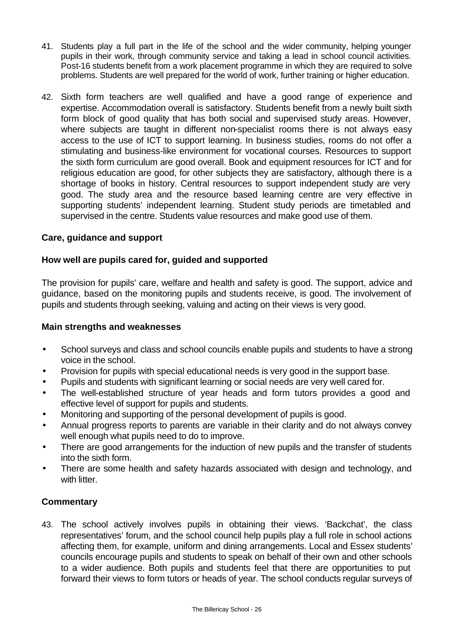- 41. Students play a full part in the life of the school and the wider community, helping younger pupils in their work, through community service and taking a lead in school council activities. Post-16 students benefit from a work placement programme in which they are required to solve problems. Students are well prepared for the world of work, further training or higher education.
- 42. Sixth form teachers are well qualified and have a good range of experience and expertise. Accommodation overall is satisfactory. Students benefit from a newly built sixth form block of good quality that has both social and supervised study areas. However, where subjects are taught in different non-specialist rooms there is not always easy access to the use of ICT to support learning. In business studies, rooms do not offer a stimulating and business-like environment for vocational courses. Resources to support the sixth form curriculum are good overall. Book and equipment resources for ICT and for religious education are good, for other subjects they are satisfactory, although there is a shortage of books in history. Central resources to support independent study are very good. The study area and the resource based learning centre are very effective in supporting students' independent learning. Student study periods are timetabled and supervised in the centre. Students value resources and make good use of them.

## **Care, guidance and support**

## **How well are pupils cared for, guided and supported**

The provision for pupils' care, welfare and health and safety is good. The support, advice and guidance, based on the monitoring pupils and students receive, is good. The involvement of pupils and students through seeking, valuing and acting on their views is very good.

## **Main strengths and weaknesses**

- School surveys and class and school councils enable pupils and students to have a strong voice in the school.
- Provision for pupils with special educational needs is very good in the support base.
- Pupils and students with significant learning or social needs are very well cared for.
- The well-established structure of year heads and form tutors provides a good and effective level of support for pupils and students.
- Monitoring and supporting of the personal development of pupils is good.
- Annual progress reports to parents are variable in their clarity and do not always convey well enough what pupils need to do to improve.
- There are good arrangements for the induction of new pupils and the transfer of students into the sixth form.
- There are some health and safety hazards associated with design and technology, and with litter.

## **Commentary**

43. The school actively involves pupils in obtaining their views. 'Backchat', the class representatives' forum, and the school council help pupils play a full role in school actions affecting them, for example, uniform and dining arrangements. Local and Essex students' councils encourage pupils and students to speak on behalf of their own and other schools to a wider audience. Both pupils and students feel that there are opportunities to put forward their views to form tutors or heads of year. The school conducts regular surveys of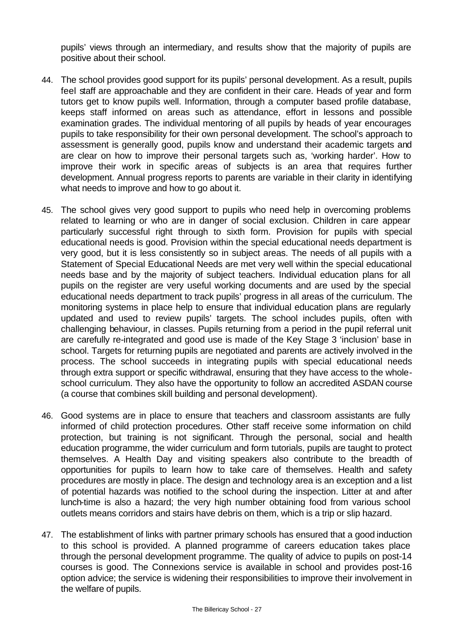pupils' views through an intermediary, and results show that the majority of pupils are positive about their school.

- 44. The school provides good support for its pupils' personal development. As a result, pupils feel staff are approachable and they are confident in their care. Heads of year and form tutors get to know pupils well. Information, through a computer based profile database, keeps staff informed on areas such as attendance, effort in lessons and possible examination grades. The individual mentoring of all pupils by heads of year encourages pupils to take responsibility for their own personal development. The school's approach to assessment is generally good, pupils know and understand their academic targets and are clear on how to improve their personal targets such as, 'working harder'. How to improve their work in specific areas of subjects is an area that requires further development. Annual progress reports to parents are variable in their clarity in identifying what needs to improve and how to go about it.
- 45. The school gives very good support to pupils who need help in overcoming problems related to learning or who are in danger of social exclusion. Children in care appear particularly successful right through to sixth form. Provision for pupils with special educational needs is good. Provision within the special educational needs department is very good, but it is less consistently so in subject areas. The needs of all pupils with a Statement of Special Educational Needs are met very well within the special educational needs base and by the majority of subject teachers. Individual education plans for all pupils on the register are very useful working documents and are used by the special educational needs department to track pupils' progress in all areas of the curriculum. The monitoring systems in place help to ensure that individual education plans are regularly updated and used to review pupils' targets. The school includes pupils, often with challenging behaviour, in classes. Pupils returning from a period in the pupil referral unit are carefully re-integrated and good use is made of the Key Stage 3 'inclusion' base in school. Targets for returning pupils are negotiated and parents are actively involved in the process. The school succeeds in integrating pupils with special educational needs through extra support or specific withdrawal, ensuring that they have access to the wholeschool curriculum. They also have the opportunity to follow an accredited ASDAN course (a course that combines skill building and personal development).
- 46. Good systems are in place to ensure that teachers and classroom assistants are fully informed of child protection procedures. Other staff receive some information on child protection, but training is not significant. Through the personal, social and health education programme, the wider curriculum and form tutorials, pupils are taught to protect themselves. A Health Day and visiting speakers also contribute to the breadth of opportunities for pupils to learn how to take care of themselves. Health and safety procedures are mostly in place. The design and technology area is an exception and a list of potential hazards was notified to the school during the inspection. Litter at and after lunch-time is also a hazard; the very high number obtaining food from various school outlets means corridors and stairs have debris on them, which is a trip or slip hazard.
- 47. The establishment of links with partner primary schools has ensured that a good induction to this school is provided. A planned programme of careers education takes place through the personal development programme. The quality of advice to pupils on post-14 courses is good. The Connexions service is available in school and provides post-16 option advice; the service is widening their responsibilities to improve their involvement in the welfare of pupils.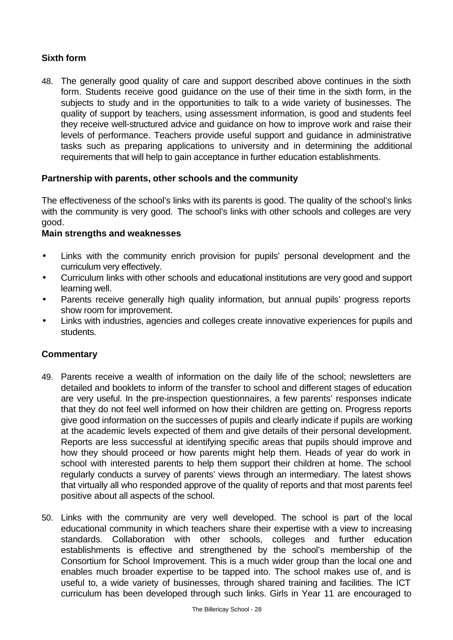# **Sixth form**

48. The generally good quality of care and support described above continues in the sixth form. Students receive good guidance on the use of their time in the sixth form, in the subjects to study and in the opportunities to talk to a wide variety of businesses. The quality of support by teachers, using assessment information, is good and students feel they receive well-structured advice and guidance on how to improve work and raise their levels of performance. Teachers provide useful support and guidance in administrative tasks such as preparing applications to university and in determining the additional requirements that will help to gain acceptance in further education establishments.

## **Partnership with parents, other schools and the community**

The effectiveness of the school's links with its parents is good. The quality of the school's links with the community is very good. The school's links with other schools and colleges are very good.

## **Main strengths and weaknesses**

- Links with the community enrich provision for pupils' personal development and the curriculum very effectively.
- Curriculum links with other schools and educational institutions are very good and support learning well.
- Parents receive generally high quality information, but annual pupils' progress reports show room for improvement.
- Links with industries, agencies and colleges create innovative experiences for pupils and students.

- 49. Parents receive a wealth of information on the daily life of the school; newsletters are detailed and booklets to inform of the transfer to school and different stages of education are very useful. In the pre-inspection questionnaires, a few parents' responses indicate that they do not feel well informed on how their children are getting on. Progress reports give good information on the successes of pupils and clearly indicate if pupils are working at the academic levels expected of them and give details of their personal development. Reports are less successful at identifying specific areas that pupils should improve and how they should proceed or how parents might help them. Heads of year do work in school with interested parents to help them support their children at home. The school regularly conducts a survey of parents' views through an intermediary. The latest shows that virtually all who responded approve of the quality of reports and that most parents feel positive about all aspects of the school.
- 50. Links with the community are very well developed. The school is part of the local educational community in which teachers share their expertise with a view to increasing standards. Collaboration with other schools, colleges and further education establishments is effective and strengthened by the school's membership of the Consortium for School Improvement. This is a much wider group than the local one and enables much broader expertise to be tapped into. The school makes use of, and is useful to, a wide variety of businesses, through shared training and facilities. The ICT curriculum has been developed through such links. Girls in Year 11 are encouraged to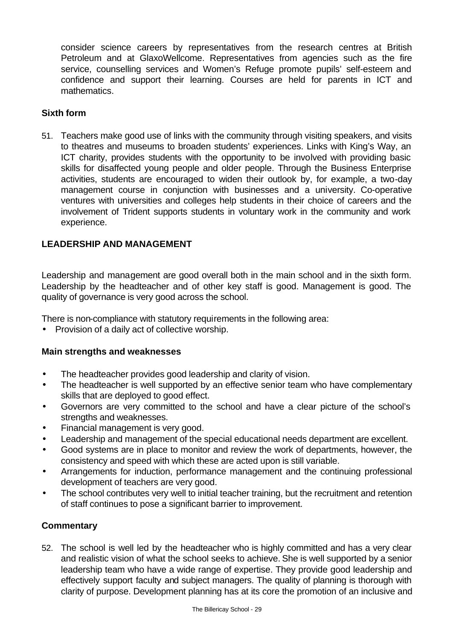consider science careers by representatives from the research centres at British Petroleum and at GlaxoWellcome. Representatives from agencies such as the fire service, counselling services and Women's Refuge promote pupils' self-esteem and confidence and support their learning. Courses are held for parents in ICT and mathematics.

# **Sixth form**

51. Teachers make good use of links with the community through visiting speakers, and visits to theatres and museums to broaden students' experiences. Links with King's Way, an ICT charity, provides students with the opportunity to be involved with providing basic skills for disaffected young people and older people. Through the Business Enterprise activities, students are encouraged to widen their outlook by, for example, a two-day management course in conjunction with businesses and a university. Co-operative ventures with universities and colleges help students in their choice of careers and the involvement of Trident supports students in voluntary work in the community and work experience.

## **LEADERSHIP AND MANAGEMENT**

Leadership and management are good overall both in the main school and in the sixth form. Leadership by the headteacher and of other key staff is good. Management is good. The quality of governance is very good across the school.

There is non-compliance with statutory requirements in the following area:

• Provision of a daily act of collective worship.

#### **Main strengths and weaknesses**

- The headteacher provides good leadership and clarity of vision.
- The headteacher is well supported by an effective senior team who have complementary skills that are deployed to good effect.
- Governors are very committed to the school and have a clear picture of the school's strengths and weaknesses.
- Financial management is very good.
- Leadership and management of the special educational needs department are excellent.
- Good systems are in place to monitor and review the work of departments, however, the consistency and speed with which these are acted upon is still variable.
- Arrangements for induction, performance management and the continuing professional development of teachers are very good.
- The school contributes very well to initial teacher training, but the recruitment and retention of staff continues to pose a significant barrier to improvement.

## **Commentary**

52. The school is well led by the headteacher who is highly committed and has a very clear and realistic vision of what the school seeks to achieve. She is well supported by a senior leadership team who have a wide range of expertise. They provide good leadership and effectively support faculty and subject managers. The quality of planning is thorough with clarity of purpose. Development planning has at its core the promotion of an inclusive and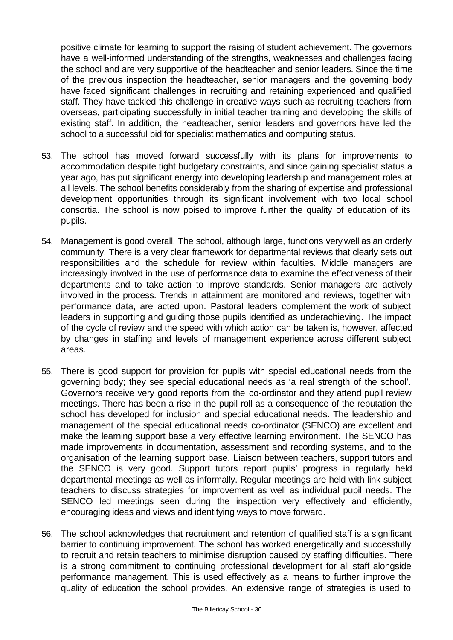positive climate for learning to support the raising of student achievement. The governors have a well-informed understanding of the strengths, weaknesses and challenges facing the school and are very supportive of the headteacher and senior leaders. Since the time of the previous inspection the headteacher, senior managers and the governing body have faced significant challenges in recruiting and retaining experienced and qualified staff. They have tackled this challenge in creative ways such as recruiting teachers from overseas, participating successfully in initial teacher training and developing the skills of existing staff. In addition, the headteacher, senior leaders and governors have led the school to a successful bid for specialist mathematics and computing status.

- 53. The school has moved forward successfully with its plans for improvements to accommodation despite tight budgetary constraints, and since gaining specialist status a year ago, has put significant energy into developing leadership and management roles at all levels. The school benefits considerably from the sharing of expertise and professional development opportunities through its significant involvement with two local school consortia. The school is now poised to improve further the quality of education of its pupils.
- 54. Management is good overall. The school, although large, functions very well as an orderly community. There is a very clear framework for departmental reviews that clearly sets out responsibilities and the schedule for review within faculties. Middle managers are increasingly involved in the use of performance data to examine the effectiveness of their departments and to take action to improve standards. Senior managers are actively involved in the process. Trends in attainment are monitored and reviews, together with performance data, are acted upon. Pastoral leaders complement the work of subject leaders in supporting and guiding those pupils identified as underachieving. The impact of the cycle of review and the speed with which action can be taken is, however, affected by changes in staffing and levels of management experience across different subject areas.
- 55. There is good support for provision for pupils with special educational needs from the governing body; they see special educational needs as 'a real strength of the school'. Governors receive very good reports from the co-ordinator and they attend pupil review meetings. There has been a rise in the pupil roll as a consequence of the reputation the school has developed for inclusion and special educational needs. The leadership and management of the special educational needs co-ordinator (SENCO) are excellent and make the learning support base a very effective learning environment. The SENCO has made improvements in documentation, assessment and recording systems, and to the organisation of the learning support base. Liaison between teachers, support tutors and the SENCO is very good. Support tutors report pupils' progress in regularly held departmental meetings as well as informally. Regular meetings are held with link subject teachers to discuss strategies for improvement as well as individual pupil needs. The SENCO led meetings seen during the inspection very effectively and efficiently, encouraging ideas and views and identifying ways to move forward.
- 56. The school acknowledges that recruitment and retention of qualified staff is a significant barrier to continuing improvement. The school has worked energetically and successfully to recruit and retain teachers to minimise disruption caused by staffing difficulties. There is a strong commitment to continuing professional development for all staff alongside performance management. This is used effectively as a means to further improve the quality of education the school provides. An extensive range of strategies is used to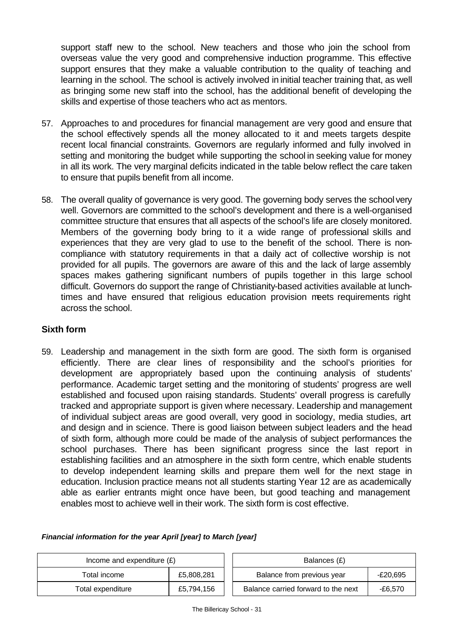support staff new to the school. New teachers and those who join the school from overseas value the very good and comprehensive induction programme. This effective support ensures that they make a valuable contribution to the quality of teaching and learning in the school. The school is actively involved in initial teacher training that, as well as bringing some new staff into the school, has the additional benefit of developing the skills and expertise of those teachers who act as mentors.

- 57. Approaches to and procedures for financial management are very good and ensure that the school effectively spends all the money allocated to it and meets targets despite recent local financial constraints. Governors are regularly informed and fully involved in setting and monitoring the budget while supporting the school in seeking value for money in all its work. The very marginal deficits indicated in the table below reflect the care taken to ensure that pupils benefit from all income.
- 58. The overall quality of governance is very good. The governing body serves the school very well. Governors are committed to the school's development and there is a well-organised committee structure that ensures that all aspects of the school's life are closely monitored. Members of the governing body bring to it a wide range of professional skills and experiences that they are very glad to use to the benefit of the school. There is noncompliance with statutory requirements in that a daily act of collective worship is not provided for all pupils. The governors are aware of this and the lack of large assembly spaces makes gathering significant numbers of pupils together in this large school difficult. Governors do support the range of Christianity-based activities available at lunchtimes and have ensured that religious education provision meets requirements right across the school.

# **Sixth form**

59. Leadership and management in the sixth form are good. The sixth form is organised efficiently. There are clear lines of responsibility and the school's priorities for development are appropriately based upon the continuing analysis of students' performance. Academic target setting and the monitoring of students' progress are well established and focused upon raising standards. Students' overall progress is carefully tracked and appropriate support is given where necessary. Leadership and management of individual subject areas are good overall, very good in sociology, media studies, art and design and in science. There is good liaison between subject leaders and the head of sixth form, although more could be made of the analysis of subject performances the school purchases. There has been significant progress since the last report in establishing facilities and an atmosphere in the sixth form centre, which enable students to develop independent learning skills and prepare them well for the next stage in education. Inclusion practice means not all students starting Year 12 are as academically able as earlier entrants might once have been, but good teaching and management enables most to achieve well in their work. The sixth form is cost effective.

| Income and expenditure $(E)$ |            | Balances (£)                                   |
|------------------------------|------------|------------------------------------------------|
| £5,808,281<br>Total income   |            | Balance from previous year<br>-£20,695         |
| Total expenditure            | £5,794,156 | Balance carried forward to the next<br>-£6.570 |

#### *Financial information for the year April [year] to March [year]*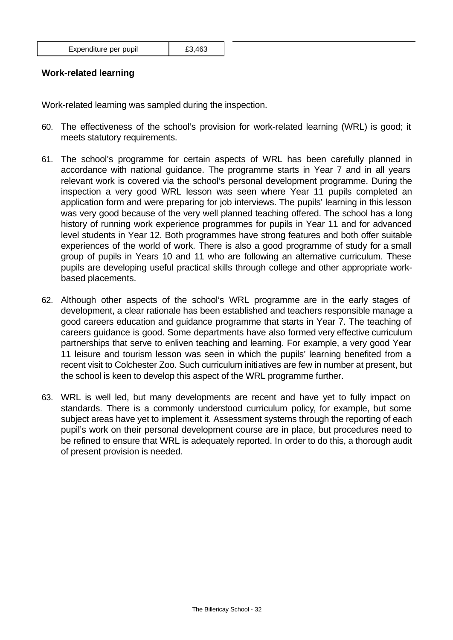| Expenditure per pupil | £3,463 |
|-----------------------|--------|
|-----------------------|--------|

## **Work-related learning**

Work-related learning was sampled during the inspection.

- 60. The effectiveness of the school's provision for work-related learning (WRL) is good; it meets statutory requirements.
- 61. The school's programme for certain aspects of WRL has been carefully planned in accordance with national guidance. The programme starts in Year 7 and in all years relevant work is covered via the school's personal development programme. During the inspection a very good WRL lesson was seen where Year 11 pupils completed an application form and were preparing for job interviews. The pupils' learning in this lesson was very good because of the very well planned teaching offered. The school has a long history of running work experience programmes for pupils in Year 11 and for advanced level students in Year 12. Both programmes have strong features and both offer suitable experiences of the world of work. There is also a good programme of study for a small group of pupils in Years 10 and 11 who are following an alternative curriculum. These pupils are developing useful practical skills through college and other appropriate workbased placements.
- 62. Although other aspects of the school's WRL programme are in the early stages of development, a clear rationale has been established and teachers responsible manage a good careers education and guidance programme that starts in Year 7. The teaching of careers guidance is good. Some departments have also formed very effective curriculum partnerships that serve to enliven teaching and learning. For example, a very good Year 11 leisure and tourism lesson was seen in which the pupils' learning benefited from a recent visit to Colchester Zoo. Such curriculum initiatives are few in number at present, but the school is keen to develop this aspect of the WRL programme further.
- 63. WRL is well led, but many developments are recent and have yet to fully impact on standards. There is a commonly understood curriculum policy, for example, but some subject areas have yet to implement it. Assessment systems through the reporting of each pupil's work on their personal development course are in place, but procedures need to be refined to ensure that WRL is adequately reported. In order to do this, a thorough audit of present provision is needed.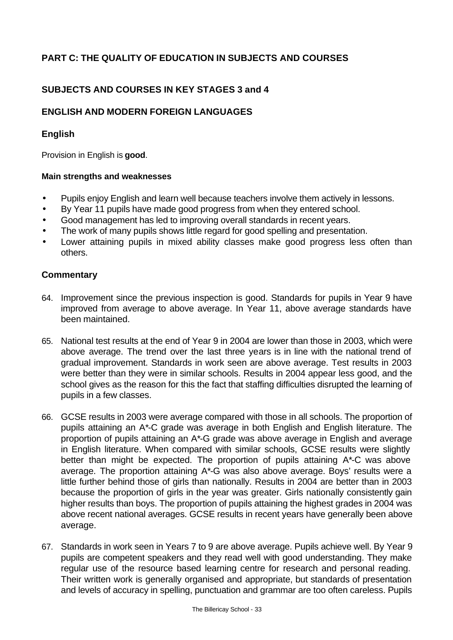# **PART C: THE QUALITY OF EDUCATION IN SUBJECTS AND COURSES**

# **SUBJECTS AND COURSES IN KEY STAGES 3 and 4**

# **ENGLISH AND MODERN FOREIGN LANGUAGES**

## **English**

Provision in English is **good**.

#### **Main strengths and weaknesses**

- Pupils enjoy English and learn well because teachers involve them actively in lessons.
- By Year 11 pupils have made good progress from when they entered school.
- Good management has led to improving overall standards in recent years.
- The work of many pupils shows little regard for good spelling and presentation.
- Lower attaining pupils in mixed ability classes make good progress less often than others.

- 64. Improvement since the previous inspection is good. Standards for pupils in Year 9 have improved from average to above average. In Year 11, above average standards have been maintained.
- 65. National test results at the end of Year 9 in 2004 are lower than those in 2003, which were above average. The trend over the last three years is in line with the national trend of gradual improvement. Standards in work seen are above average. Test results in 2003 were better than they were in similar schools. Results in 2004 appear less good, and the school gives as the reason for this the fact that staffing difficulties disrupted the learning of pupils in a few classes.
- 66. GCSE results in 2003 were average compared with those in all schools. The proportion of pupils attaining an A\*-C grade was average in both English and English literature. The proportion of pupils attaining an A\*-G grade was above average in English and average in English literature. When compared with similar schools, GCSE results were slightly better than might be expected. The proportion of pupils attaining A\*-C was above average. The proportion attaining A\*-G was also above average. Boys' results were a little further behind those of girls than nationally. Results in 2004 are better than in 2003 because the proportion of girls in the year was greater. Girls nationally consistently gain higher results than boys. The proportion of pupils attaining the highest grades in 2004 was above recent national averages. GCSE results in recent years have generally been above average.
- 67. Standards in work seen in Years 7 to 9 are above average. Pupils achieve well. By Year 9 pupils are competent speakers and they read well with good understanding. They make regular use of the resource based learning centre for research and personal reading. Their written work is generally organised and appropriate, but standards of presentation and levels of accuracy in spelling, punctuation and grammar are too often careless. Pupils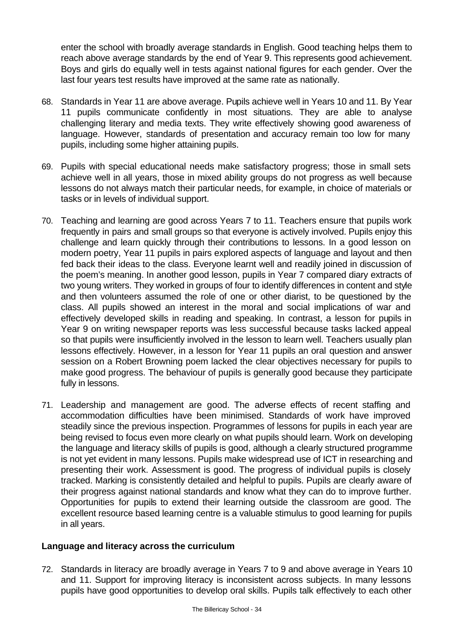enter the school with broadly average standards in English. Good teaching helps them to reach above average standards by the end of Year 9. This represents good achievement. Boys and girls do equally well in tests against national figures for each gender. Over the last four years test results have improved at the same rate as nationally.

- 68. Standards in Year 11 are above average. Pupils achieve well in Years 10 and 11. By Year 11 pupils communicate confidently in most situations. They are able to analyse challenging literary and media texts. They write effectively showing good awareness of language. However, standards of presentation and accuracy remain too low for many pupils, including some higher attaining pupils.
- 69. Pupils with special educational needs make satisfactory progress; those in small sets achieve well in all years, those in mixed ability groups do not progress as well because lessons do not always match their particular needs, for example, in choice of materials or tasks or in levels of individual support.
- 70. Teaching and learning are good across Years 7 to 11. Teachers ensure that pupils work frequently in pairs and small groups so that everyone is actively involved. Pupils enjoy this challenge and learn quickly through their contributions to lessons. In a good lesson on modern poetry, Year 11 pupils in pairs explored aspects of language and layout and then fed back their ideas to the class. Everyone learnt well and readily joined in discussion of the poem's meaning. In another good lesson, pupils in Year 7 compared diary extracts of two young writers. They worked in groups of four to identify differences in content and style and then volunteers assumed the role of one or other diarist, to be questioned by the class. All pupils showed an interest in the moral and social implications of war and effectively developed skills in reading and speaking. In contrast, a lesson for pupils in Year 9 on writing newspaper reports was less successful because tasks lacked appeal so that pupils were insufficiently involved in the lesson to learn well. Teachers usually plan lessons effectively. However, in a lesson for Year 11 pupils an oral question and answer session on a Robert Browning poem lacked the clear objectives necessary for pupils to make good progress. The behaviour of pupils is generally good because they participate fully in lessons.
- 71. Leadership and management are good. The adverse effects of recent staffing and accommodation difficulties have been minimised. Standards of work have improved steadily since the previous inspection. Programmes of lessons for pupils in each year are being revised to focus even more clearly on what pupils should learn. Work on developing the language and literacy skills of pupils is good, although a clearly structured programme is not yet evident in many lessons. Pupils make widespread use of ICT in researching and presenting their work. Assessment is good. The progress of individual pupils is closely tracked. Marking is consistently detailed and helpful to pupils. Pupils are clearly aware of their progress against national standards and know what they can do to improve further. Opportunities for pupils to extend their learning outside the classroom are good. The excellent resource based learning centre is a valuable stimulus to good learning for pupils in all years.

## **Language and literacy across the curriculum**

72. Standards in literacy are broadly average in Years 7 to 9 and above average in Years 10 and 11. Support for improving literacy is inconsistent across subjects. In many lessons pupils have good opportunities to develop oral skills. Pupils talk effectively to each other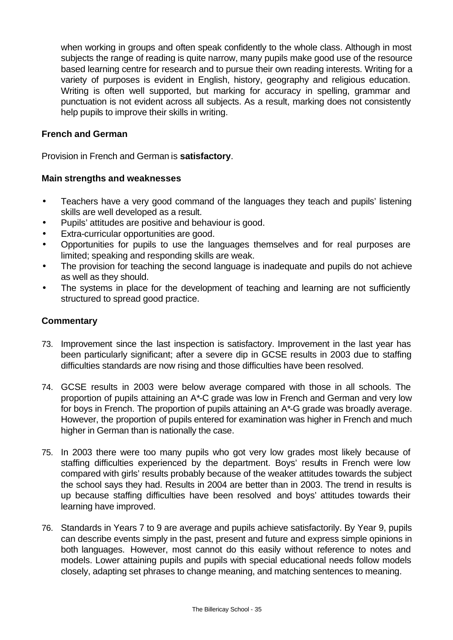when working in groups and often speak confidently to the whole class. Although in most subjects the range of reading is quite narrow, many pupils make good use of the resource based learning centre for research and to pursue their own reading interests. Writing for a variety of purposes is evident in English, history, geography and religious education. Writing is often well supported, but marking for accuracy in spelling, grammar and punctuation is not evident across all subjects. As a result, marking does not consistently help pupils to improve their skills in writing.

## **French and German**

Provision in French and German is **satisfactory**.

#### **Main strengths and weaknesses**

- Teachers have a very good command of the languages they teach and pupils' listening skills are well developed as a result.
- Pupils' attitudes are positive and behaviour is good.
- Extra-curricular opportunities are good.
- Opportunities for pupils to use the languages themselves and for real purposes are limited; speaking and responding skills are weak.
- The provision for teaching the second language is inadequate and pupils do not achieve as well as they should.
- The systems in place for the development of teaching and learning are not sufficiently structured to spread good practice.

- 73. Improvement since the last inspection is satisfactory. Improvement in the last year has been particularly significant; after a severe dip in GCSE results in 2003 due to staffing difficulties standards are now rising and those difficulties have been resolved.
- 74. GCSE results in 2003 were below average compared with those in all schools. The proportion of pupils attaining an A\*-C grade was low in French and German and very low for boys in French. The proportion of pupils attaining an A\*-G grade was broadly average. However, the proportion of pupils entered for examination was higher in French and much higher in German than is nationally the case.
- 75. In 2003 there were too many pupils who got very low grades most likely because of staffing difficulties experienced by the department. Boys' results in French were low compared with girls' results probably because of the weaker attitudes towards the subject the school says they had. Results in 2004 are better than in 2003. The trend in results is up because staffing difficulties have been resolved and boys' attitudes towards their learning have improved.
- 76. Standards in Years 7 to 9 are average and pupils achieve satisfactorily. By Year 9, pupils can describe events simply in the past, present and future and express simple opinions in both languages. However, most cannot do this easily without reference to notes and models. Lower attaining pupils and pupils with special educational needs follow models closely, adapting set phrases to change meaning, and matching sentences to meaning.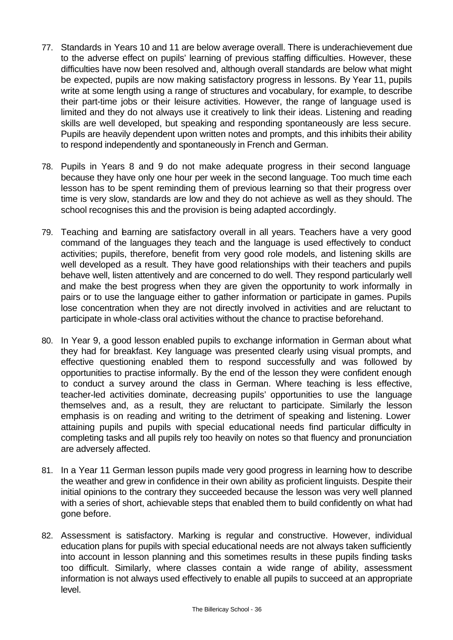- 77. Standards in Years 10 and 11 are below average overall. There is underachievement due to the adverse effect on pupils' learning of previous staffing difficulties. However, these difficulties have now been resolved and, although overall standards are below what might be expected, pupils are now making satisfactory progress in lessons. By Year 11, pupils write at some length using a range of structures and vocabulary, for example, to describe their part-time jobs or their leisure activities. However, the range of language used is limited and they do not always use it creatively to link their ideas. Listening and reading skills are well developed, but speaking and responding spontaneously are less secure. Pupils are heavily dependent upon written notes and prompts, and this inhibits their ability to respond independently and spontaneously in French and German.
- 78. Pupils in Years 8 and 9 do not make adequate progress in their second language because they have only one hour per week in the second language. Too much time each lesson has to be spent reminding them of previous learning so that their progress over time is very slow, standards are low and they do not achieve as well as they should. The school recognises this and the provision is being adapted accordingly.
- 79. Teaching and learning are satisfactory overall in all years. Teachers have a very good command of the languages they teach and the language is used effectively to conduct activities; pupils, therefore, benefit from very good role models, and listening skills are well developed as a result. They have good relationships with their teachers and pupils behave well, listen attentively and are concerned to do well. They respond particularly well and make the best progress when they are given the opportunity to work informally in pairs or to use the language either to gather information or participate in games. Pupils lose concentration when they are not directly involved in activities and are reluctant to participate in whole-class oral activities without the chance to practise beforehand.
- 80. In Year 9, a good lesson enabled pupils to exchange information in German about what they had for breakfast. Key language was presented clearly using visual prompts, and effective questioning enabled them to respond successfully and was followed by opportunities to practise informally. By the end of the lesson they were confident enough to conduct a survey around the class in German. Where teaching is less effective, teacher-led activities dominate, decreasing pupils' opportunities to use the language themselves and, as a result, they are reluctant to participate. Similarly the lesson emphasis is on reading and writing to the detriment of speaking and listening. Lower attaining pupils and pupils with special educational needs find particular difficulty in completing tasks and all pupils rely too heavily on notes so that fluency and pronunciation are adversely affected.
- 81. In a Year 11 German lesson pupils made very good progress in learning how to describe the weather and grew in confidence in their own ability as proficient linguists. Despite their initial opinions to the contrary they succeeded because the lesson was very well planned with a series of short, achievable steps that enabled them to build confidently on what had gone before.
- 82. Assessment is satisfactory. Marking is regular and constructive. However, individual education plans for pupils with special educational needs are not always taken sufficiently into account in lesson planning and this sometimes results in these pupils finding tasks too difficult. Similarly, where classes contain a wide range of ability, assessment information is not always used effectively to enable all pupils to succeed at an appropriate level.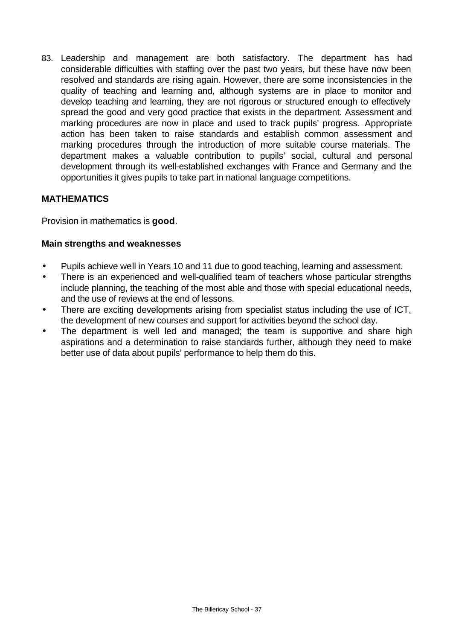83. Leadership and management are both satisfactory. The department has had considerable difficulties with staffing over the past two years, but these have now been resolved and standards are rising again. However, there are some inconsistencies in the quality of teaching and learning and, although systems are in place to monitor and develop teaching and learning, they are not rigorous or structured enough to effectively spread the good and very good practice that exists in the department. Assessment and marking procedures are now in place and used to track pupils' progress. Appropriate action has been taken to raise standards and establish common assessment and marking procedures through the introduction of more suitable course materials. The department makes a valuable contribution to pupils' social, cultural and personal development through its well-established exchanges with France and Germany and the opportunities it gives pupils to take part in national language competitions.

# **MATHEMATICS**

Provision in mathematics is **good**.

## **Main strengths and weaknesses**

- Pupils achieve well in Years 10 and 11 due to good teaching, learning and assessment.
- There is an experienced and well-qualified team of teachers whose particular strengths include planning, the teaching of the most able and those with special educational needs, and the use of reviews at the end of lessons.
- There are exciting developments arising from specialist status including the use of ICT, the development of new courses and support for activities beyond the school day.
- The department is well led and managed; the team is supportive and share high aspirations and a determination to raise standards further, although they need to make better use of data about pupils' performance to help them do this.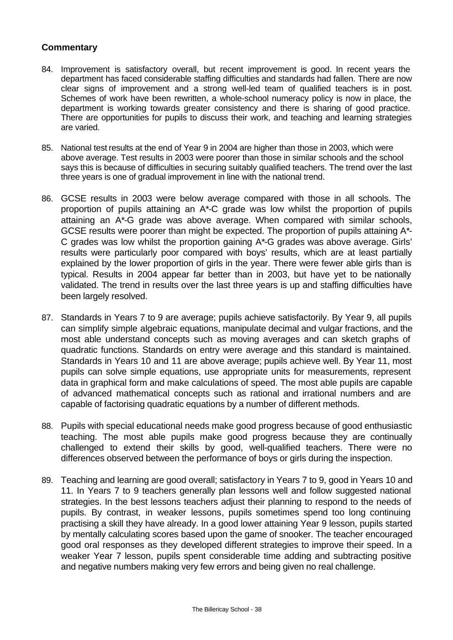- 84. Improvement is satisfactory overall, but recent improvement is good. In recent years the department has faced considerable staffing difficulties and standards had fallen. There are now clear signs of improvement and a strong well-led team of qualified teachers is in post. Schemes of work have been rewritten, a whole-school numeracy policy is now in place, the department is working towards greater consistency and there is sharing of good practice. There are opportunities for pupils to discuss their work, and teaching and learning strategies are varied.
- 85. National test results at the end of Year 9 in 2004 are higher than those in 2003, which were above average. Test results in 2003 were poorer than those in similar schools and the school says this is because of difficulties in securing suitably qualified teachers. The trend over the last three years is one of gradual improvement in line with the national trend.
- 86. GCSE results in 2003 were below average compared with those in all schools. The proportion of pupils attaining an A\*-C grade was low whilst the proportion of pupils attaining an A\*-G grade was above average. When compared with similar schools, GCSE results were poorer than might be expected. The proportion of pupils attaining A\*- C grades was low whilst the proportion gaining A\*-G grades was above average. Girls' results were particularly poor compared with boys' results, which are at least partially explained by the lower proportion of girls in the year. There were fewer able girls than is typical. Results in 2004 appear far better than in 2003, but have yet to be nationally validated. The trend in results over the last three years is up and staffing difficulties have been largely resolved.
- 87. Standards in Years 7 to 9 are average; pupils achieve satisfactorily. By Year 9, all pupils can simplify simple algebraic equations, manipulate decimal and vulgar fractions, and the most able understand concepts such as moving averages and can sketch graphs of quadratic functions. Standards on entry were average and this standard is maintained. Standards in Years 10 and 11 are above average; pupils achieve well. By Year 11, most pupils can solve simple equations, use appropriate units for measurements, represent data in graphical form and make calculations of speed. The most able pupils are capable of advanced mathematical concepts such as rational and irrational numbers and are capable of factorising quadratic equations by a number of different methods.
- 88. Pupils with special educational needs make good progress because of good enthusiastic teaching. The most able pupils make good progress because they are continually challenged to extend their skills by good, well-qualified teachers. There were no differences observed between the performance of boys or girls during the inspection.
- 89. Teaching and learning are good overall; satisfactory in Years 7 to 9, good in Years 10 and 11. In Years 7 to 9 teachers generally plan lessons well and follow suggested national strategies. In the best lessons teachers adjust their planning to respond to the needs of pupils. By contrast, in weaker lessons, pupils sometimes spend too long continuing practising a skill they have already. In a good lower attaining Year 9 lesson, pupils started by mentally calculating scores based upon the game of snooker. The teacher encouraged good oral responses as they developed different strategies to improve their speed. In a weaker Year 7 lesson, pupils spent considerable time adding and subtracting positive and negative numbers making very few errors and being given no real challenge.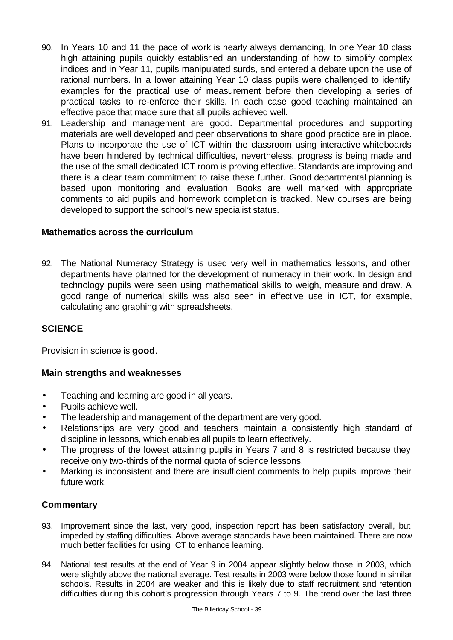- 90. In Years 10 and 11 the pace of work is nearly always demanding, In one Year 10 class high attaining pupils quickly established an understanding of how to simplify complex indices and in Year 11, pupils manipulated surds, and entered a debate upon the use of rational numbers. In a lower attaining Year 10 class pupils were challenged to identify examples for the practical use of measurement before then developing a series of practical tasks to re-enforce their skills. In each case good teaching maintained an effective pace that made sure that all pupils achieved well.
- 91. Leadership and management are good. Departmental procedures and supporting materials are well developed and peer observations to share good practice are in place. Plans to incorporate the use of ICT within the classroom using interactive whiteboards have been hindered by technical difficulties, nevertheless, progress is being made and the use of the small dedicated ICT room is proving effective. Standards are improving and there is a clear team commitment to raise these further. Good departmental planning is based upon monitoring and evaluation. Books are well marked with appropriate comments to aid pupils and homework completion is tracked. New courses are being developed to support the school's new specialist status.

## **Mathematics across the curriculum**

92. The National Numeracy Strategy is used very well in mathematics lessons, and other departments have planned for the development of numeracy in their work. In design and technology pupils were seen using mathematical skills to weigh, measure and draw. A good range of numerical skills was also seen in effective use in ICT, for example, calculating and graphing with spreadsheets.

# **SCIENCE**

Provision in science is **good**.

## **Main strengths and weaknesses**

- Teaching and learning are good in all years.
- Pupils achieve well.
- The leadership and management of the department are very good.
- Relationships are very good and teachers maintain a consistently high standard of discipline in lessons, which enables all pupils to learn effectively.
- The progress of the lowest attaining pupils in Years 7 and 8 is restricted because they receive only two-thirds of the normal quota of science lessons.
- Marking is inconsistent and there are insufficient comments to help pupils improve their future work.

- 93. Improvement since the last, very good, inspection report has been satisfactory overall, but impeded by staffing difficulties. Above average standards have been maintained. There are now much better facilities for using ICT to enhance learning.
- 94. National test results at the end of Year 9 in 2004 appear slightly below those in 2003, which were slightly above the national average. Test results in 2003 were below those found in similar schools. Results in 2004 are weaker and this is likely due to staff recruitment and retention difficulties during this cohort's progression through Years 7 to 9. The trend over the last three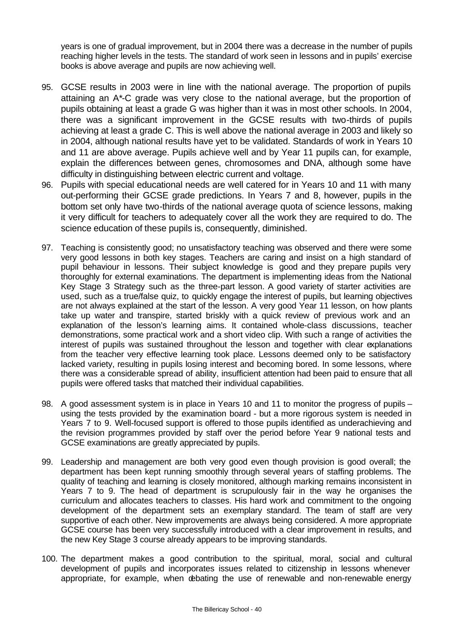years is one of gradual improvement, but in 2004 there was a decrease in the number of pupils reaching higher levels in the tests. The standard of work seen in lessons and in pupils' exercise books is above average and pupils are now achieving well.

- 95. GCSE results in 2003 were in line with the national average. The proportion of pupils attaining an A\*-C grade was very close to the national average, but the proportion of pupils obtaining at least a grade G was higher than it was in most other schools. In 2004, there was a significant improvement in the GCSE results with two-thirds of pupils achieving at least a grade C. This is well above the national average in 2003 and likely so in 2004, although national results have yet to be validated. Standards of work in Years 10 and 11 are above average. Pupils achieve well and by Year 11 pupils can, for example, explain the differences between genes, chromosomes and DNA, although some have difficulty in distinguishing between electric current and voltage.
- 96. Pupils with special educational needs are well catered for in Years 10 and 11 with many out-performing their GCSE grade predictions. In Years 7 and 8, however, pupils in the bottom set only have two-thirds of the national average quota of science lessons, making it very difficult for teachers to adequately cover all the work they are required to do. The science education of these pupils is, consequently, diminished.
- 97. Teaching is consistently good; no unsatisfactory teaching was observed and there were some very good lessons in both key stages. Teachers are caring and insist on a high standard of pupil behaviour in lessons. Their subject knowledge is good and they prepare pupils very thoroughly for external examinations. The department is implementing ideas from the National Key Stage 3 Strategy such as the three-part lesson. A good variety of starter activities are used, such as a true/false quiz, to quickly engage the interest of pupils, but learning objectives are not always explained at the start of the lesson. A very good Year 11 lesson, on how plants take up water and transpire, started briskly with a quick review of previous work and an explanation of the lesson's learning aims. It contained whole-class discussions, teacher demonstrations, some practical work and a short video clip. With such a range of activities the interest of pupils was sustained throughout the lesson and together with clear explanations from the teacher very effective learning took place. Lessons deemed only to be satisfactory lacked variety, resulting in pupils losing interest and becoming bored. In some lessons, where there was a considerable spread of ability, insufficient attention had been paid to ensure that all pupils were offered tasks that matched their individual capabilities.
- 98. A good assessment system is in place in Years 10 and 11 to monitor the progress of pupils using the tests provided by the examination board - but a more rigorous system is needed in Years 7 to 9. Well-focused support is offered to those pupils identified as underachieving and the revision programmes provided by staff over the period before Year 9 national tests and GCSE examinations are greatly appreciated by pupils.
- 99. Leadership and management are both very good even though provision is good overall; the department has been kept running smoothly through several years of staffing problems. The quality of teaching and learning is closely monitored, although marking remains inconsistent in Years 7 to 9. The head of department is scrupulously fair in the way he organises the curriculum and allocates teachers to classes. His hard work and commitment to the ongoing development of the department sets an exemplary standard. The team of staff are very supportive of each other. New improvements are always being considered. A more appropriate GCSE course has been very successfully introduced with a clear improvement in results, and the new Key Stage 3 course already appears to be improving standards.
- 100. The department makes a good contribution to the spiritual, moral, social and cultural development of pupils and incorporates issues related to citizenship in lessons whenever appropriate, for example, when debating the use of renewable and non-renewable energy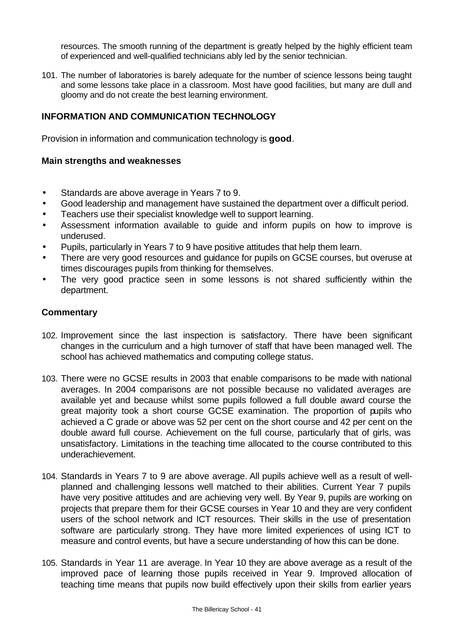resources. The smooth running of the department is greatly helped by the highly efficient team of experienced and well-qualified technicians ably led by the senior technician.

101. The number of laboratories is barely adequate for the number of science lessons being taught and some lessons take place in a classroom. Most have good facilities, but many are dull and gloomy and do not create the best learning environment.

# **INFORMATION AND COMMUNICATION TECHNOLOGY**

Provision in information and communication technology is **good**.

#### **Main strengths and weaknesses**

- Standards are above average in Years 7 to 9.
- Good leadership and management have sustained the department over a difficult period.
- Teachers use their specialist knowledge well to support learning.
- Assessment information available to guide and inform pupils on how to improve is underused.
- Pupils, particularly in Years 7 to 9 have positive attitudes that help them learn.
- There are very good resources and guidance for pupils on GCSE courses, but overuse at times discourages pupils from thinking for themselves.
- The very good practice seen in some lessons is not shared sufficiently within the department.

- 102. Improvement since the last inspection is satisfactory. There have been significant changes in the curriculum and a high turnover of staff that have been managed well. The school has achieved mathematics and computing college status.
- 103. There were no GCSE results in 2003 that enable comparisons to be made with national averages. In 2004 comparisons are not possible because no validated averages are available yet and because whilst some pupils followed a full double award course the great majority took a short course GCSE examination. The proportion of pupils who achieved a C grade or above was 52 per cent on the short course and 42 per cent on the double award full course. Achievement on the full course, particularly that of girls, was unsatisfactory. Limitations in the teaching time allocated to the course contributed to this underachievement.
- 104. Standards in Years 7 to 9 are above average. All pupils achieve well as a result of wellplanned and challenging lessons well matched to their abilities. Current Year 7 pupils have very positive attitudes and are achieving very well. By Year 9, pupils are working on projects that prepare them for their GCSE courses in Year 10 and they are very confident users of the school network and ICT resources. Their skills in the use of presentation software are particularly strong. They have more limited experiences of using ICT to measure and control events, but have a secure understanding of how this can be done.
- 105. Standards in Year 11 are average. In Year 10 they are above average as a result of the improved pace of learning those pupils received in Year 9. Improved allocation of teaching time means that pupils now build effectively upon their skills from earlier years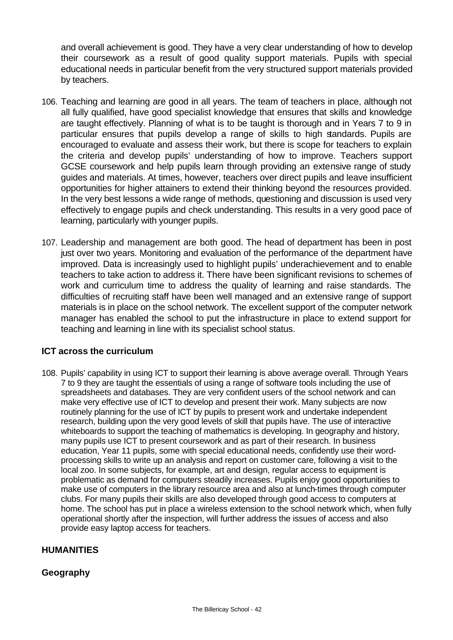and overall achievement is good. They have a very clear understanding of how to develop their coursework as a result of good quality support materials. Pupils with special educational needs in particular benefit from the very structured support materials provided by teachers.

- 106. Teaching and learning are good in all years. The team of teachers in place, although not all fully qualified, have good specialist knowledge that ensures that skills and knowledge are taught effectively. Planning of what is to be taught is thorough and in Years 7 to 9 in particular ensures that pupils develop a range of skills to high standards. Pupils are encouraged to evaluate and assess their work, but there is scope for teachers to explain the criteria and develop pupils' understanding of how to improve. Teachers support GCSE coursework and help pupils learn through providing an extensive range of study guides and materials. At times, however, teachers over direct pupils and leave insufficient opportunities for higher attainers to extend their thinking beyond the resources provided. In the very best lessons a wide range of methods, questioning and discussion is used very effectively to engage pupils and check understanding. This results in a very good pace of learning, particularly with younger pupils.
- 107. Leadership and management are both good. The head of department has been in post just over two years. Monitoring and evaluation of the performance of the department have improved. Data is increasingly used to highlight pupils' underachievement and to enable teachers to take action to address it. There have been significant revisions to schemes of work and curriculum time to address the quality of learning and raise standards. The difficulties of recruiting staff have been well managed and an extensive range of support materials is in place on the school network. The excellent support of the computer network manager has enabled the school to put the infrastructure in place to extend support for teaching and learning in line with its specialist school status.

## **ICT across the curriculum**

108. Pupils' capability in using ICT to support their learning is above average overall. Through Years 7 to 9 they are taught the essentials of using a range of software tools including the use of spreadsheets and databases. They are very confident users of the school network and can make very effective use of ICT to develop and present their work. Many subjects are now routinely planning for the use of ICT by pupils to present work and undertake independent research, building upon the very good levels of skill that pupils have. The use of interactive whiteboards to support the teaching of mathematics is developing. In geography and history, many pupils use ICT to present coursework and as part of their research. In business education, Year 11 pupils, some with special educational needs, confidently use their wordprocessing skills to write up an analysis and report on customer care, following a visit to the local zoo. In some subjects, for example, art and design, regular access to equipment is problematic as demand for computers steadily increases. Pupils enjoy good opportunities to make use of computers in the library resource area and also at lunch-times through computer clubs. For many pupils their skills are also developed through good access to computers at home. The school has put in place a wireless extension to the school network which, when fully operational shortly after the inspection, will further address the issues of access and also provide easy laptop access for teachers.

## **HUMANITIES**

# **Geography**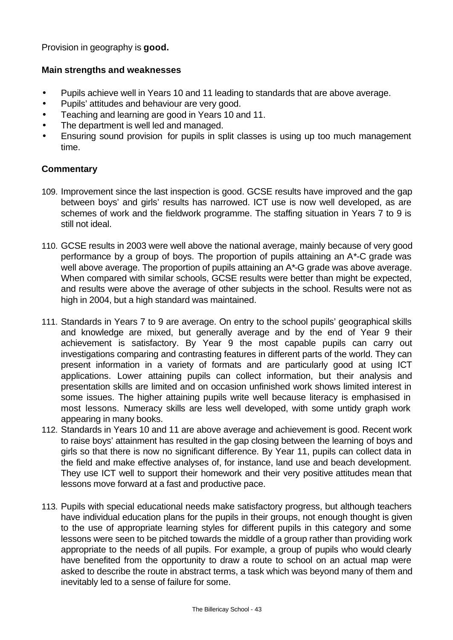Provision in geography is **good.**

## **Main strengths and weaknesses**

- Pupils achieve well in Years 10 and 11 leading to standards that are above average.
- Pupils' attitudes and behaviour are very good.
- Teaching and learning are good in Years 10 and 11.
- The department is well led and managed.
- Ensuring sound provision for pupils in split classes is using up too much management time.

- 109. Improvement since the last inspection is good. GCSE results have improved and the gap between boys' and girls' results has narrowed. ICT use is now well developed, as are schemes of work and the fieldwork programme. The staffing situation in Years 7 to 9 is still not ideal.
- 110. GCSE results in 2003 were well above the national average, mainly because of very good performance by a group of boys. The proportion of pupils attaining an A\*-C grade was well above average. The proportion of pupils attaining an A\*-G grade was above average. When compared with similar schools, GCSE results were better than might be expected, and results were above the average of other subjects in the school. Results were not as high in 2004, but a high standard was maintained.
- 111. Standards in Years 7 to 9 are average. On entry to the school pupils' geographical skills and knowledge are mixed, but generally average and by the end of Year 9 their achievement is satisfactory. By Year 9 the most capable pupils can carry out investigations comparing and contrasting features in different parts of the world. They can present information in a variety of formats and are particularly good at using ICT applications. Lower attaining pupils can collect information, but their analysis and presentation skills are limited and on occasion unfinished work shows limited interest in some issues. The higher attaining pupils write well because literacy is emphasised in most lessons. Numeracy skills are less well developed, with some untidy graph work appearing in many books.
- 112. Standards in Years 10 and 11 are above average and achievement is good. Recent work to raise boys' attainment has resulted in the gap closing between the learning of boys and girls so that there is now no significant difference. By Year 11, pupils can collect data in the field and make effective analyses of, for instance, land use and beach development. They use ICT well to support their homework and their very positive attitudes mean that lessons move forward at a fast and productive pace.
- 113. Pupils with special educational needs make satisfactory progress, but although teachers have individual education plans for the pupils in their groups, not enough thought is given to the use of appropriate learning styles for different pupils in this category and some lessons were seen to be pitched towards the middle of a group rather than providing work appropriate to the needs of all pupils. For example, a group of pupils who would clearly have benefited from the opportunity to draw a route to school on an actual map were asked to describe the route in abstract terms, a task which was beyond many of them and inevitably led to a sense of failure for some.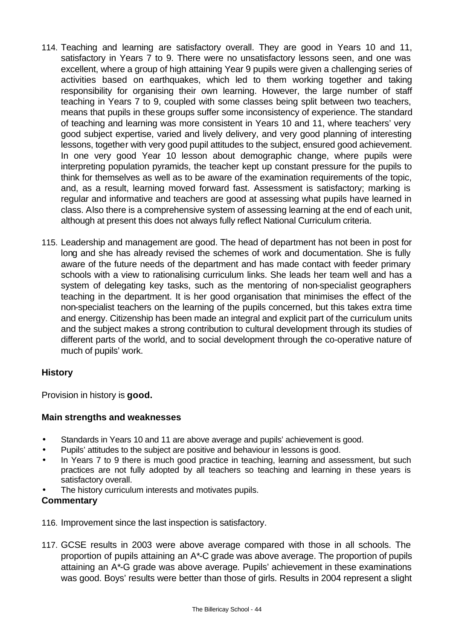- 114. Teaching and learning are satisfactory overall. They are good in Years 10 and 11, satisfactory in Years 7 to 9. There were no unsatisfactory lessons seen, and one was excellent, where a group of high attaining Year 9 pupils were given a challenging series of activities based on earthquakes, which led to them working together and taking responsibility for organising their own learning. However, the large number of staff teaching in Years 7 to 9, coupled with some classes being split between two teachers, means that pupils in these groups suffer some inconsistency of experience. The standard of teaching and learning was more consistent in Years 10 and 11, where teachers' very good subject expertise, varied and lively delivery, and very good planning of interesting lessons, together with very good pupil attitudes to the subject, ensured good achievement. In one very good Year 10 lesson about demographic change, where pupils were interpreting population pyramids, the teacher kept up constant pressure for the pupils to think for themselves as well as to be aware of the examination requirements of the topic, and, as a result, learning moved forward fast. Assessment is satisfactory; marking is regular and informative and teachers are good at assessing what pupils have learned in class. Also there is a comprehensive system of assessing learning at the end of each unit, although at present this does not always fully reflect National Curriculum criteria.
- 115. Leadership and management are good. The head of department has not been in post for long and she has already revised the schemes of work and documentation. She is fully aware of the future needs of the department and has made contact with feeder primary schools with a view to rationalising curriculum links. She leads her team well and has a system of delegating key tasks, such as the mentoring of non-specialist geographers teaching in the department. It is her good organisation that minimises the effect of the non-specialist teachers on the learning of the pupils concerned, but this takes extra time and energy. Citizenship has been made an integral and explicit part of the curriculum units and the subject makes a strong contribution to cultural development through its studies of different parts of the world, and to social development through the co-operative nature of much of pupils' work.

# **History**

Provision in history is **good.**

## **Main strengths and weaknesses**

- Standards in Years 10 and 11 are above average and pupils' achievement is good.
- Pupils' attitudes to the subject are positive and behaviour in lessons is good.
- In Years 7 to 9 there is much good practice in teaching, learning and assessment, but such practices are not fully adopted by all teachers so teaching and learning in these years is satisfactory overall.
- The history curriculum interests and motivates pupils.

- 116. Improvement since the last inspection is satisfactory.
- 117. GCSE results in 2003 were above average compared with those in all schools. The proportion of pupils attaining an A\*-C grade was above average. The proportion of pupils attaining an A\*-G grade was above average*.* Pupils' achievement in these examinations was good. Boys' results were better than those of girls. Results in 2004 represent a slight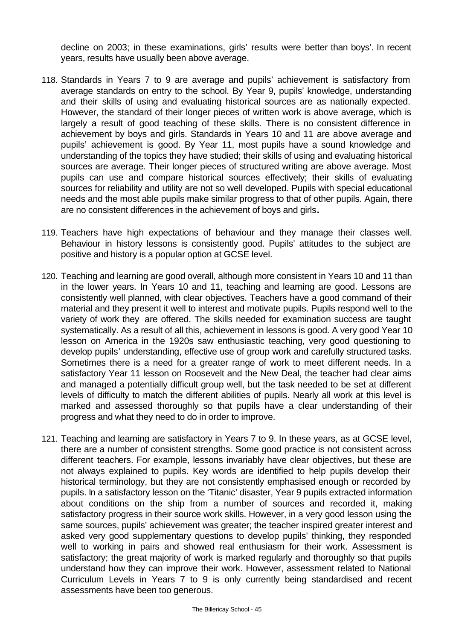decline on 2003; in these examinations, girls' results were better than boys'. In recent years, results have usually been above average.

- 118. Standards in Years 7 to 9 are average and pupils' achievement is satisfactory from average standards on entry to the school. By Year 9, pupils' knowledge, understanding and their skills of using and evaluating historical sources are as nationally expected. However, the standard of their longer pieces of written work is above average, which is largely a result of good teaching of these skills. There is no consistent difference in achievement by boys and girls. Standards in Years 10 and 11 are above average and pupils' achievement is good. By Year 11, most pupils have a sound knowledge and understanding of the topics they have studied; their skills of using and evaluating historical sources are average. Their longer pieces of structured writing are above average. Most pupils can use and compare historical sources effectively; their skills of evaluating sources for reliability and utility are not so well developed. Pupils with special educational needs and the most able pupils make similar progress to that of other pupils. Again, there are no consistent differences in the achievement of boys and girls**.**
- 119. Teachers have high expectations of behaviour and they manage their classes well. Behaviour in history lessons is consistently good. Pupils' attitudes to the subject are positive and history is a popular option at GCSE level.
- 120. Teaching and learning are good overall, although more consistent in Years 10 and 11 than in the lower years. In Years 10 and 11, teaching and learning are good. Lessons are consistently well planned, with clear objectives. Teachers have a good command of their material and they present it well to interest and motivate pupils. Pupils respond well to the variety of work they are offered. The skills needed for examination success are taught systematically. As a result of all this, achievement in lessons is good. A very good Year 10 lesson on America in the 1920s saw enthusiastic teaching, very good questioning to develop pupils' understanding, effective use of group work and carefully structured tasks. Sometimes there is a need for a greater range of work to meet different needs. In a satisfactory Year 11 lesson on Roosevelt and the New Deal, the teacher had clear aims and managed a potentially difficult group well, but the task needed to be set at different levels of difficulty to match the different abilities of pupils. Nearly all work at this level is marked and assessed thoroughly so that pupils have a clear understanding of their progress and what they need to do in order to improve.
- 121. Teaching and learning are satisfactory in Years 7 to 9. In these years, as at GCSE level, there are a number of consistent strengths. Some good practice is not consistent across different teachers. For example, lessons invariably have clear objectives, but these are not always explained to pupils. Key words are identified to help pupils develop their historical terminology, but they are not consistently emphasised enough or recorded by pupils. In a satisfactory lesson on the 'Titanic' disaster, Year 9 pupils extracted information about conditions on the ship from a number of sources and recorded it, making satisfactory progress in their source work skills. However, in a very good lesson using the same sources, pupils' achievement was greater; the teacher inspired greater interest and asked very good supplementary questions to develop pupils' thinking, they responded well to working in pairs and showed real enthusiasm for their work. Assessment is satisfactory; the great majority of work is marked regularly and thoroughly so that pupils understand how they can improve their work. However, assessment related to National Curriculum Levels in Years 7 to 9 is only currently being standardised and recent assessments have been too generous.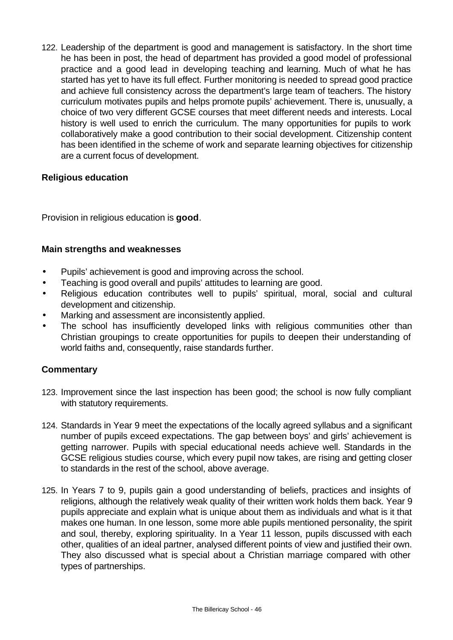122. Leadership of the department is good and management is satisfactory. In the short time he has been in post, the head of department has provided a good model of professional practice and a good lead in developing teaching and learning. Much of what he has started has yet to have its full effect. Further monitoring is needed to spread good practice and achieve full consistency across the department's large team of teachers. The history curriculum motivates pupils and helps promote pupils' achievement. There is, unusually, a choice of two very different GCSE courses that meet different needs and interests. Local history is well used to enrich the curriculum. The many opportunities for pupils to work collaboratively make a good contribution to their social development. Citizenship content has been identified in the scheme of work and separate learning objectives for citizenship are a current focus of development.

## **Religious education**

Provision in religious education is **good**.

## **Main strengths and weaknesses**

- Pupils' achievement is good and improving across the school.
- Teaching is good overall and pupils' attitudes to learning are good.
- Religious education contributes well to pupils' spiritual, moral, social and cultural development and citizenship.
- Marking and assessment are inconsistently applied.
- The school has insufficiently developed links with religious communities other than Christian groupings to create opportunities for pupils to deepen their understanding of world faiths and, consequently, raise standards further.

- 123. Improvement since the last inspection has been good; the school is now fully compliant with statutory requirements.
- 124. Standards in Year 9 meet the expectations of the locally agreed syllabus and a significant number of pupils exceed expectations. The gap between boys' and girls' achievement is getting narrower. Pupils with special educational needs achieve well. Standards in the GCSE religious studies course, which every pupil now takes, are rising and getting closer to standards in the rest of the school, above average.
- 125. In Years 7 to 9, pupils gain a good understanding of beliefs, practices and insights of religions, although the relatively weak quality of their written work holds them back. Year 9 pupils appreciate and explain what is unique about them as individuals and what is it that makes one human. In one lesson, some more able pupils mentioned personality, the spirit and soul, thereby, exploring spirituality. In a Year 11 lesson, pupils discussed with each other, qualities of an ideal partner, analysed different points of view and justified their own. They also discussed what is special about a Christian marriage compared with other types of partnerships.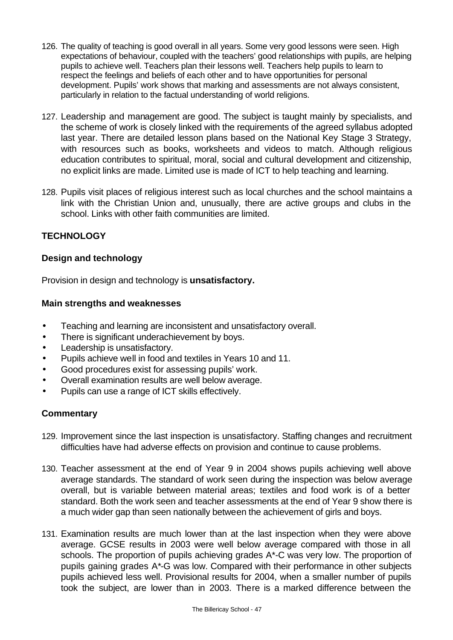- 126. The quality of teaching is good overall in all years. Some very good lessons were seen. High expectations of behaviour, coupled with the teachers' good relationships with pupils, are helping pupils to achieve well. Teachers plan their lessons well. Teachers help pupils to learn to respect the feelings and beliefs of each other and to have opportunities for personal development. Pupils' work shows that marking and assessments are not always consistent, particularly in relation to the factual understanding of world religions.
- 127. Leadership and management are good. The subject is taught mainly by specialists, and the scheme of work is closely linked with the requirements of the agreed syllabus adopted last year. There are detailed lesson plans based on the National Key Stage 3 Strategy, with resources such as books, worksheets and videos to match. Although religious education contributes to spiritual, moral, social and cultural development and citizenship, no explicit links are made. Limited use is made of ICT to help teaching and learning.
- 128. Pupils visit places of religious interest such as local churches and the school maintains a link with the Christian Union and, unusually, there are active groups and clubs in the school. Links with other faith communities are limited.

# **TECHNOLOGY**

# **Design and technology**

Provision in design and technology is **unsatisfactory.**

## **Main strengths and weaknesses**

- Teaching and learning are inconsistent and unsatisfactory overall.
- There is significant underachievement by boys.
- Leadership is unsatisfactory.
- Pupils achieve well in food and textiles in Years 10 and 11.
- Good procedures exist for assessing pupils' work.
- Overall examination results are well below average.
- Pupils can use a range of ICT skills effectively.

- 129. Improvement since the last inspection is unsatisfactory. Staffing changes and recruitment difficulties have had adverse effects on provision and continue to cause problems.
- 130. Teacher assessment at the end of Year 9 in 2004 shows pupils achieving well above average standards. The standard of work seen during the inspection was below average overall, but is variable between material areas; textiles and food work is of a better standard. Both the work seen and teacher assessments at the end of Year 9 show there is a much wider gap than seen nationally between the achievement of girls and boys.
- 131. Examination results are much lower than at the last inspection when they were above average. GCSE results in 2003 were well below average compared with those in all schools. The proportion of pupils achieving grades A\*-C was very low. The proportion of pupils gaining grades A\*-G was low. Compared with their performance in other subjects pupils achieved less well. Provisional results for 2004, when a smaller number of pupils took the subject, are lower than in 2003. There is a marked difference between the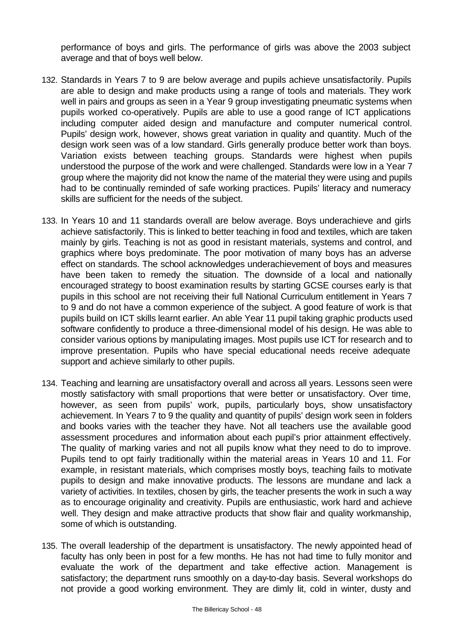performance of boys and girls. The performance of girls was above the 2003 subject average and that of boys well below.

- 132. Standards in Years 7 to 9 are below average and pupils achieve unsatisfactorily. Pupils are able to design and make products using a range of tools and materials. They work well in pairs and groups as seen in a Year 9 group investigating pneumatic systems when pupils worked co-operatively. Pupils are able to use a good range of ICT applications including computer aided design and manufacture and computer numerical control. Pupils' design work, however, shows great variation in quality and quantity. Much of the design work seen was of a low standard. Girls generally produce better work than boys. Variation exists between teaching groups. Standards were highest when pupils understood the purpose of the work and were challenged. Standards were low in a Year 7 group where the majority did not know the name of the material they were using and pupils had to be continually reminded of safe working practices. Pupils' literacy and numeracy skills are sufficient for the needs of the subject.
- 133. In Years 10 and 11 standards overall are below average. Boys underachieve and girls achieve satisfactorily. This is linked to better teaching in food and textiles, which are taken mainly by girls. Teaching is not as good in resistant materials, systems and control, and graphics where boys predominate. The poor motivation of many boys has an adverse effect on standards. The school acknowledges underachievement of boys and measures have been taken to remedy the situation. The downside of a local and nationally encouraged strategy to boost examination results by starting GCSE courses early is that pupils in this school are not receiving their full National Curriculum entitlement in Years 7 to 9 and do not have a common experience of the subject. A good feature of work is that pupils build on ICT skills learnt earlier. An able Year 11 pupil taking graphic products used software confidently to produce a three-dimensional model of his design. He was able to consider various options by manipulating images. Most pupils use ICT for research and to improve presentation. Pupils who have special educational needs receive adequate support and achieve similarly to other pupils.
- 134. Teaching and learning are unsatisfactory overall and across all years. Lessons seen were mostly satisfactory with small proportions that were better or unsatisfactory. Over time, however, as seen from pupils' work, pupils, particularly boys, show unsatisfactory achievement. In Years 7 to 9 the quality and quantity of pupils' design work seen in folders and books varies with the teacher they have. Not all teachers use the available good assessment procedures and information about each pupil's prior attainment effectively. The quality of marking varies and not all pupils know what they need to do to improve. Pupils tend to opt fairly traditionally within the material areas in Years 10 and 11. For example, in resistant materials, which comprises mostly boys, teaching fails to motivate pupils to design and make innovative products. The lessons are mundane and lack a variety of activities. In textiles, chosen by girls, the teacher presents the work in such a way as to encourage originality and creativity. Pupils are enthusiastic, work hard and achieve well. They design and make attractive products that show flair and quality workmanship, some of which is outstanding.
- 135. The overall leadership of the department is unsatisfactory. The newly appointed head of faculty has only been in post for a few months. He has not had time to fully monitor and evaluate the work of the department and take effective action. Management is satisfactory; the department runs smoothly on a day-to-day basis. Several workshops do not provide a good working environment. They are dimly lit, cold in winter, dusty and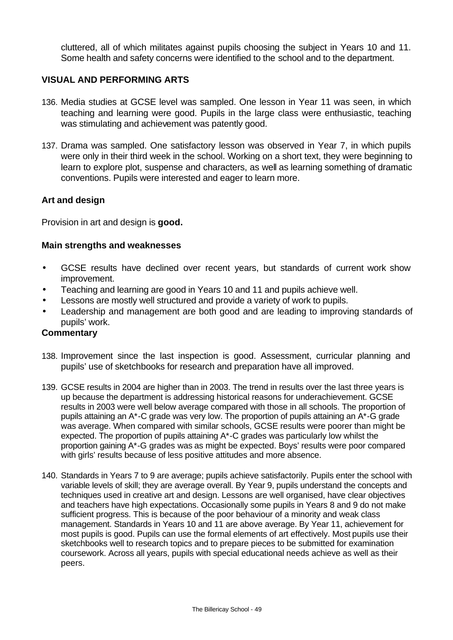cluttered, all of which militates against pupils choosing the subject in Years 10 and 11. Some health and safety concerns were identified to the school and to the department.

# **VISUAL AND PERFORMING ARTS**

- 136. Media studies at GCSE level was sampled. One lesson in Year 11 was seen, in which teaching and learning were good. Pupils in the large class were enthusiastic, teaching was stimulating and achievement was patently good.
- 137. Drama was sampled. One satisfactory lesson was observed in Year 7, in which pupils were only in their third week in the school. Working on a short text, they were beginning to learn to explore plot, suspense and characters, as well as learning something of dramatic conventions. Pupils were interested and eager to learn more.

## **Art and design**

Provision in art and design is **good.** 

#### **Main strengths and weaknesses**

- GCSE results have declined over recent years, but standards of current work show improvement.
- Teaching and learning are good in Years 10 and 11 and pupils achieve well.
- Lessons are mostly well structured and provide a variety of work to pupils.
- Leadership and management are both good and are leading to improving standards of pupils' work.

- 138. Improvement since the last inspection is good. Assessment, curricular planning and pupils' use of sketchbooks for research and preparation have all improved.
- 139. GCSE results in 2004 are higher than in 2003. The trend in results over the last three years is up because the department is addressing historical reasons for underachievement. GCSE results in 2003 were well below average compared with those in all schools. The proportion of pupils attaining an A\*-C grade was very low. The proportion of pupils attaining an A\*-G grade was average. When compared with similar schools, GCSE results were poorer than might be expected. The proportion of pupils attaining A\*-C grades was particularly low whilst the proportion gaining A\*-G grades was as might be expected. Boys' results were poor compared with girls' results because of less positive attitudes and more absence.
- 140. Standards in Years 7 to 9 are average; pupils achieve satisfactorily. Pupils enter the school with variable levels of skill; they are average overall. By Year 9, pupils understand the concepts and techniques used in creative art and design. Lessons are well organised, have clear objectives and teachers have high expectations. Occasionally some pupils in Years 8 and 9 do not make sufficient progress. This is because of the poor behaviour of a minority and weak class management. Standards in Years 10 and 11 are above average. By Year 11, achievement for most pupils is good. Pupils can use the formal elements of art effectively. Most pupils use their sketchbooks well to research topics and to prepare pieces to be submitted for examination coursework. Across all years, pupils with special educational needs achieve as well as their peers.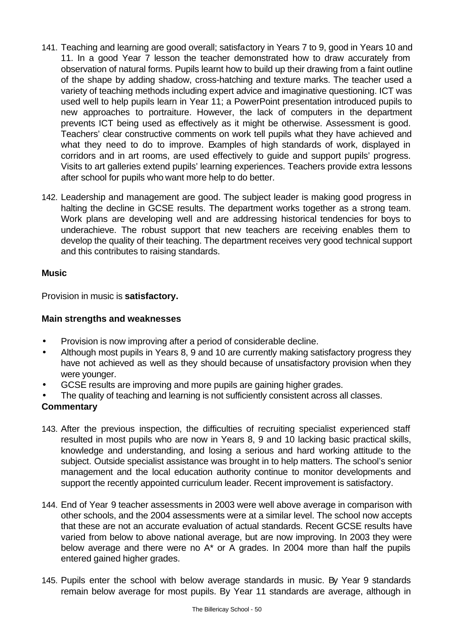- 141. Teaching and learning are good overall; satisfactory in Years 7 to 9, good in Years 10 and 11. In a good Year 7 lesson the teacher demonstrated how to draw accurately from observation of natural forms. Pupils learnt how to build up their drawing from a faint outline of the shape by adding shadow, cross-hatching and texture marks. The teacher used a variety of teaching methods including expert advice and imaginative questioning. ICT was used well to help pupils learn in Year 11; a PowerPoint presentation introduced pupils to new approaches to portraiture. However, the lack of computers in the department prevents ICT being used as effectively as it might be otherwise. Assessment is good. Teachers' clear constructive comments on work tell pupils what they have achieved and what they need to do to improve. Examples of high standards of work, displayed in corridors and in art rooms, are used effectively to guide and support pupils' progress. Visits to art galleries extend pupils' learning experiences. Teachers provide extra lessons after school for pupils who want more help to do better.
- 142. Leadership and management are good. The subject leader is making good progress in halting the decline in GCSE results. The department works together as a strong team. Work plans are developing well and are addressing historical tendencies for boys to underachieve. The robust support that new teachers are receiving enables them to develop the quality of their teaching. The department receives very good technical support and this contributes to raising standards.

## **Music**

Provision in music is **satisfactory.**

# **Main strengths and weaknesses**

- Provision is now improving after a period of considerable decline.
- Although most pupils in Years 8, 9 and 10 are currently making satisfactory progress they have not achieved as well as they should because of unsatisfactory provision when they were younger.
- GCSE results are improving and more pupils are gaining higher grades.
- The quality of teaching and learning is not sufficiently consistent across all classes.

- 143. After the previous inspection, the difficulties of recruiting specialist experienced staff resulted in most pupils who are now in Years 8, 9 and 10 lacking basic practical skills, knowledge and understanding, and losing a serious and hard working attitude to the subject. Outside specialist assistance was brought in to help matters. The school's senior management and the local education authority continue to monitor developments and support the recently appointed curriculum leader. Recent improvement is satisfactory.
- 144. End of Year 9 teacher assessments in 2003 were well above average in comparison with other schools, and the 2004 assessments were at a similar level. The school now accepts that these are not an accurate evaluation of actual standards. Recent GCSE results have varied from below to above national average, but are now improving. In 2003 they were below average and there were no A\* or A grades. In 2004 more than half the pupils entered gained higher grades.
- 145. Pupils enter the school with below average standards in music. By Year 9 standards remain below average for most pupils. By Year 11 standards are average, although in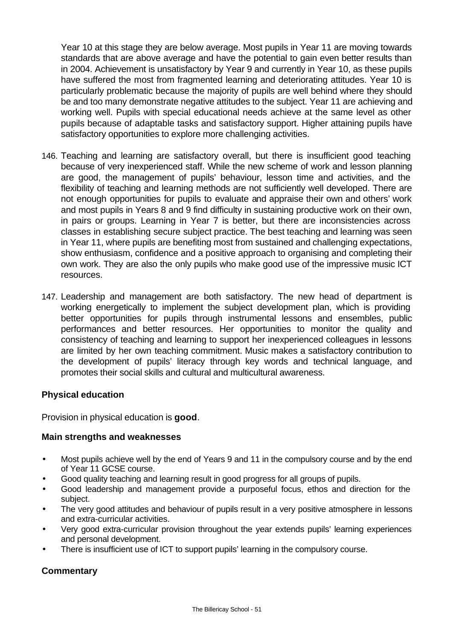Year 10 at this stage they are below average. Most pupils in Year 11 are moving towards standards that are above average and have the potential to gain even better results than in 2004. Achievement is unsatisfactory by Year 9 and currently in Year 10, as these pupils have suffered the most from fragmented learning and deteriorating attitudes. Year 10 is particularly problematic because the majority of pupils are well behind where they should be and too many demonstrate negative attitudes to the subject. Year 11 are achieving and working well. Pupils with special educational needs achieve at the same level as other pupils because of adaptable tasks and satisfactory support. Higher attaining pupils have satisfactory opportunities to explore more challenging activities.

- 146. Teaching and learning are satisfactory overall, but there is insufficient good teaching because of very inexperienced staff. While the new scheme of work and lesson planning are good, the management of pupils' behaviour, lesson time and activities, and the flexibility of teaching and learning methods are not sufficiently well developed. There are not enough opportunities for pupils to evaluate and appraise their own and others' work and most pupils in Years 8 and 9 find difficulty in sustaining productive work on their own, in pairs or groups. Learning in Year 7 is better, but there are inconsistencies across classes in establishing secure subject practice. The best teaching and learning was seen in Year 11, where pupils are benefiting most from sustained and challenging expectations, show enthusiasm, confidence and a positive approach to organising and completing their own work. They are also the only pupils who make good use of the impressive music ICT resources.
- 147. Leadership and management are both satisfactory. The new head of department is working energetically to implement the subject development plan, which is providing better opportunities for pupils through instrumental lessons and ensembles, public performances and better resources. Her opportunities to monitor the quality and consistency of teaching and learning to support her inexperienced colleagues in lessons are limited by her own teaching commitment. Music makes a satisfactory contribution to the development of pupils' literacy through key words and technical language, and promotes their social skills and cultural and multicultural awareness.

## **Physical education**

Provision in physical education is **good**.

## **Main strengths and weaknesses**

- Most pupils achieve well by the end of Years 9 and 11 in the compulsory course and by the end of Year 11 GCSE course.
- Good quality teaching and learning result in good progress for all groups of pupils.
- Good leadership and management provide a purposeful focus, ethos and direction for the subject.
- The very good attitudes and behaviour of pupils result in a very positive atmosphere in lessons and extra-curricular activities.
- Very good extra-curricular provision throughout the year extends pupils' learning experiences and personal development.
- There is insufficient use of ICT to support pupils' learning in the compulsory course.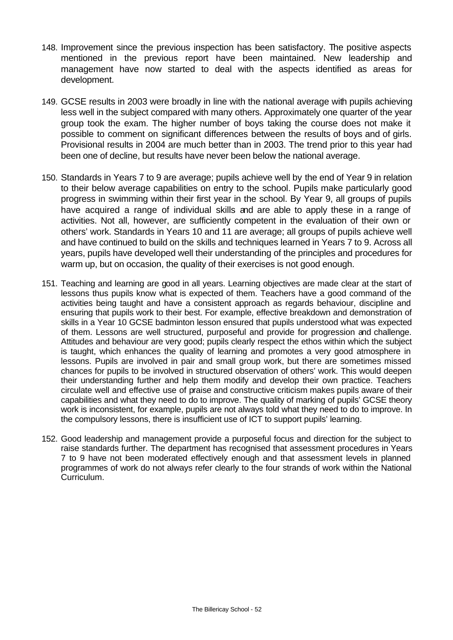- 148. Improvement since the previous inspection has been satisfactory. The positive aspects mentioned in the previous report have been maintained. New leadership and management have now started to deal with the aspects identified as areas for development.
- 149. GCSE results in 2003 were broadly in line with the national average with pupils achieving less well in the subject compared with many others. Approximately one quarter of the year group took the exam. The higher number of boys taking the course does not make it possible to comment on significant differences between the results of boys and of girls. Provisional results in 2004 are much better than in 2003. The trend prior to this year had been one of decline, but results have never been below the national average.
- 150. Standards in Years 7 to 9 are average; pupils achieve well by the end of Year 9 in relation to their below average capabilities on entry to the school. Pupils make particularly good progress in swimming within their first year in the school. By Year 9, all groups of pupils have acquired a range of individual skills and are able to apply these in a range of activities. Not all, however, are sufficiently competent in the evaluation of their own or others' work. Standards in Years 10 and 11 are average; all groups of pupils achieve well and have continued to build on the skills and techniques learned in Years 7 to 9. Across all years, pupils have developed well their understanding of the principles and procedures for warm up, but on occasion, the quality of their exercises is not good enough.
- 151. Teaching and learning are good in all years. Learning objectives are made clear at the start of lessons thus pupils know what is expected of them. Teachers have a good command of the activities being taught and have a consistent approach as regards behaviour, discipline and ensuring that pupils work to their best. For example, effective breakdown and demonstration of skills in a Year 10 GCSE badminton lesson ensured that pupils understood what was expected of them. Lessons are well structured, purposeful and provide for progression and challenge. Attitudes and behaviour are very good; pupils clearly respect the ethos within which the subject is taught, which enhances the quality of learning and promotes a very good atmosphere in lessons. Pupils are involved in pair and small group work, but there are sometimes missed chances for pupils to be involved in structured observation of others' work. This would deepen their understanding further and help them modify and develop their own practice. Teachers circulate well and effective use of praise and constructive criticism makes pupils aware of their capabilities and what they need to do to improve. The quality of marking of pupils' GCSE theory work is inconsistent, for example, pupils are not always told what they need to do to improve. In the compulsory lessons, there is insufficient use of ICT to support pupils' learning.
- 152. Good leadership and management provide a purposeful focus and direction for the subject to raise standards further. The department has recognised that assessment procedures in Years 7 to 9 have not been moderated effectively enough and that assessment levels in planned programmes of work do not always refer clearly to the four strands of work within the National Curriculum.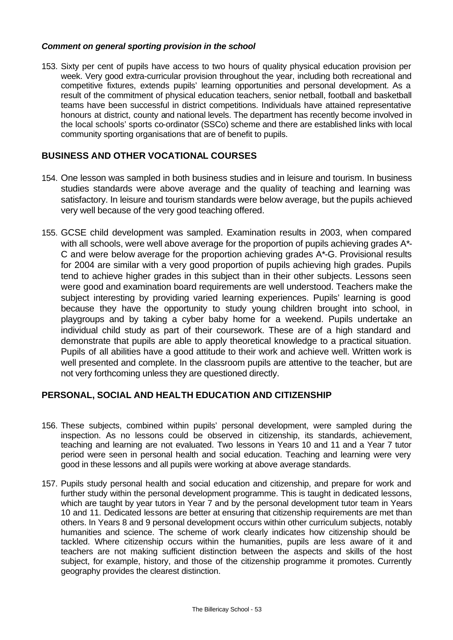#### *Comment on general sporting provision in the school*

153. Sixty per cent of pupils have access to two hours of quality physical education provision per week. Very good extra-curricular provision throughout the year, including both recreational and competitive fixtures, extends pupils' learning opportunities and personal development. As a result of the commitment of physical education teachers, senior netball, football and basketball teams have been successful in district competitions. Individuals have attained representative honours at district, county and national levels. The department has recently become involved in the local schools' sports co-ordinator (SSCo) scheme and there are established links with local community sporting organisations that are of benefit to pupils.

## **BUSINESS AND OTHER VOCATIONAL COURSES**

- 154. One lesson was sampled in both business studies and in leisure and tourism. In business studies standards were above average and the quality of teaching and learning was satisfactory. In leisure and tourism standards were below average, but the pupils achieved very well because of the very good teaching offered.
- 155. GCSE child development was sampled. Examination results in 2003, when compared with all schools, were well above average for the proportion of pupils achieving grades A\*-C and were below average for the proportion achieving grades A\*-G. Provisional results for 2004 are similar with a very good proportion of pupils achieving high grades. Pupils tend to achieve higher grades in this subject than in their other subjects. Lessons seen were good and examination board requirements are well understood. Teachers make the subject interesting by providing varied learning experiences. Pupils' learning is good because they have the opportunity to study young children brought into school, in playgroups and by taking a cyber baby home for a weekend. Pupils undertake an individual child study as part of their coursework. These are of a high standard and demonstrate that pupils are able to apply theoretical knowledge to a practical situation. Pupils of all abilities have a good attitude to their work and achieve well. Written work is well presented and complete. In the classroom pupils are attentive to the teacher, but are not very forthcoming unless they are questioned directly.

## **PERSONAL, SOCIAL AND HEALTH EDUCATION AND CITIZENSHIP**

- 156. These subjects, combined within pupils' personal development, were sampled during the inspection. As no lessons could be observed in citizenship, its standards, achievement, teaching and learning are not evaluated. Two lessons in Years 10 and 11 and a Year 7 tutor period were seen in personal health and social education. Teaching and learning were very good in these lessons and all pupils were working at above average standards.
- 157. Pupils study personal health and social education and citizenship, and prepare for work and further study within the personal development programme. This is taught in dedicated lessons, which are taught by year tutors in Year 7 and by the personal development tutor team in Years 10 and 11. Dedicated lessons are better at ensuring that citizenship requirements are met than others. In Years 8 and 9 personal development occurs within other curriculum subjects, notably humanities and science. The scheme of work clearly indicates how citizenship should be tackled. Where citizenship occurs within the humanities, pupils are less aware of it and teachers are not making sufficient distinction between the aspects and skills of the host subject, for example, history, and those of the citizenship programme it promotes. Currently geography provides the clearest distinction.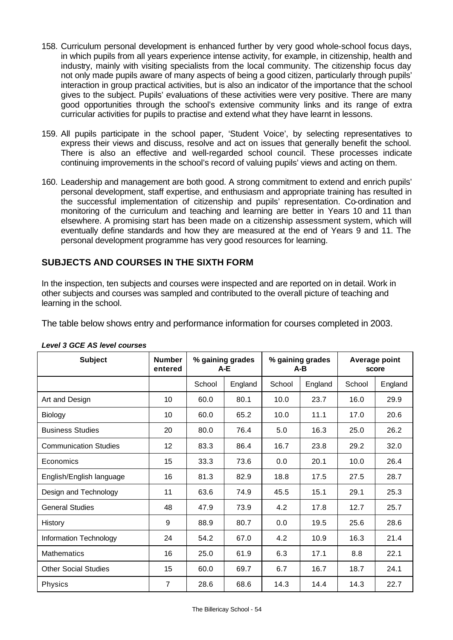- 158. Curriculum personal development is enhanced further by very good whole-school focus days, in which pupils from all years experience intense activity, for example, in citizenship, health and industry, mainly with visiting specialists from the local community. The citizenship focus day not only made pupils aware of many aspects of being a good citizen, particularly through pupils' interaction in group practical activities, but is also an indicator of the importance that the school gives to the subject. Pupils' evaluations of these activities were very positive. There are many good opportunities through the school's extensive community links and its range of extra curricular activities for pupils to practise and extend what they have learnt in lessons.
- 159. All pupils participate in the school paper, 'Student Voice', by selecting representatives to express their views and discuss, resolve and act on issues that generally benefit the school. There is also an effective and well-regarded school council. These processes indicate continuing improvements in the school's record of valuing pupils' views and acting on them.
- 160. Leadership and management are both good. A strong commitment to extend and enrich pupils' personal development, staff expertise, and enthusiasm and appropriate training has resulted in the successful implementation of citizenship and pupils' representation. Co-ordination and monitoring of the curriculum and teaching and learning are better in Years 10 and 11 than elsewhere. A promising start has been made on a citizenship assessment system, which will eventually define standards and how they are measured at the end of Years 9 and 11. The personal development programme has very good resources for learning.

# **SUBJECTS AND COURSES IN THE SIXTH FORM**

In the inspection, ten subjects and courses were inspected and are reported on in detail. Work in other subjects and courses was sampled and contributed to the overall picture of teaching and learning in the school.

The table below shows entry and performance information for courses completed in 2003.

| <b>Subject</b>               | <b>Number</b><br>entered | % gaining grades<br>A-E |         | % gaining grades<br>A-B |         | Average point<br>score |         |
|------------------------------|--------------------------|-------------------------|---------|-------------------------|---------|------------------------|---------|
|                              |                          | School                  | England | School                  | England | School                 | England |
| Art and Design               | 10                       | 60.0                    | 80.1    | 10.0                    | 23.7    | 16.0                   | 29.9    |
| Biology                      | 10                       | 60.0                    | 65.2    | 10.0                    | 11.1    | 17.0                   | 20.6    |
| <b>Business Studies</b>      | 20                       | 80.0                    | 76.4    | 5.0                     | 16.3    | 25.0                   | 26.2    |
| <b>Communication Studies</b> | 12                       | 83.3                    | 86.4    | 16.7                    | 23.8    | 29.2                   | 32.0    |
| Economics                    | 15                       | 33.3                    | 73.6    | 0.0                     | 20.1    | 10.0                   | 26.4    |
| English/English language     | 16                       | 81.3                    | 82.9    | 18.8                    | 17.5    | 27.5                   | 28.7    |
| Design and Technology        | 11                       | 63.6                    | 74.9    | 45.5                    | 15.1    | 29.1                   | 25.3    |
| <b>General Studies</b>       | 48                       | 47.9                    | 73.9    | 4.2                     | 17.8    | 12.7                   | 25.7    |
| History                      | 9                        | 88.9                    | 80.7    | 0.0                     | 19.5    | 25.6                   | 28.6    |
| Information Technology       | 24                       | 54.2                    | 67.0    | 4.2                     | 10.9    | 16.3                   | 21.4    |
| <b>Mathematics</b>           | 16                       | 25.0                    | 61.9    | 6.3                     | 17.1    | 8.8                    | 22.1    |
| <b>Other Social Studies</b>  | 15                       | 60.0                    | 69.7    | 6.7                     | 16.7    | 18.7                   | 24.1    |
| Physics                      | $\overline{7}$           | 28.6                    | 68.6    | 14.3                    | 14.4    | 14.3                   | 22.7    |

#### *Level 3 GCE AS level courses*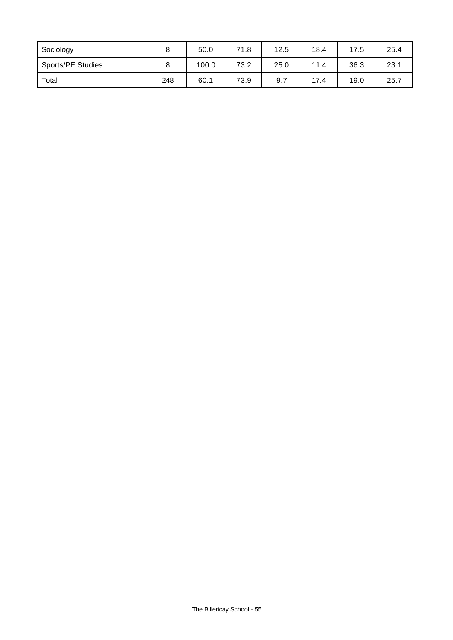| Sociology                |     | 50.0  | 71.8 | 12.5 | 18.4 | 17.5 | 25.4 |
|--------------------------|-----|-------|------|------|------|------|------|
| <b>Sports/PE Studies</b> |     | 100.0 | 73.2 | 25.0 | 11.4 | 36.3 | 23.1 |
| Total                    | 248 | 60.1  | 73.9 | 9.7  | 17.4 | 19.0 | 25.7 |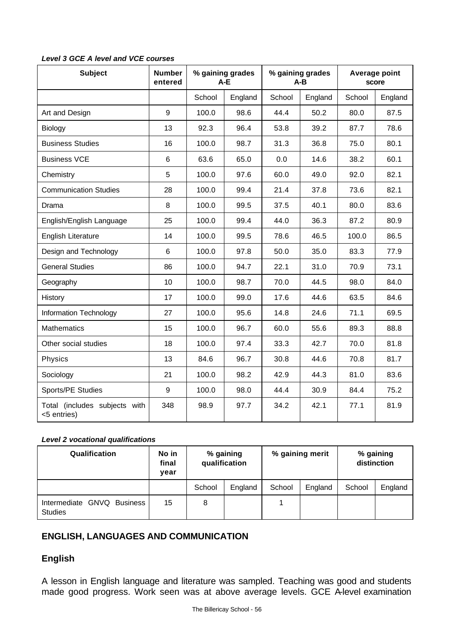| <b>Subject</b>                               | <b>Number</b><br>entered | % gaining grades<br>$A-E$ |         |        | % gaining grades<br>A-B |        | Average point<br>score |
|----------------------------------------------|--------------------------|---------------------------|---------|--------|-------------------------|--------|------------------------|
|                                              |                          | School                    | England | School | England                 | School | England                |
| Art and Design                               | 9                        | 100.0                     | 98.6    | 44.4   | 50.2                    | 80.0   | 87.5                   |
| Biology                                      | 13                       | 92.3                      | 96.4    | 53.8   | 39.2                    | 87.7   | 78.6                   |
| <b>Business Studies</b>                      | 16                       | 100.0                     | 98.7    | 31.3   | 36.8                    | 75.0   | 80.1                   |
| <b>Business VCE</b>                          | 6                        | 63.6                      | 65.0    | 0.0    | 14.6                    | 38.2   | 60.1                   |
| Chemistry                                    | 5                        | 100.0                     | 97.6    | 60.0   | 49.0                    | 92.0   | 82.1                   |
| <b>Communication Studies</b>                 | 28                       | 100.0                     | 99.4    | 21.4   | 37.8                    | 73.6   | 82.1                   |
| Drama                                        | 8                        | 100.0                     | 99.5    | 37.5   | 40.1                    | 80.0   | 83.6                   |
| English/English Language                     | 25                       | 100.0                     | 99.4    | 44.0   | 36.3                    | 87.2   | 80.9                   |
| English Literature                           | 14                       | 100.0                     | 99.5    | 78.6   | 46.5                    | 100.0  | 86.5                   |
| Design and Technology                        | 6                        | 100.0                     | 97.8    | 50.0   | 35.0                    | 83.3   | 77.9                   |
| <b>General Studies</b>                       | 86                       | 100.0                     | 94.7    | 22.1   | 31.0                    | 70.9   | 73.1                   |
| Geography                                    | 10                       | 100.0                     | 98.7    | 70.0   | 44.5                    | 98.0   | 84.0                   |
| History                                      | 17                       | 100.0                     | 99.0    | 17.6   | 44.6                    | 63.5   | 84.6                   |
| Information Technology                       | 27                       | 100.0                     | 95.6    | 14.8   | 24.6                    | 71.1   | 69.5                   |
| <b>Mathematics</b>                           | 15                       | 100.0                     | 96.7    | 60.0   | 55.6                    | 89.3   | 88.8                   |
| Other social studies                         | 18                       | 100.0                     | 97.4    | 33.3   | 42.7                    | 70.0   | 81.8                   |
| Physics                                      | 13                       | 84.6                      | 96.7    | 30.8   | 44.6                    | 70.8   | 81.7                   |
| Sociology                                    | 21                       | 100.0                     | 98.2    | 42.9   | 44.3                    | 81.0   | 83.6                   |
| Sports/PE Studies                            | 9                        | 100.0                     | 98.0    | 44.4   | 30.9                    | 84.4   | 75.2                   |
| Total (includes subjects with<br><5 entries) | 348                      | 98.9                      | 97.7    | 34.2   | 42.1                    | 77.1   | 81.9                   |

*Level 3 GCE A level and VCE courses*

#### *Level 2 vocational qualifications*

| <b>Qualification</b>                         | No in<br>final<br>vear | % gaining<br>qualification |         | % gaining merit |         | % gaining<br>distinction |         |
|----------------------------------------------|------------------------|----------------------------|---------|-----------------|---------|--------------------------|---------|
|                                              |                        | School                     | England | School          | England | School                   | England |
| Intermediate GNVQ Business<br><b>Studies</b> | 15                     | 8                          |         |                 |         |                          |         |

# **ENGLISH, LANGUAGES AND COMMUNICATION**

# **English**

A lesson in English language and literature was sampled. Teaching was good and students made good progress. Work seen was at above average levels. GCE A-level examination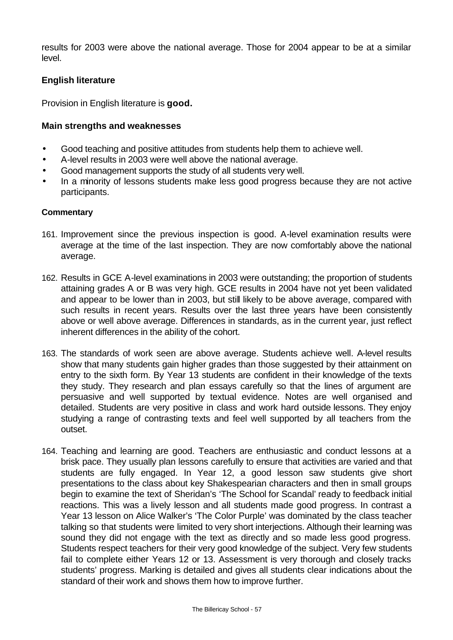results for 2003 were above the national average. Those for 2004 appear to be at a similar level.

## **English literature**

Provision in English literature is **good.**

#### **Main strengths and weaknesses**

- Good teaching and positive attitudes from students help them to achieve well.
- A-level results in 2003 were well above the national average.
- Good management supports the study of all students very well.
- In a minority of lessons students make less good progress because they are not active participants.

- 161. Improvement since the previous inspection is good. A-level examination results were average at the time of the last inspection. They are now comfortably above the national average.
- 162. Results in GCE A-level examinations in 2003 were outstanding; the proportion of students attaining grades A or B was very high. GCE results in 2004 have not yet been validated and appear to be lower than in 2003, but still likely to be above average, compared with such results in recent years. Results over the last three years have been consistently above or well above average. Differences in standards, as in the current year, just reflect inherent differences in the ability of the cohort.
- 163. The standards of work seen are above average. Students achieve well. A-level results show that many students gain higher grades than those suggested by their attainment on entry to the sixth form. By Year 13 students are confident in their knowledge of the texts they study. They research and plan essays carefully so that the lines of argument are persuasive and well supported by textual evidence. Notes are well organised and detailed. Students are very positive in class and work hard outside lessons. They enjoy studying a range of contrasting texts and feel well supported by all teachers from the outset.
- 164. Teaching and learning are good. Teachers are enthusiastic and conduct lessons at a brisk pace. They usually plan lessons carefully to ensure that activities are varied and that students are fully engaged. In Year 12, a good lesson saw students give short presentations to the class about key Shakespearian characters and then in small groups begin to examine the text of Sheridan's 'The School for Scandal' ready to feedback initial reactions. This was a lively lesson and all students made good progress. In contrast a Year 13 lesson on Alice Walker's 'The Color Purple' was dominated by the class teacher talking so that students were limited to very short interjections. Although their learning was sound they did not engage with the text as directly and so made less good progress. Students respect teachers for their very good knowledge of the subject. Very few students fail to complete either Years 12 or 13. Assessment is very thorough and closely tracks students' progress. Marking is detailed and gives all students clear indications about the standard of their work and shows them how to improve further.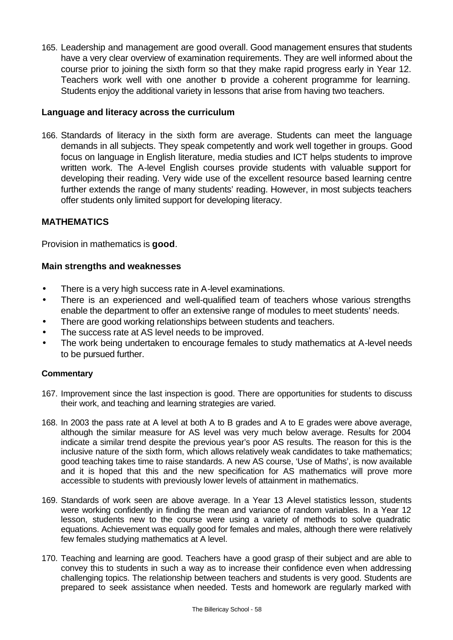165. Leadership and management are good overall. Good management ensures that students have a very clear overview of examination requirements. They are well informed about the course prior to joining the sixth form so that they make rapid progress early in Year 12. Teachers work well with one another to provide a coherent programme for learning. Students enjoy the additional variety in lessons that arise from having two teachers.

## **Language and literacy across the curriculum**

166. Standards of literacy in the sixth form are average. Students can meet the language demands in all subjects. They speak competently and work well together in groups. Good focus on language in English literature, media studies and ICT helps students to improve written work. The A-level English courses provide students with valuable support for developing their reading. Very wide use of the excellent resource based learning centre further extends the range of many students' reading. However, in most subjects teachers offer students only limited support for developing literacy.

## **MATHEMATICS**

Provision in mathematics is **good**.

#### **Main strengths and weaknesses**

- There is a very high success rate in A-level examinations.
- There is an experienced and well-qualified team of teachers whose various strengths enable the department to offer an extensive range of modules to meet students' needs.
- There are good working relationships between students and teachers.
- The success rate at AS level needs to be improved.
- The work being undertaken to encourage females to study mathematics at A-level needs to be pursued further.

- 167. Improvement since the last inspection is good. There are opportunities for students to discuss their work, and teaching and learning strategies are varied.
- 168. In 2003 the pass rate at A level at both A to B grades and A to E grades were above average, although the similar measure for AS level was very much below average. Results for 2004 indicate a similar trend despite the previous year's poor AS results. The reason for this is the inclusive nature of the sixth form, which allows relatively weak candidates to take mathematics; good teaching takes time to raise standards. A new AS course, 'Use of Maths', is now available and it is hoped that this and the new specification for AS mathematics will prove more accessible to students with previously lower levels of attainment in mathematics.
- 169. Standards of work seen are above average. In a Year 13 Alevel statistics lesson, students were working confidently in finding the mean and variance of random variables. In a Year 12 lesson, students new to the course were using a variety of methods to solve quadratic equations. Achievement was equally good for females and males, although there were relatively few females studying mathematics at A level.
- 170. Teaching and learning are good. Teachers have a good grasp of their subject and are able to convey this to students in such a way as to increase their confidence even when addressing challenging topics. The relationship between teachers and students is very good. Students are prepared to seek assistance when needed. Tests and homework are regularly marked with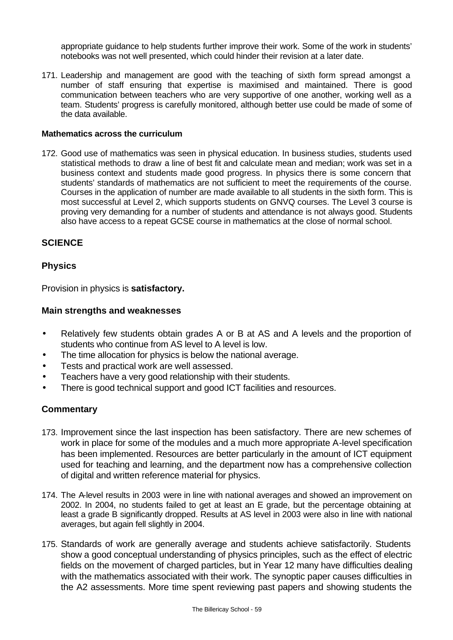appropriate guidance to help students further improve their work. Some of the work in students' notebooks was not well presented, which could hinder their revision at a later date.

171. Leadership and management are good with the teaching of sixth form spread amongst a number of staff ensuring that expertise is maximised and maintained. There is good communication between teachers who are very supportive of one another, working well as a team. Students' progress is carefully monitored, although better use could be made of some of the data available.

#### **Mathematics across the curriculum**

172. Good use of mathematics was seen in physical education. In business studies, students used statistical methods to draw a line of best fit and calculate mean and median; work was set in a business context and students made good progress. In physics there is some concern that students' standards of mathematics are not sufficient to meet the requirements of the course. Courses in the application of number are made available to all students in the sixth form. This is most successful at Level 2, which supports students on GNVQ courses. The Level 3 course is proving very demanding for a number of students and attendance is not always good. Students also have access to a repeat GCSE course in mathematics at the close of normal school.

## **SCIENCE**

#### **Physics**

Provision in physics is **satisfactory.**

#### **Main strengths and weaknesses**

- Relatively few students obtain grades A or B at AS and A levels and the proportion of students who continue from AS level to A level is low.
- The time allocation for physics is below the national average.
- Tests and practical work are well assessed.
- Teachers have a very good relationship with their students.
- There is good technical support and good ICT facilities and resources.

- 173. Improvement since the last inspection has been satisfactory. There are new schemes of work in place for some of the modules and a much more appropriate A-level specification has been implemented. Resources are better particularly in the amount of ICT equipment used for teaching and learning, and the department now has a comprehensive collection of digital and written reference material for physics.
- 174. The A-level results in 2003 were in line with national averages and showed an improvement on 2002. In 2004, no students failed to get at least an E grade, but the percentage obtaining at least a grade B significantly dropped. Results at AS level in 2003 were also in line with national averages, but again fell slightly in 2004.
- 175. Standards of work are generally average and students achieve satisfactorily. Students show a good conceptual understanding of physics principles, such as the effect of electric fields on the movement of charged particles, but in Year 12 many have difficulties dealing with the mathematics associated with their work. The synoptic paper causes difficulties in the A2 assessments. More time spent reviewing past papers and showing students the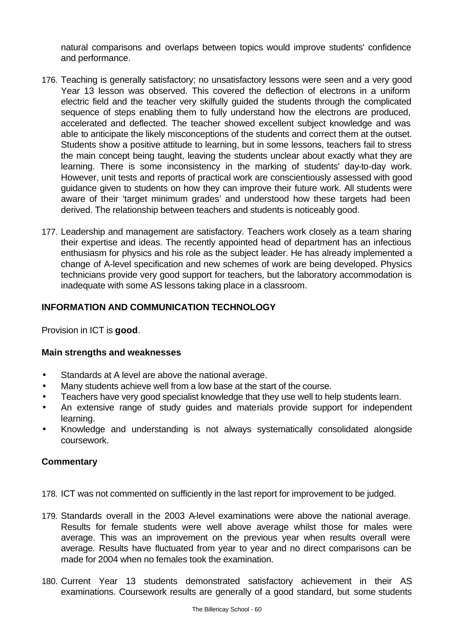natural comparisons and overlaps between topics would improve students' confidence and performance.

- 176. Teaching is generally satisfactory; no unsatisfactory lessons were seen and a very good Year 13 lesson was observed. This covered the deflection of electrons in a uniform electric field and the teacher very skilfully guided the students through the complicated sequence of steps enabling them to fully understand how the electrons are produced, accelerated and deflected. The teacher showed excellent subject knowledge and was able to anticipate the likely misconceptions of the students and correct them at the outset. Students show a positive attitude to learning, but in some lessons, teachers fail to stress the main concept being taught, leaving the students unclear about exactly what they are learning. There is some inconsistency in the marking of students' day-to-day work. However, unit tests and reports of practical work are conscientiously assessed with good guidance given to students on how they can improve their future work. All students were aware of their 'target minimum grades' and understood how these targets had been derived. The relationship between teachers and students is noticeably good.
- 177. Leadership and management are satisfactory. Teachers work closely as a team sharing their expertise and ideas. The recently appointed head of department has an infectious enthusiasm for physics and his role as the subject leader. He has already implemented a change of A-level specification and new schemes of work are being developed. Physics technicians provide very good support for teachers, but the laboratory accommodation is inadequate with some AS lessons taking place in a classroom.

## **INFORMATION AND COMMUNICATION TECHNOLOGY**

Provision in ICT is **good**.

#### **Main strengths and weaknesses**

- Standards at A level are above the national average.
- Many students achieve well from a low base at the start of the course.
- Teachers have very good specialist knowledge that they use well to help students learn.
- An extensive range of study guides and materials provide support for independent learning.
- Knowledge and understanding is not always systematically consolidated alongside coursework.

- 178. ICT was not commented on sufficiently in the last report for improvement to be judged.
- 179. Standards overall in the 2003 A-level examinations were above the national average. Results for female students were well above average whilst those for males were average. This was an improvement on the previous year when results overall were average. Results have fluctuated from year to year and no direct comparisons can be made for 2004 when no females took the examination.
- 180. Current Year 13 students demonstrated satisfactory achievement in their AS examinations. Coursework results are generally of a good standard, but some students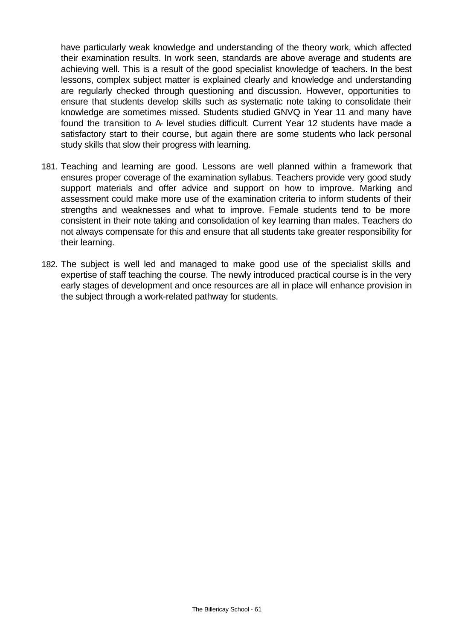have particularly weak knowledge and understanding of the theory work, which affected their examination results. In work seen, standards are above average and students are achieving well. This is a result of the good specialist knowledge of teachers. In the best lessons, complex subject matter is explained clearly and knowledge and understanding are regularly checked through questioning and discussion. However, opportunities to ensure that students develop skills such as systematic note taking to consolidate their knowledge are sometimes missed. Students studied GNVQ in Year 11 and many have found the transition to A- level studies difficult. Current Year 12 students have made a satisfactory start to their course, but again there are some students who lack personal study skills that slow their progress with learning.

- 181. Teaching and learning are good. Lessons are well planned within a framework that ensures proper coverage of the examination syllabus. Teachers provide very good study support materials and offer advice and support on how to improve. Marking and assessment could make more use of the examination criteria to inform students of their strengths and weaknesses and what to improve. Female students tend to be more consistent in their note taking and consolidation of key learning than males. Teachers do not always compensate for this and ensure that all students take greater responsibility for their learning.
- 182. The subject is well led and managed to make good use of the specialist skills and expertise of staff teaching the course. The newly introduced practical course is in the very early stages of development and once resources are all in place will enhance provision in the subject through a work-related pathway for students.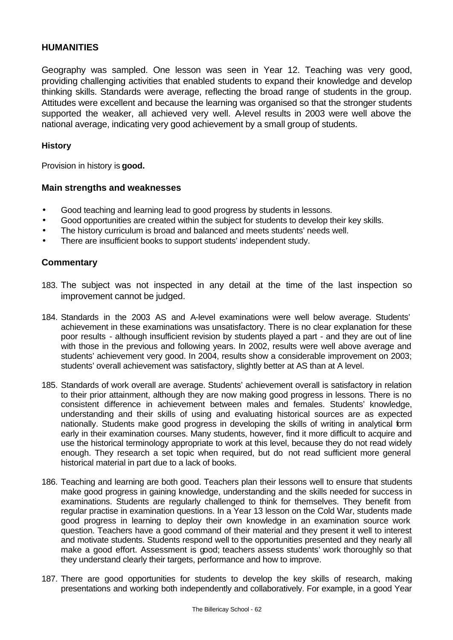## **HUMANITIES**

Geography was sampled. One lesson was seen in Year 12. Teaching was very good, providing challenging activities that enabled students to expand their knowledge and develop thinking skills. Standards were average, reflecting the broad range of students in the group. Attitudes were excellent and because the learning was organised so that the stronger students supported the weaker, all achieved very well. A-level results in 2003 were well above the national average, indicating very good achievement by a small group of students.

#### **History**

Provision in history is **good.**

#### **Main strengths and weaknesses**

- Good teaching and learning lead to good progress by students in lessons.
- Good opportunities are created within the subject for students to develop their key skills.
- The history curriculum is broad and balanced and meets students' needs well.
- There are insufficient books to support students' independent study.

- 183. The subject was not inspected in any detail at the time of the last inspection so improvement cannot be judged.
- 184. Standards in the 2003 AS and A-level examinations were well below average. Students' achievement in these examinations was unsatisfactory. There is no clear explanation for these poor results - although insufficient revision by students played a part - and they are out of line with those in the previous and following years. In 2002, results were well above average and students' achievement very good. In 2004, results show a considerable improvement on 2003; students' overall achievement was satisfactory, slightly better at AS than at A level.
- 185. Standards of work overall are average. Students' achievement overall is satisfactory in relation to their prior attainment, although they are now making good progress in lessons. There is no consistent difference in achievement between males and females. Students' knowledge, understanding and their skills of using and evaluating historical sources are as expected nationally. Students make good progress in developing the skills of writing in analytical form early in their examination courses. Many students, however, find it more difficult to acquire and use the historical terminology appropriate to work at this level, because they do not read widely enough. They research a set topic when required, but do not read sufficient more general historical material in part due to a lack of books.
- 186. Teaching and learning are both good. Teachers plan their lessons well to ensure that students make good progress in gaining knowledge, understanding and the skills needed for success in examinations. Students are regularly challenged to think for themselves. They benefit from regular practise in examination questions. In a Year 13 lesson on the Cold War, students made good progress in learning to deploy their own knowledge in an examination source work question. Teachers have a good command of their material and they present it well to interest and motivate students. Students respond well to the opportunities presented and they nearly all make a good effort. Assessment is good; teachers assess students' work thoroughly so that they understand clearly their targets, performance and how to improve.
- 187. There are good opportunities for students to develop the key skills of research, making presentations and working both independently and collaboratively. For example, in a good Year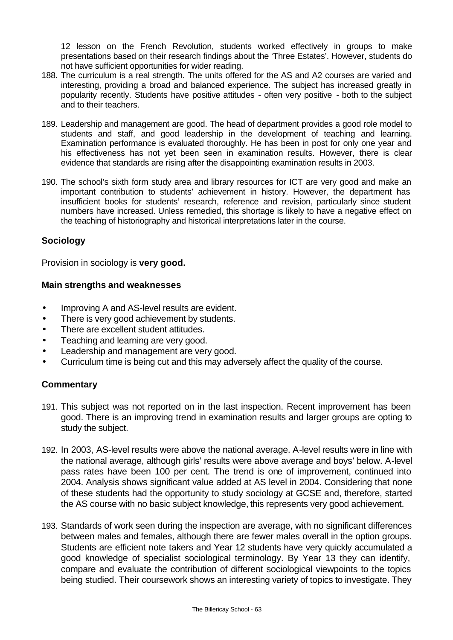12 lesson on the French Revolution, students worked effectively in groups to make presentations based on their research findings about the 'Three Estates'. However, students do not have sufficient opportunities for wider reading.

- 188. The curriculum is a real strength. The units offered for the AS and A2 courses are varied and interesting, providing a broad and balanced experience. The subject has increased greatly in popularity recently. Students have positive attitudes - often very positive - both to the subject and to their teachers.
- 189. Leadership and management are good. The head of department provides a good role model to students and staff, and good leadership in the development of teaching and learning. Examination performance is evaluated thoroughly. He has been in post for only one year and his effectiveness has not yet been seen in examination results. However, there is clear evidence that standards are rising after the disappointing examination results in 2003.
- 190. The school's sixth form study area and library resources for ICT are very good and make an important contribution to students' achievement in history. However, the department has insufficient books for students' research, reference and revision, particularly since student numbers have increased. Unless remedied, this shortage is likely to have a negative effect on the teaching of historiography and historical interpretations later in the course.

## **Sociology**

Provision in sociology is **very good.**

#### **Main strengths and weaknesses**

- Improving A and AS-level results are evident.
- There is very good achievement by students.
- There are excellent student attitudes.
- Teaching and learning are very good.
- Leadership and management are very good.
- Curriculum time is being cut and this may adversely affect the quality of the course.

- 191. This subject was not reported on in the last inspection. Recent improvement has been good. There is an improving trend in examination results and larger groups are opting to study the subject.
- 192. In 2003, AS-level results were above the national average. A-level results were in line with the national average, although girls' results were above average and boys' below. A-level pass rates have been 100 per cent. The trend is one of improvement, continued into 2004. Analysis shows significant value added at AS level in 2004. Considering that none of these students had the opportunity to study sociology at GCSE and, therefore, started the AS course with no basic subject knowledge, this represents very good achievement.
- 193. Standards of work seen during the inspection are average, with no significant differences between males and females, although there are fewer males overall in the option groups. Students are efficient note takers and Year 12 students have very quickly accumulated a good knowledge of specialist sociological terminology. By Year 13 they can identify, compare and evaluate the contribution of different sociological viewpoints to the topics being studied. Their coursework shows an interesting variety of topics to investigate. They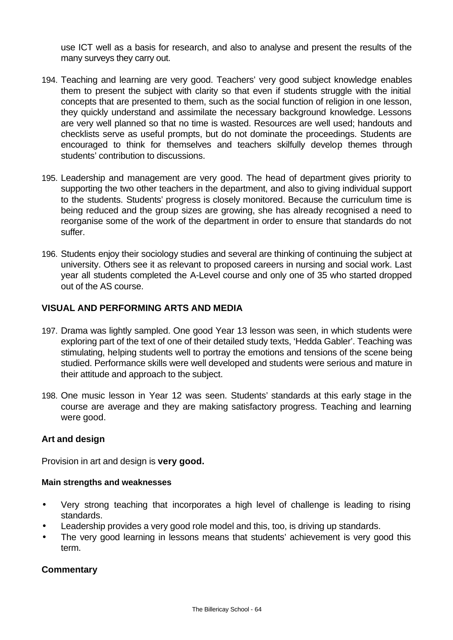use ICT well as a basis for research, and also to analyse and present the results of the many surveys they carry out.

- 194. Teaching and learning are very good. Teachers' very good subject knowledge enables them to present the subject with clarity so that even if students struggle with the initial concepts that are presented to them, such as the social function of religion in one lesson, they quickly understand and assimilate the necessary background knowledge. Lessons are very well planned so that no time is wasted. Resources are well used; handouts and checklists serve as useful prompts, but do not dominate the proceedings. Students are encouraged to think for themselves and teachers skilfully develop themes through students' contribution to discussions.
- 195. Leadership and management are very good. The head of department gives priority to supporting the two other teachers in the department, and also to giving individual support to the students. Students' progress is closely monitored. Because the curriculum time is being reduced and the group sizes are growing, she has already recognised a need to reorganise some of the work of the department in order to ensure that standards do not suffer.
- 196. Students enjoy their sociology studies and several are thinking of continuing the subject at university. Others see it as relevant to proposed careers in nursing and social work. Last year all students completed the A-Level course and only one of 35 who started dropped out of the AS course.

## **VISUAL AND PERFORMING ARTS AND MEDIA**

- 197. Drama was lightly sampled. One good Year 13 lesson was seen, in which students were exploring part of the text of one of their detailed study texts, 'Hedda Gabler'. Teaching was stimulating, helping students well to portray the emotions and tensions of the scene being studied. Performance skills were well developed and students were serious and mature in their attitude and approach to the subject.
- 198. One music lesson in Year 12 was seen. Students' standards at this early stage in the course are average and they are making satisfactory progress. Teaching and learning were good.

## **Art and design**

Provision in art and design is **very good.**

## **Main strengths and weaknesses**

- Very strong teaching that incorporates a high level of challenge is leading to rising standards.
- Leadership provides a very good role model and this, too, is driving up standards.
- The very good learning in lessons means that students' achievement is very good this term.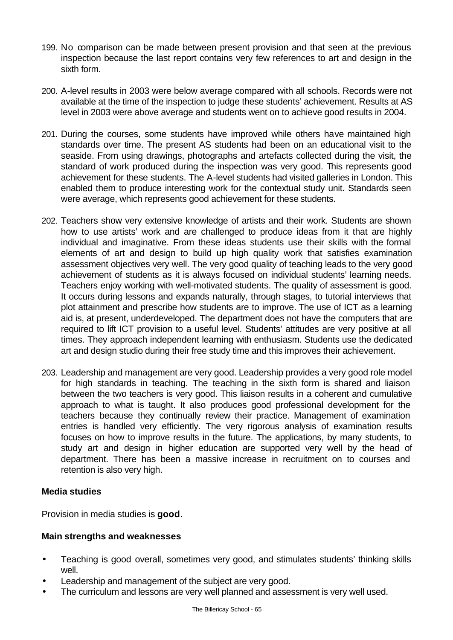- 199. No comparison can be made between present provision and that seen at the previous inspection because the last report contains very few references to art and design in the sixth form.
- 200. A-level results in 2003 were below average compared with all schools. Records were not available at the time of the inspection to judge these students' achievement. Results at AS level in 2003 were above average and students went on to achieve good results in 2004.
- 201. During the courses, some students have improved while others have maintained high standards over time. The present AS students had been on an educational visit to the seaside. From using drawings, photographs and artefacts collected during the visit, the standard of work produced during the inspection was very good. This represents good achievement for these students. The A-level students had visited galleries in London. This enabled them to produce interesting work for the contextual study unit. Standards seen were average, which represents good achievement for these students.
- 202. Teachers show very extensive knowledge of artists and their work. Students are shown how to use artists' work and are challenged to produce ideas from it that are highly individual and imaginative. From these ideas students use their skills with the formal elements of art and design to build up high quality work that satisfies examination assessment objectives very well. The very good quality of teaching leads to the very good achievement of students as it is always focused on individual students' learning needs. Teachers enjoy working with well-motivated students. The quality of assessment is good. It occurs during lessons and expands naturally, through stages, to tutorial interviews that plot attainment and prescribe how students are to improve. The use of ICT as a learning aid is, at present, underdeveloped. The department does not have the computers that are required to lift ICT provision to a useful level. Students' attitudes are very positive at all times. They approach independent learning with enthusiasm. Students use the dedicated art and design studio during their free study time and this improves their achievement.
- 203. Leadership and management are very good. Leadership provides a very good role model for high standards in teaching. The teaching in the sixth form is shared and liaison between the two teachers is very good. This liaison results in a coherent and cumulative approach to what is taught. It also produces good professional development for the teachers because they continually review their practice. Management of examination entries is handled very efficiently. The very rigorous analysis of examination results focuses on how to improve results in the future. The applications, by many students, to study art and design in higher education are supported very well by the head of department. There has been a massive increase in recruitment on to courses and retention is also very high.

## **Media studies**

Provision in media studies is **good**.

# **Main strengths and weaknesses**

- Teaching is good overall, sometimes very good, and stimulates students' thinking skills well.
- Leadership and management of the subject are very good.
- The curriculum and lessons are very well planned and assessment is very well used.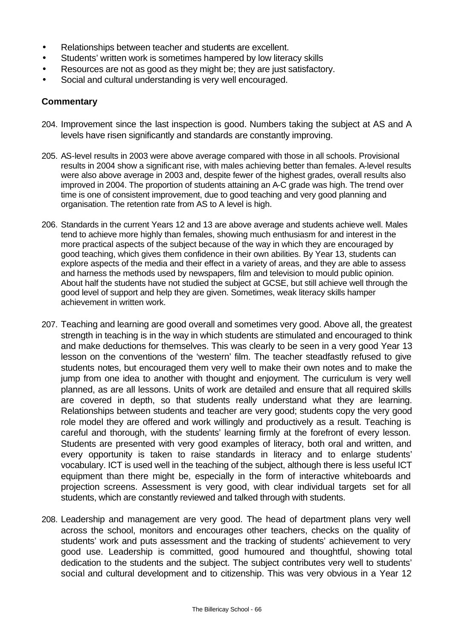- Relationships between teacher and students are excellent.
- Students' written work is sometimes hampered by low literacy skills
- Resources are not as good as they might be; they are just satisfactory.
- Social and cultural understanding is very well encouraged.

- 204. Improvement since the last inspection is good. Numbers taking the subject at AS and A levels have risen significantly and standards are constantly improving.
- 205. AS-level results in 2003 were above average compared with those in all schools. Provisional results in 2004 show a significant rise, with males achieving better than females. A-level results were also above average in 2003 and, despite fewer of the highest grades, overall results also improved in 2004. The proportion of students attaining an A-C grade was high. The trend over time is one of consistent improvement, due to good teaching and very good planning and organisation. The retention rate from AS to A level is high.
- 206. Standards in the current Years 12 and 13 are above average and students achieve well. Males tend to achieve more highly than females, showing much enthusiasm for and interest in the more practical aspects of the subject because of the way in which they are encouraged by good teaching, which gives them confidence in their own abilities. By Year 13, students can explore aspects of the media and their effect in a variety of areas, and they are able to assess and harness the methods used by newspapers, film and television to mould public opinion. About half the students have not studied the subject at GCSE, but still achieve well through the good level of support and help they are given. Sometimes, weak literacy skills hamper achievement in written work.
- 207. Teaching and learning are good overall and sometimes very good. Above all, the greatest strength in teaching is in the way in which students are stimulated and encouraged to think and make deductions for themselves. This was clearly to be seen in a very good Year 13 lesson on the conventions of the 'western' film. The teacher steadfastly refused to give students notes, but encouraged them very well to make their own notes and to make the jump from one idea to another with thought and enjoyment. The curriculum is very well planned, as are all lessons. Units of work are detailed and ensure that all required skills are covered in depth, so that students really understand what they are learning. Relationships between students and teacher are very good; students copy the very good role model they are offered and work willingly and productively as a result. Teaching is careful and thorough, with the students' learning firmly at the forefront of every lesson. Students are presented with very good examples of literacy, both oral and written, and every opportunity is taken to raise standards in literacy and to enlarge students' vocabulary. ICT is used well in the teaching of the subject, although there is less useful ICT equipment than there might be, especially in the form of interactive whiteboards and projection screens. Assessment is very good, with clear individual targets set for all students, which are constantly reviewed and talked through with students.
- 208. Leadership and management are very good. The head of department plans very well across the school, monitors and encourages other teachers, checks on the quality of students' work and puts assessment and the tracking of students' achievement to very good use. Leadership is committed, good humoured and thoughtful, showing total dedication to the students and the subject. The subject contributes very well to students' social and cultural development and to citizenship. This was very obvious in a Year 12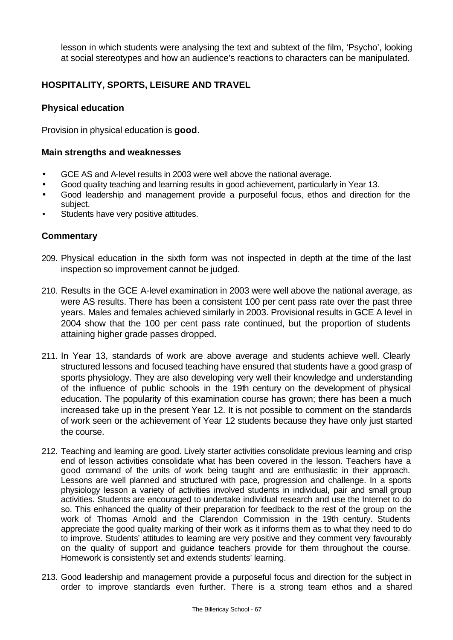lesson in which students were analysing the text and subtext of the film, 'Psycho', looking at social stereotypes and how an audience's reactions to characters can be manipulated.

# **HOSPITALITY, SPORTS, LEISURE AND TRAVEL**

## **Physical education**

Provision in physical education is **good**.

#### **Main strengths and weaknesses**

- GCE AS and A-level results in 2003 were well above the national average.
- Good quality teaching and learning results in good achievement, particularly in Year 13.
- Good leadership and management provide a purposeful focus, ethos and direction for the subject.
- Students have very positive attitudes.

- 209. Physical education in the sixth form was not inspected in depth at the time of the last inspection so improvement cannot be judged.
- 210. Results in the GCE A-level examination in 2003 were well above the national average, as were AS results. There has been a consistent 100 per cent pass rate over the past three years. Males and females achieved similarly in 2003. Provisional results in GCE A level in 2004 show that the 100 per cent pass rate continued, but the proportion of students attaining higher grade passes dropped.
- 211. In Year 13, standards of work are above average and students achieve well. Clearly structured lessons and focused teaching have ensured that students have a good grasp of sports physiology. They are also developing very well their knowledge and understanding of the influence of public schools in the 19th century on the development of physical education. The popularity of this examination course has grown; there has been a much increased take up in the present Year 12. It is not possible to comment on the standards of work seen or the achievement of Year 12 students because they have only just started the course.
- 212. Teaching and learning are good. Lively starter activities consolidate previous learning and crisp end of lesson activities consolidate what has been covered in the lesson. Teachers have a good command of the units of work being taught and are enthusiastic in their approach. Lessons are well planned and structured with pace, progression and challenge. In a sports physiology lesson a variety of activities involved students in individual, pair and small group activities. Students are encouraged to undertake individual research and use the Internet to do so. This enhanced the quality of their preparation for feedback to the rest of the group on the work of Thomas Arnold and the Clarendon Commission in the 19th century. Students appreciate the good quality marking of their work as it informs them as to what they need to do to improve. Students' attitudes to learning are very positive and they comment very favourably on the quality of support and guidance teachers provide for them throughout the course. Homework is consistently set and extends students' learning.
- 213. Good leadership and management provide a purposeful focus and direction for the subject in order to improve standards even further. There is a strong team ethos and a shared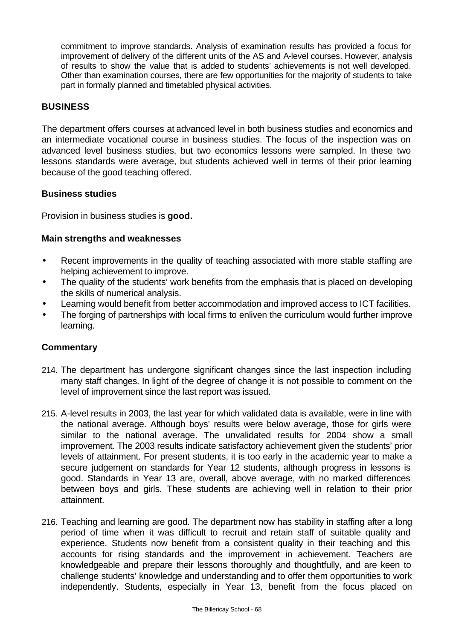commitment to improve standards. Analysis of examination results has provided a focus for improvement of delivery of the different units of the AS and A-level courses. However, analysis of results to show the value that is added to students' achievements is not well developed. Other than examination courses, there are few opportunities for the majority of students to take part in formally planned and timetabled physical activities.

## **BUSINESS**

The department offers courses at advanced level in both business studies and economics and an intermediate vocational course in business studies. The focus of the inspection was on advanced level business studies, but two economics lessons were sampled. In these two lessons standards were average, but students achieved well in terms of their prior learning because of the good teaching offered.

#### **Business studies**

Provision in business studies is **good.** 

#### **Main strengths and weaknesses**

- Recent improvements in the quality of teaching associated with more stable staffing are helping achievement to improve.
- The quality of the students' work benefits from the emphasis that is placed on developing the skills of numerical analysis.
- Learning would benefit from better accommodation and improved access to ICT facilities.
- The forging of partnerships with local firms to enliven the curriculum would further improve learning.

- 214. The department has undergone significant changes since the last inspection including many staff changes. In light of the degree of change it is not possible to comment on the level of improvement since the last report was issued.
- 215. A-level results in 2003, the last year for which validated data is available, were in line with the national average. Although boys' results were below average, those for girls were similar to the national average. The unvalidated results for 2004 show a small improvement. The 2003 results indicate satisfactory achievement given the students' prior levels of attainment. For present students, it is too early in the academic year to make a secure judgement on standards for Year 12 students, although progress in lessons is good. Standards in Year 13 are, overall, above average, with no marked differences between boys and girls. These students are achieving well in relation to their prior attainment.
- 216. Teaching and learning are good. The department now has stability in staffing after a long period of time when it was difficult to recruit and retain staff of suitable quality and experience. Students now benefit from a consistent quality in their teaching and this accounts for rising standards and the improvement in achievement. Teachers are knowledgeable and prepare their lessons thoroughly and thoughtfully, and are keen to challenge students' knowledge and understanding and to offer them opportunities to work independently. Students, especially in Year 13, benefit from the focus placed on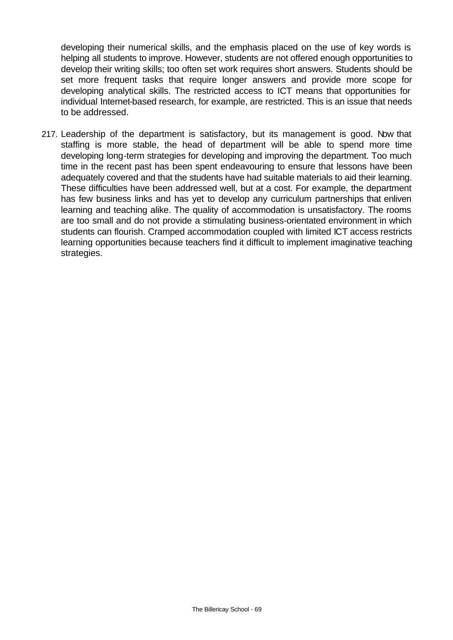developing their numerical skills, and the emphasis placed on the use of key words is helping all students to improve. However, students are not offered enough opportunities to develop their writing skills; too often set work requires short answers. Students should be set more frequent tasks that require longer answers and provide more scope for developing analytical skills. The restricted access to ICT means that opportunities for individual Internet-based research, for example, are restricted. This is an issue that needs to be addressed.

217. Leadership of the department is satisfactory, but its management is good. Now that staffing is more stable, the head of department will be able to spend more time developing long-term strategies for developing and improving the department. Too much time in the recent past has been spent endeavouring to ensure that lessons have been adequately covered and that the students have had suitable materials to aid their learning. These difficulties have been addressed well, but at a cost. For example, the department has few business links and has yet to develop any curriculum partnerships that enliven learning and teaching alike. The quality of accommodation is unsatisfactory. The rooms are too small and do not provide a stimulating business-orientated environment in which students can flourish. Cramped accommodation coupled with limited ICT access restricts learning opportunities because teachers find it difficult to implement imaginative teaching strategies.